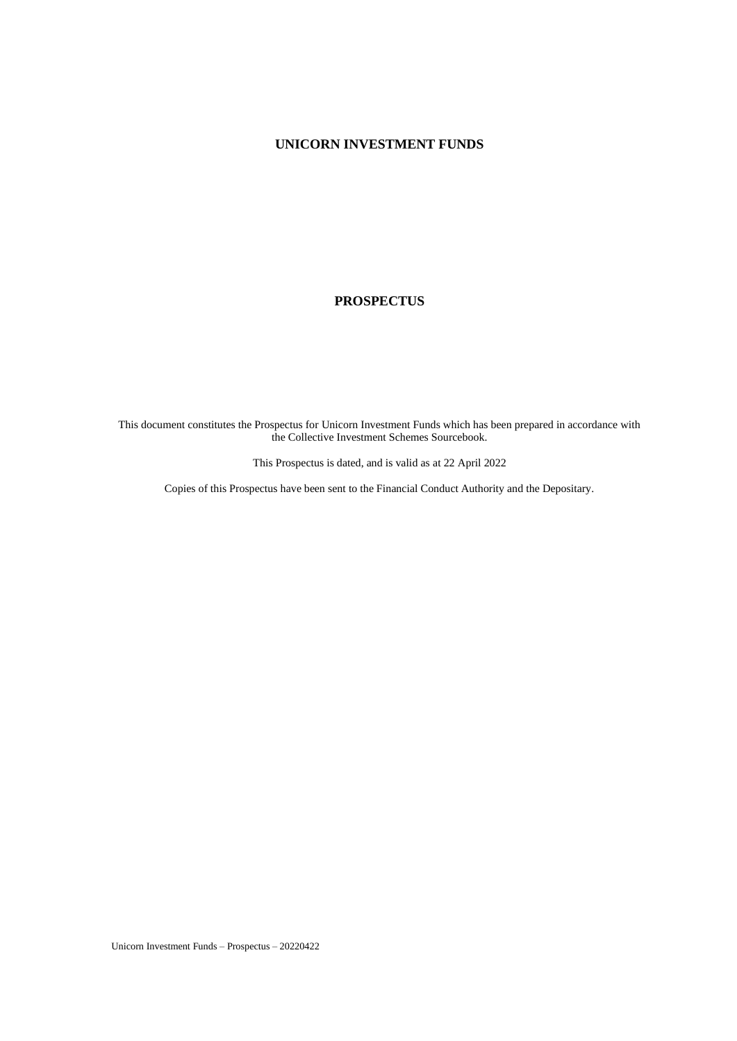## **UNICORN INVESTMENT FUNDS**

#### **PROSPECTUS**

This document constitutes the Prospectus for Unicorn Investment Funds which has been prepared in accordance with the Collective Investment Schemes Sourcebook.

This Prospectus is dated, and is valid as at 22 April 2022

Copies of this Prospectus have been sent to the Financial Conduct Authority and the Depositary.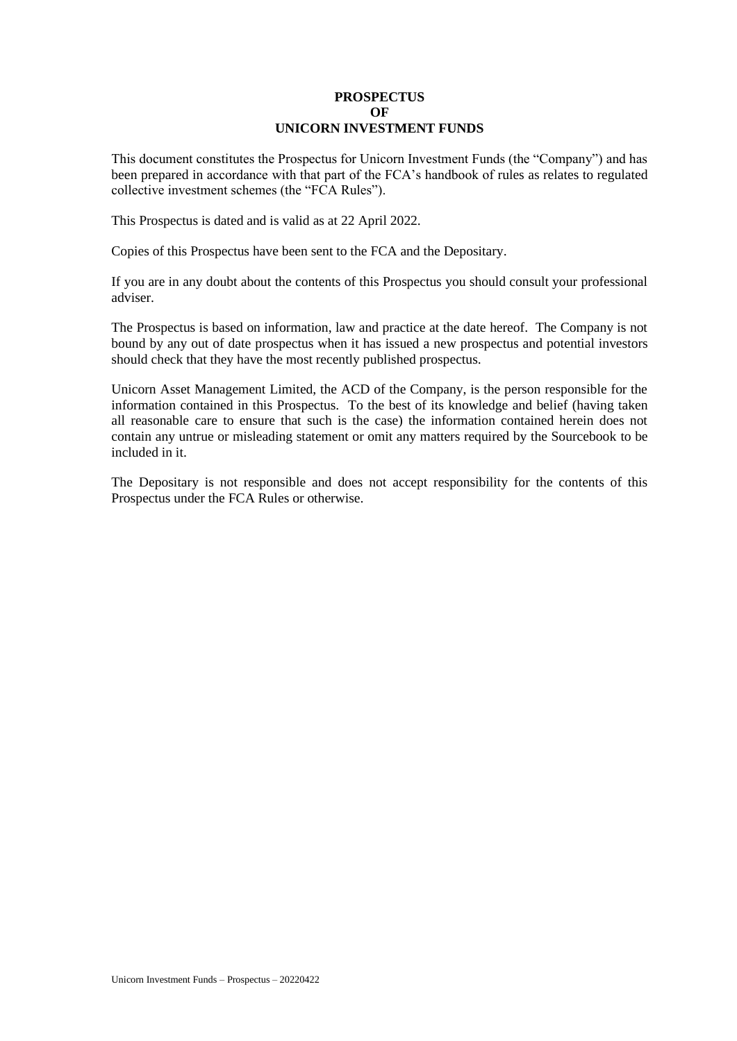## **PROSPECTUS OF UNICORN INVESTMENT FUNDS**

This document constitutes the Prospectus for Unicorn Investment Funds (the "Company") and has been prepared in accordance with that part of the FCA's handbook of rules as relates to regulated collective investment schemes (the "FCA Rules").

This Prospectus is dated and is valid as at 22 April 2022.

Copies of this Prospectus have been sent to the FCA and the Depositary.

If you are in any doubt about the contents of this Prospectus you should consult your professional adviser.

The Prospectus is based on information, law and practice at the date hereof. The Company is not bound by any out of date prospectus when it has issued a new prospectus and potential investors should check that they have the most recently published prospectus.

Unicorn Asset Management Limited, the ACD of the Company, is the person responsible for the information contained in this Prospectus. To the best of its knowledge and belief (having taken all reasonable care to ensure that such is the case) the information contained herein does not contain any untrue or misleading statement or omit any matters required by the Sourcebook to be included in it.

The Depositary is not responsible and does not accept responsibility for the contents of this Prospectus under the FCA Rules or otherwise.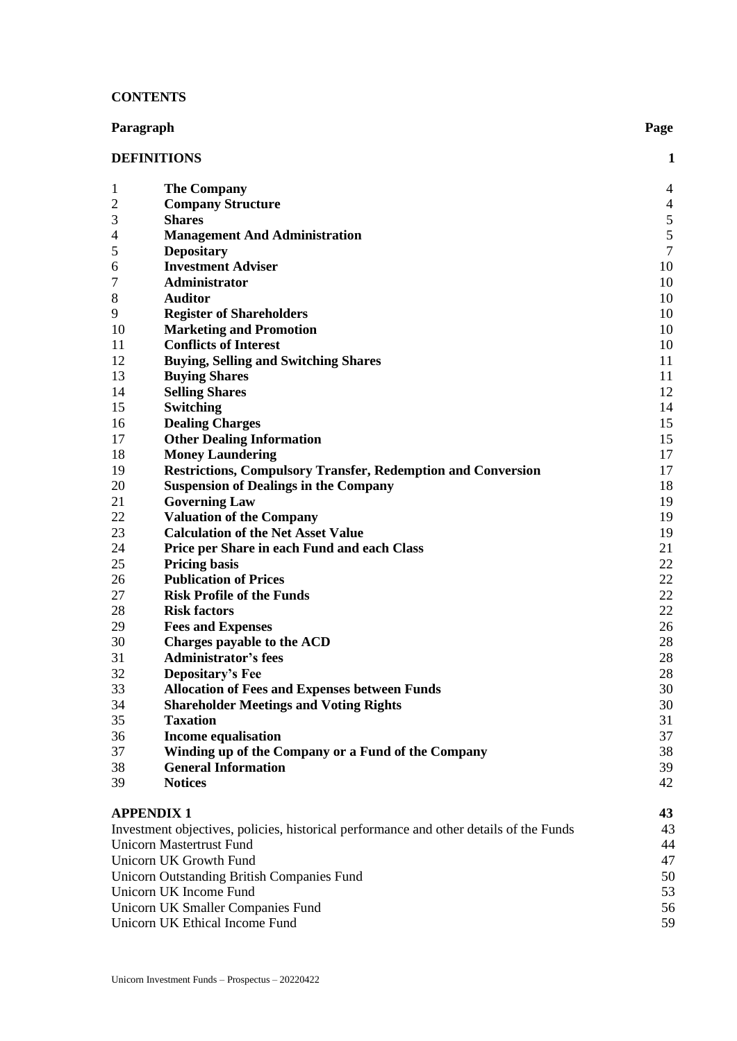### **CONTENTS**

| Paragraph                         |                                                                                        | Page           |
|-----------------------------------|----------------------------------------------------------------------------------------|----------------|
| <b>DEFINITIONS</b><br>1           |                                                                                        |                |
| $\mathbf{1}$                      | <b>The Company</b>                                                                     | 4              |
| $\overline{c}$                    | <b>Company Structure</b>                                                               | $\overline{4}$ |
| 3                                 | <b>Shares</b>                                                                          | $\sqrt{5}$     |
| 4                                 | <b>Management And Administration</b>                                                   |                |
| 5                                 | <b>Depositary</b>                                                                      | $rac{5}{7}$    |
| 6                                 | <b>Investment Adviser</b>                                                              | 10             |
| 7                                 | Administrator                                                                          | 10             |
| 8                                 | <b>Auditor</b>                                                                         | 10             |
| 9                                 | <b>Register of Shareholders</b>                                                        | 10             |
| 10                                | <b>Marketing and Promotion</b>                                                         | 10             |
| 11                                | <b>Conflicts of Interest</b>                                                           | 10             |
| 12                                | <b>Buying, Selling and Switching Shares</b>                                            | 11             |
| 13                                | <b>Buying Shares</b>                                                                   | 11             |
| 14                                | <b>Selling Shares</b>                                                                  | 12             |
| 15                                | <b>Switching</b>                                                                       | 14             |
| 16                                | <b>Dealing Charges</b>                                                                 | 15             |
| 17                                | <b>Other Dealing Information</b>                                                       | 15             |
| 18                                | <b>Money Laundering</b>                                                                | 17             |
| 19                                | <b>Restrictions, Compulsory Transfer, Redemption and Conversion</b>                    | 17             |
| 20                                | <b>Suspension of Dealings in the Company</b>                                           | 18             |
| 21                                | <b>Governing Law</b>                                                                   | 19             |
| 22                                | <b>Valuation of the Company</b>                                                        | 19             |
| 23                                | <b>Calculation of the Net Asset Value</b>                                              | 19             |
| 24                                | Price per Share in each Fund and each Class                                            | 21             |
| 25                                | <b>Pricing basis</b>                                                                   | 22             |
| 26                                | <b>Publication of Prices</b>                                                           | 22             |
| 27                                | <b>Risk Profile of the Funds</b>                                                       | 22             |
| 28                                | <b>Risk factors</b>                                                                    | 22             |
| 29                                | <b>Fees and Expenses</b>                                                               | 26             |
| 30                                | Charges payable to the ACD                                                             | 28             |
| 31                                | <b>Administrator's fees</b>                                                            | 28             |
| 32                                | <b>Depositary's Fee</b>                                                                | 28             |
| 33                                | <b>Allocation of Fees and Expenses between Funds</b>                                   | 30             |
| 34                                | <b>Shareholder Meetings and Voting Rights</b>                                          | 30             |
| 35                                | <b>Taxation</b>                                                                        | 31             |
| 36                                | <b>Income equalisation</b>                                                             | 37<br>38       |
| 37<br>38                          | Winding up of the Company or a Fund of the Company<br><b>General Information</b>       | 39             |
| 39                                | <b>Notices</b>                                                                         | 42             |
| <b>APPENDIX 1</b>                 |                                                                                        | 43             |
|                                   | Investment objectives, policies, historical performance and other details of the Funds | 43             |
| <b>Unicorn Mastertrust Fund</b>   |                                                                                        | 44             |
|                                   | Unicorn UK Growth Fund                                                                 | 47             |
|                                   | <b>Unicorn Outstanding British Companies Fund</b>                                      | 50             |
|                                   | Unicorn UK Income Fund                                                                 | 53             |
| Unicorn UK Smaller Companies Fund |                                                                                        |                |
|                                   | Unicorn UK Ethical Income Fund                                                         | 59             |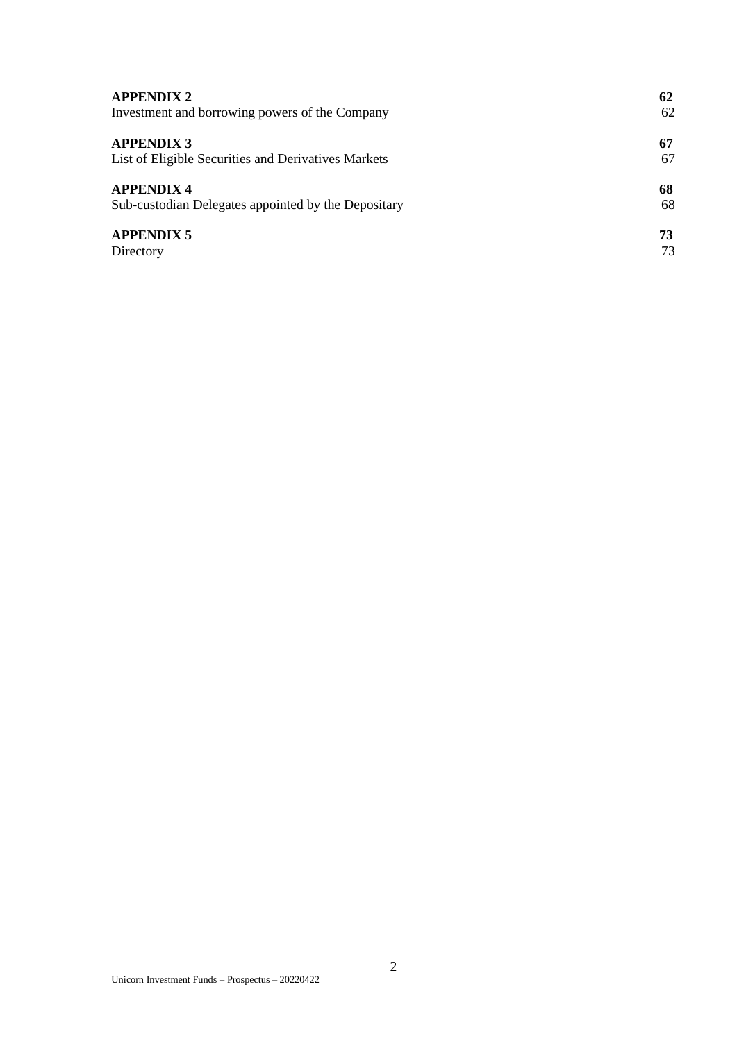| <b>APPENDIX 2</b>                                   | 62 |
|-----------------------------------------------------|----|
| Investment and borrowing powers of the Company      | 62 |
| <b>APPENDIX 3</b>                                   | 67 |
| List of Eligible Securities and Derivatives Markets | 67 |
| <b>APPENDIX 4</b>                                   | 68 |
| Sub-custodian Delegates appointed by the Depositary | 68 |
| <b>APPENDIX 5</b>                                   | 73 |
| Directory                                           | 73 |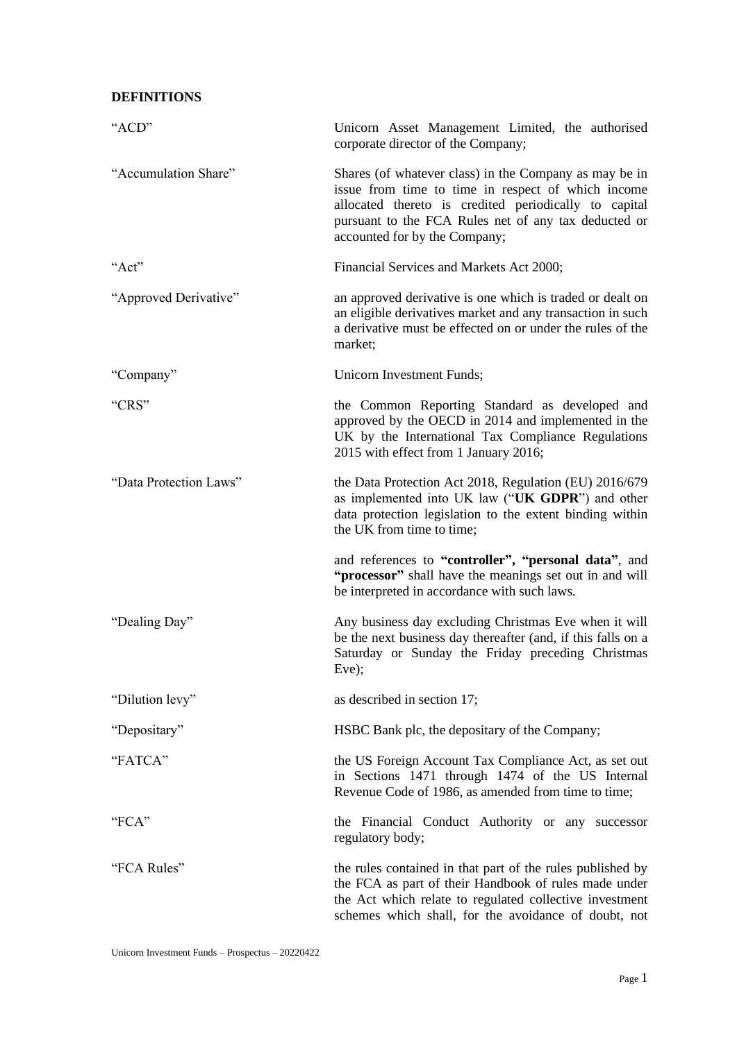## <span id="page-4-0"></span>**DEFINITIONS**

| "ACD"                  | Unicorn Asset Management Limited, the authorised<br>corporate director of the Company;                                                                                                                                                                         |
|------------------------|----------------------------------------------------------------------------------------------------------------------------------------------------------------------------------------------------------------------------------------------------------------|
| "Accumulation Share"   | Shares (of whatever class) in the Company as may be in<br>issue from time to time in respect of which income<br>allocated thereto is credited periodically to capital<br>pursuant to the FCA Rules net of any tax deducted or<br>accounted for by the Company; |
| "Act"                  | Financial Services and Markets Act 2000;                                                                                                                                                                                                                       |
| "Approved Derivative"  | an approved derivative is one which is traded or dealt on<br>an eligible derivatives market and any transaction in such<br>a derivative must be effected on or under the rules of the<br>market;                                                               |
| "Company"              | Unicorn Investment Funds;                                                                                                                                                                                                                                      |
| "CRS"                  | the Common Reporting Standard as developed and<br>approved by the OECD in 2014 and implemented in the<br>UK by the International Tax Compliance Regulations<br>2015 with effect from 1 January 2016;                                                           |
| "Data Protection Laws" | the Data Protection Act 2018, Regulation (EU) 2016/679<br>as implemented into UK law ("UK GDPR") and other<br>data protection legislation to the extent binding within<br>the UK from time to time;                                                            |
|                        | and references to "controller", "personal data", and<br>"processor" shall have the meanings set out in and will<br>be interpreted in accordance with such laws.                                                                                                |
| "Dealing Day"          | Any business day excluding Christmas Eve when it will<br>be the next business day thereafter (and, if this falls on a<br>Saturday or Sunday the Friday preceding Christmas<br>Eve);                                                                            |
| "Dilution levy"        | as described in section 17;                                                                                                                                                                                                                                    |
| "Depositary"           | HSBC Bank plc, the depositary of the Company;                                                                                                                                                                                                                  |
| "FATCA"                | the US Foreign Account Tax Compliance Act, as set out<br>in Sections 1471 through 1474 of the US Internal<br>Revenue Code of 1986, as amended from time to time;                                                                                               |
| "FCA"                  | the Financial Conduct Authority or any successor<br>regulatory body;                                                                                                                                                                                           |
| "FCA Rules"            | the rules contained in that part of the rules published by<br>the FCA as part of their Handbook of rules made under<br>the Act which relate to regulated collective investment<br>schemes which shall, for the avoidance of doubt, not                         |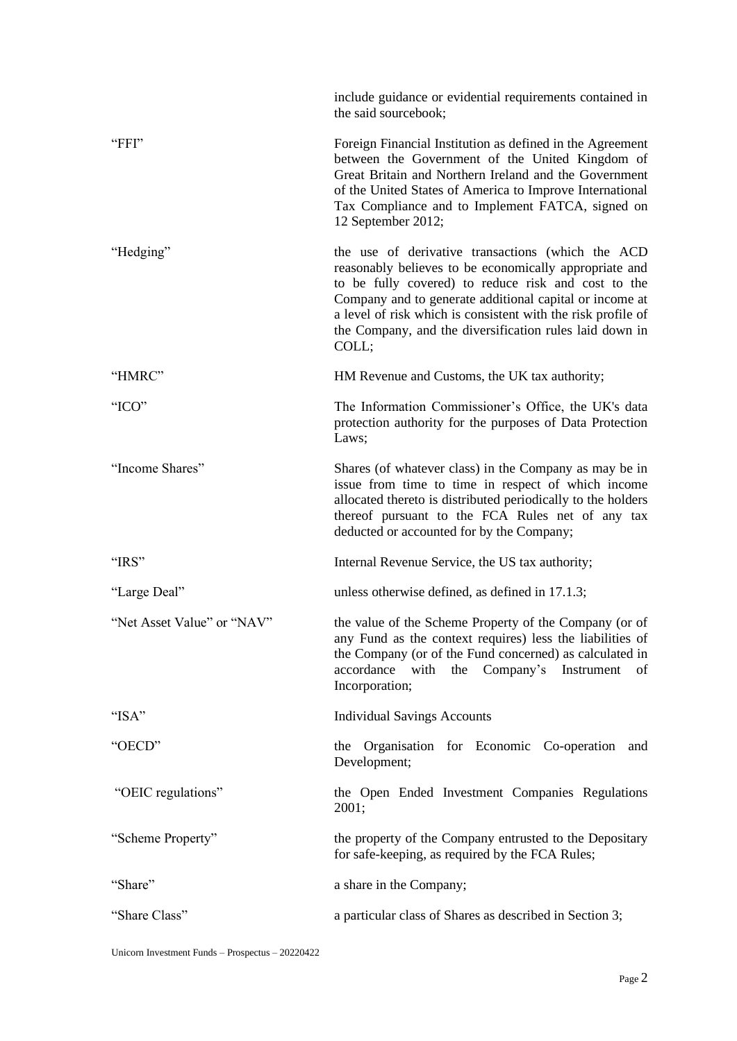|                            | include guidance or evidential requirements contained in<br>the said sourcebook;                                                                                                                                                                                                                                                                                  |
|----------------------------|-------------------------------------------------------------------------------------------------------------------------------------------------------------------------------------------------------------------------------------------------------------------------------------------------------------------------------------------------------------------|
| "FFI"                      | Foreign Financial Institution as defined in the Agreement<br>between the Government of the United Kingdom of<br>Great Britain and Northern Ireland and the Government<br>of the United States of America to Improve International<br>Tax Compliance and to Implement FATCA, signed on<br>12 September 2012;                                                       |
| "Hedging"                  | the use of derivative transactions (which the ACD<br>reasonably believes to be economically appropriate and<br>to be fully covered) to reduce risk and cost to the<br>Company and to generate additional capital or income at<br>a level of risk which is consistent with the risk profile of<br>the Company, and the diversification rules laid down in<br>COLL; |
| "HMRC"                     | HM Revenue and Customs, the UK tax authority;                                                                                                                                                                                                                                                                                                                     |
| "ICO"                      | The Information Commissioner's Office, the UK's data<br>protection authority for the purposes of Data Protection<br>Laws;                                                                                                                                                                                                                                         |
| "Income Shares"            | Shares (of whatever class) in the Company as may be in<br>issue from time to time in respect of which income<br>allocated thereto is distributed periodically to the holders<br>thereof pursuant to the FCA Rules net of any tax<br>deducted or accounted for by the Company;                                                                                     |
| "IRS"                      | Internal Revenue Service, the US tax authority;                                                                                                                                                                                                                                                                                                                   |
| "Large Deal"               | unless otherwise defined, as defined in 17.1.3;                                                                                                                                                                                                                                                                                                                   |
| "Net Asset Value" or "NAV" | the value of the Scheme Property of the Company (or of<br>any Fund as the context requires) less the liabilities of<br>the Company (or of the Fund concerned) as calculated in<br>accordance<br>the Company's Instrument<br>with<br>of<br>Incorporation;                                                                                                          |
| "ISA"                      | <b>Individual Savings Accounts</b>                                                                                                                                                                                                                                                                                                                                |
| "OECD"                     | the Organisation for Economic Co-operation<br>and<br>Development;                                                                                                                                                                                                                                                                                                 |
| "OEIC regulations"         | the Open Ended Investment Companies Regulations<br>2001;                                                                                                                                                                                                                                                                                                          |
| "Scheme Property"          | the property of the Company entrusted to the Depositary<br>for safe-keeping, as required by the FCA Rules;                                                                                                                                                                                                                                                        |
| "Share"                    | a share in the Company;                                                                                                                                                                                                                                                                                                                                           |
| "Share Class"              | a particular class of Shares as described in Section 3;                                                                                                                                                                                                                                                                                                           |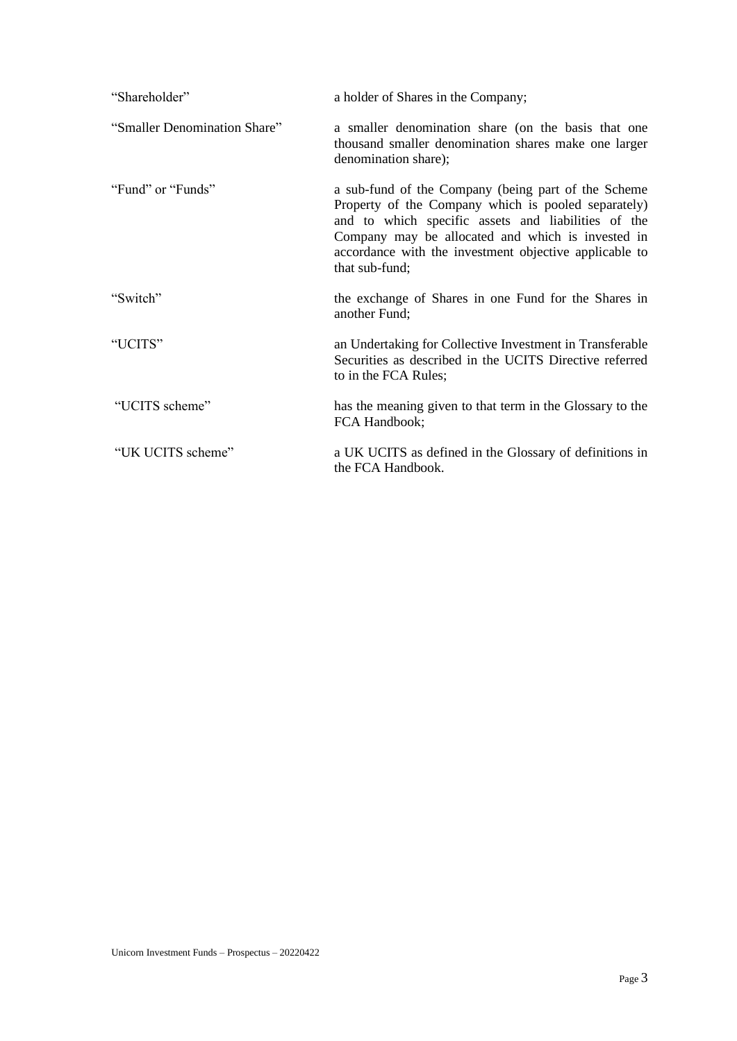| "Shareholder"                | a holder of Shares in the Company;                                                                                                                                                                                                                                                                 |
|------------------------------|----------------------------------------------------------------------------------------------------------------------------------------------------------------------------------------------------------------------------------------------------------------------------------------------------|
| "Smaller Denomination Share" | a smaller denomination share (on the basis that one<br>thousand smaller denomination shares make one larger<br>denomination share);                                                                                                                                                                |
| "Fund" or "Funds"            | a sub-fund of the Company (being part of the Scheme<br>Property of the Company which is pooled separately)<br>and to which specific assets and liabilities of the<br>Company may be allocated and which is invested in<br>accordance with the investment objective applicable to<br>that sub-fund; |
| "Switch"                     | the exchange of Shares in one Fund for the Shares in<br>another Fund;                                                                                                                                                                                                                              |
| "UCITS"                      | an Undertaking for Collective Investment in Transferable<br>Securities as described in the UCITS Directive referred<br>to in the FCA Rules;                                                                                                                                                        |
| "UCITS scheme"               | has the meaning given to that term in the Glossary to the<br>FCA Handbook;                                                                                                                                                                                                                         |
| "UK UCITS scheme"            | a UK UCITS as defined in the Glossary of definitions in<br>the FCA Handbook.                                                                                                                                                                                                                       |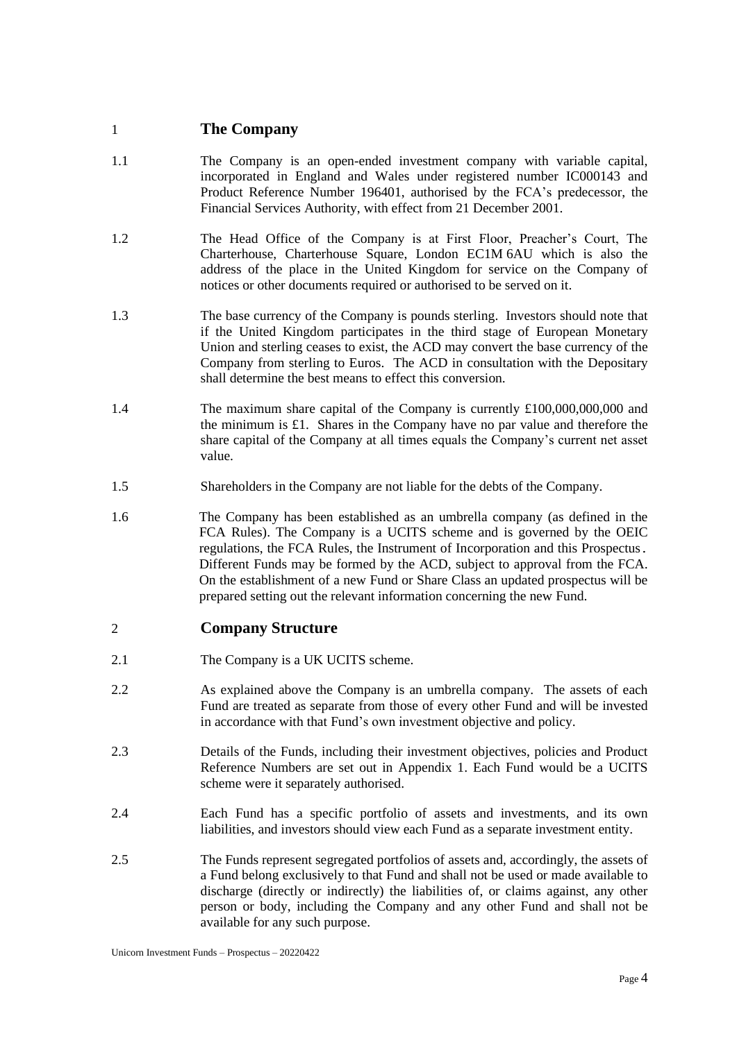# <span id="page-7-0"></span>1 **The Company**

- 1.1 The Company is an open-ended investment company with variable capital, incorporated in England and Wales under registered number IC000143 and Product Reference Number 196401, authorised by the FCA's predecessor, the Financial Services Authority, with effect from 21 December 2001.
- 1.2 The Head Office of the Company is at First Floor, Preacher's Court, The Charterhouse, Charterhouse Square, London EC1M 6AU which is also the address of the place in the United Kingdom for service on the Company of notices or other documents required or authorised to be served on it.
- 1.3 The base currency of the Company is pounds sterling. Investors should note that if the United Kingdom participates in the third stage of European Monetary Union and sterling ceases to exist, the ACD may convert the base currency of the Company from sterling to Euros. The ACD in consultation with the Depositary shall determine the best means to effect this conversion.
- 1.4 The maximum share capital of the Company is currently £100,000,000,000 and the minimum is £1. Shares in the Company have no par value and therefore the share capital of the Company at all times equals the Company's current net asset value.
- 1.5 Shareholders in the Company are not liable for the debts of the Company.
- 1.6 The Company has been established as an umbrella company (as defined in the FCA Rules). The Company is a UCITS scheme and is governed by the OEIC regulations, the FCA Rules, the Instrument of Incorporation and this Prospectus. Different Funds may be formed by the ACD, subject to approval from the FCA. On the establishment of a new Fund or Share Class an updated prospectus will be prepared setting out the relevant information concerning the new Fund.

# <span id="page-7-1"></span>2 **Company Structure**

- 2.1 The Company is a UK UCITS scheme.
- 2.2 As explained above the Company is an umbrella company. The assets of each Fund are treated as separate from those of every other Fund and will be invested in accordance with that Fund's own investment objective and policy.
- 2.3 Details of the Funds, including their investment objectives, policies and Product Reference Numbers are set out in Appendix 1. Each Fund would be a UCITS scheme were it separately authorised.
- 2.4 Each Fund has a specific portfolio of assets and investments, and its own liabilities, and investors should view each Fund as a separate investment entity.
- 2.5 The Funds represent segregated portfolios of assets and, accordingly, the assets of a Fund belong exclusively to that Fund and shall not be used or made available to discharge (directly or indirectly) the liabilities of, or claims against, any other person or body, including the Company and any other Fund and shall not be available for any such purpose.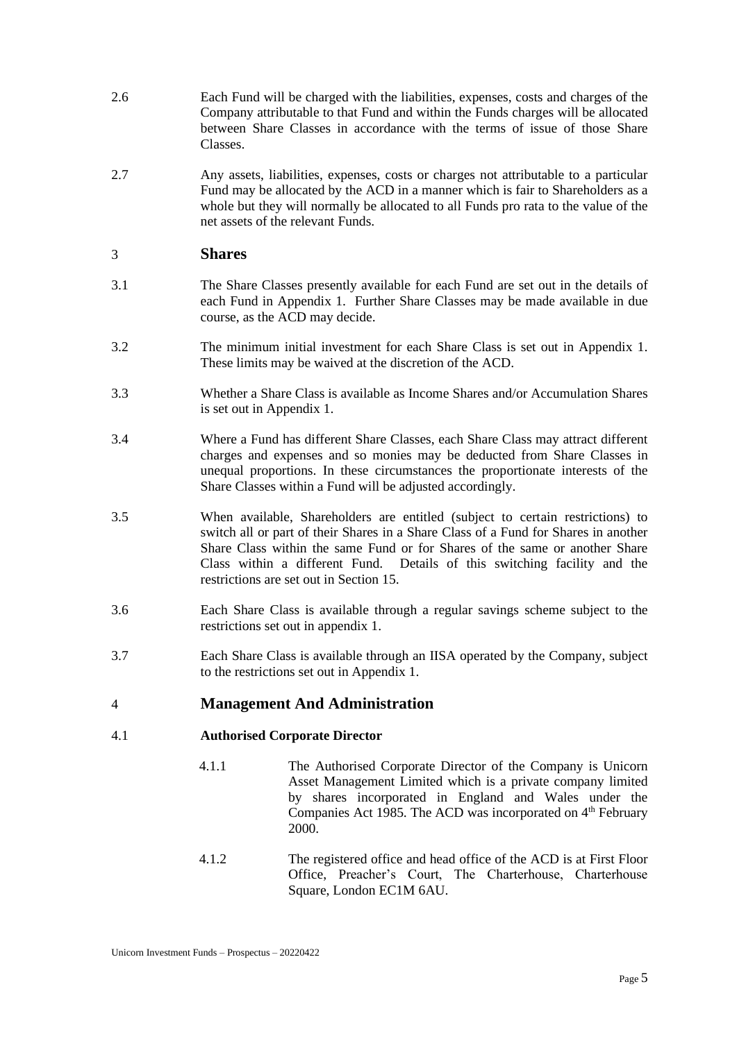- 2.6 Each Fund will be charged with the liabilities, expenses, costs and charges of the Company attributable to that Fund and within the Funds charges will be allocated between Share Classes in accordance with the terms of issue of those Share Classes.
- 2.7 Any assets, liabilities, expenses, costs or charges not attributable to a particular Fund may be allocated by the ACD in a manner which is fair to Shareholders as a whole but they will normally be allocated to all Funds pro rata to the value of the net assets of the relevant Funds.

## <span id="page-8-0"></span>3 **Shares**

- 3.1 The Share Classes presently available for each Fund are set out in the details of each Fund in Appendix 1. Further Share Classes may be made available in due course, as the ACD may decide.
- 3.2 The minimum initial investment for each Share Class is set out in Appendix 1. These limits may be waived at the discretion of the ACD.
- 3.3 Whether a Share Class is available as Income Shares and/or Accumulation Shares is set out in Appendix 1.
- 3.4 Where a Fund has different Share Classes, each Share Class may attract different charges and expenses and so monies may be deducted from Share Classes in unequal proportions. In these circumstances the proportionate interests of the Share Classes within a Fund will be adjusted accordingly.
- 3.5 When available, Shareholders are entitled (subject to certain restrictions) to switch all or part of their Shares in a Share Class of a Fund for Shares in another Share Class within the same Fund or for Shares of the same or another Share Class within a different Fund. Details of this switching facility and the restrictions are set out in Section 15.
- 3.6 Each Share Class is available through a regular savings scheme subject to the restrictions set out in appendix 1.
- 3.7 Each Share Class is available through an IISA operated by the Company, subject to the restrictions set out in Appendix 1.

## <span id="page-8-1"></span>4 **Management And Administration**

## 4.1 **Authorised Corporate Director**

- 4.1.1 The Authorised Corporate Director of the Company is Unicorn Asset Management Limited which is a private company limited by shares incorporated in England and Wales under the Companies Act 1985. The ACD was incorporated on  $4<sup>th</sup>$  February 2000.
- 4.1.2 The registered office and head office of the ACD is at First Floor Office, Preacher's Court, The Charterhouse, Charterhouse Square, London EC1M 6AU.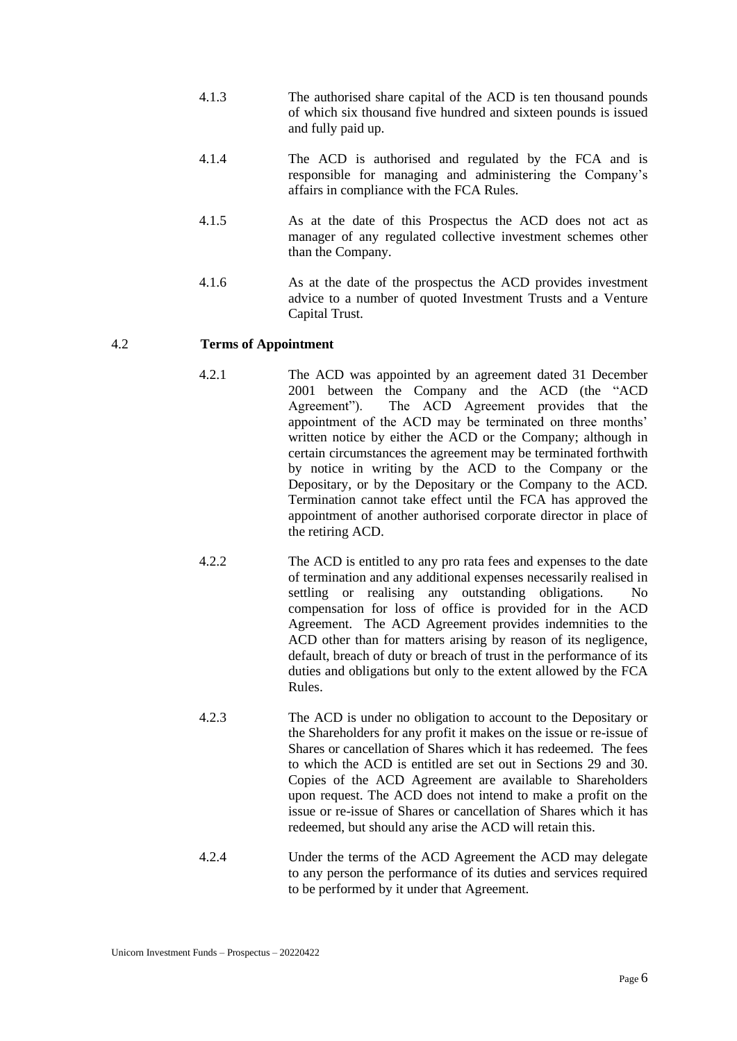- 4.1.3 The authorised share capital of the ACD is ten thousand pounds of which six thousand five hundred and sixteen pounds is issued and fully paid up.
- 4.1.4 The ACD is authorised and regulated by the FCA and is responsible for managing and administering the Company's affairs in compliance with the FCA Rules.
- 4.1.5 As at the date of this Prospectus the ACD does not act as manager of any regulated collective investment schemes other than the Company.
- 4.1.6 As at the date of the prospectus the ACD provides investment advice to a number of quoted Investment Trusts and a Venture Capital Trust.

## 4.2 **Terms of Appointment**

- 4.2.1 The ACD was appointed by an agreement dated 31 December 2001 between the Company and the ACD (the "ACD Agreement"). The ACD Agreement provides that the appointment of the ACD may be terminated on three months' written notice by either the ACD or the Company; although in certain circumstances the agreement may be terminated forthwith by notice in writing by the ACD to the Company or the Depositary, or by the Depositary or the Company to the ACD. Termination cannot take effect until the FCA has approved the appointment of another authorised corporate director in place of the retiring ACD.
- 4.2.2 The ACD is entitled to any pro rata fees and expenses to the date of termination and any additional expenses necessarily realised in settling or realising any outstanding obligations. No compensation for loss of office is provided for in the ACD Agreement. The ACD Agreement provides indemnities to the ACD other than for matters arising by reason of its negligence, default, breach of duty or breach of trust in the performance of its duties and obligations but only to the extent allowed by the FCA Rules.
	- 4.2.3 The ACD is under no obligation to account to the Depositary or the Shareholders for any profit it makes on the issue or re-issue of Shares or cancellation of Shares which it has redeemed. The fees to which the ACD is entitled are set out in Sections 29 and 30. Copies of the ACD Agreement are available to Shareholders upon request. The ACD does not intend to make a profit on the issue or re-issue of Shares or cancellation of Shares which it has redeemed, but should any arise the ACD will retain this.
	- 4.2.4 Under the terms of the ACD Agreement the ACD may delegate to any person the performance of its duties and services required to be performed by it under that Agreement.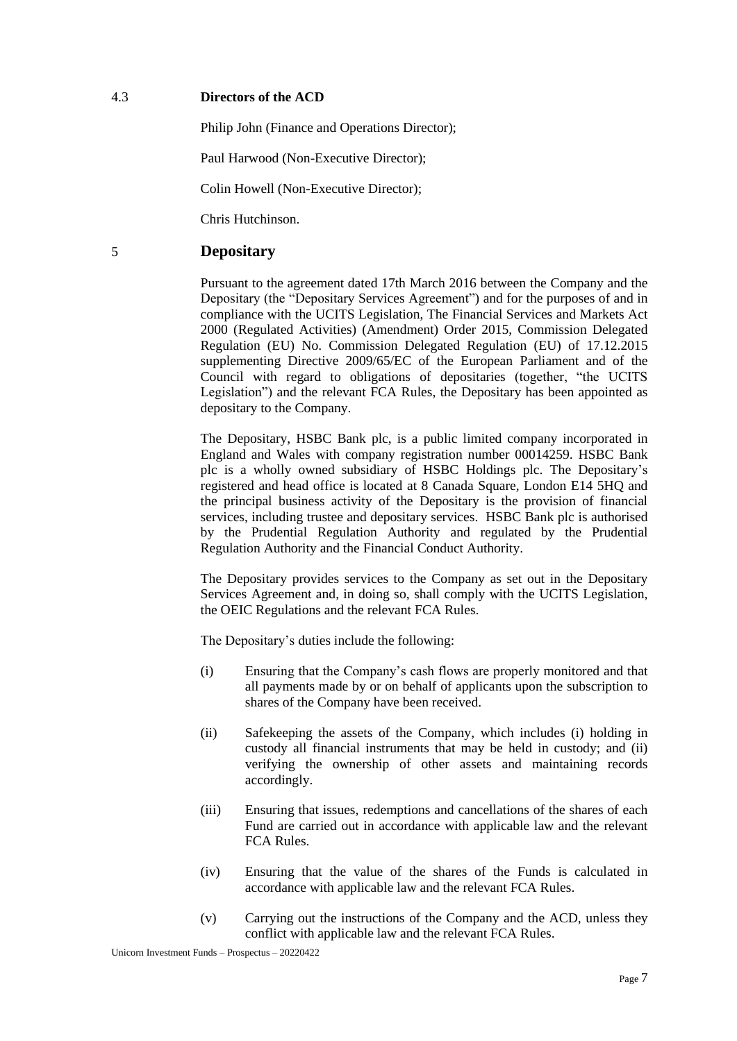### 4.3 **Directors of the ACD**

Philip John (Finance and Operations Director);

Paul Harwood (Non-Executive Director);

Colin Howell (Non-Executive Director);

Chris Hutchinson.

# <span id="page-10-0"></span>5 **Depositary**

Pursuant to the agreement dated 17th March 2016 between the Company and the Depositary (the "Depositary Services Agreement") and for the purposes of and in compliance with the UCITS Legislation, The Financial Services and Markets Act 2000 (Regulated Activities) (Amendment) Order 2015, Commission Delegated Regulation (EU) No. Commission Delegated Regulation (EU) of 17.12.2015 supplementing Directive 2009/65/EC of the European Parliament and of the Council with regard to obligations of depositaries (together, "the UCITS Legislation") and the relevant FCA Rules, the Depositary has been appointed as depositary to the Company.

The Depositary, HSBC Bank plc, is a public limited company incorporated in England and Wales with company registration number 00014259. HSBC Bank plc is a wholly owned subsidiary of HSBC Holdings plc. The Depositary's registered and head office is located at 8 Canada Square, London E14 5HQ and the principal business activity of the Depositary is the provision of financial services, including trustee and depositary services. HSBC Bank plc is authorised by the Prudential Regulation Authority and regulated by the Prudential Regulation Authority and the Financial Conduct Authority.

The Depositary provides services to the Company as set out in the Depositary Services Agreement and, in doing so, shall comply with the UCITS Legislation, the OEIC Regulations and the relevant FCA Rules.

The Depositary's duties include the following:

- (i) Ensuring that the Company's cash flows are properly monitored and that all payments made by or on behalf of applicants upon the subscription to shares of the Company have been received.
- (ii) Safekeeping the assets of the Company, which includes (i) holding in custody all financial instruments that may be held in custody; and (ii) verifying the ownership of other assets and maintaining records accordingly.
- (iii) Ensuring that issues, redemptions and cancellations of the shares of each Fund are carried out in accordance with applicable law and the relevant FCA Rules.
- (iv) Ensuring that the value of the shares of the Funds is calculated in accordance with applicable law and the relevant FCA Rules.
- (v) Carrying out the instructions of the Company and the ACD, unless they conflict with applicable law and the relevant FCA Rules.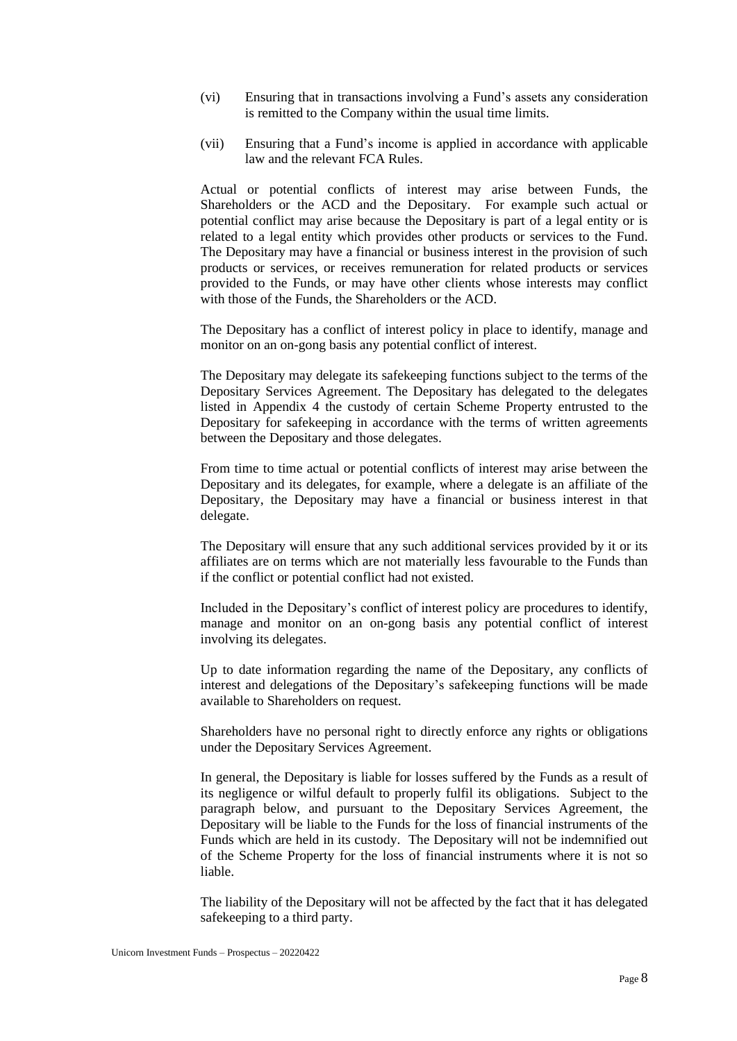- (vi) Ensuring that in transactions involving a Fund's assets any consideration is remitted to the Company within the usual time limits.
- (vii) Ensuring that a Fund's income is applied in accordance with applicable law and the relevant FCA Rules.

Actual or potential conflicts of interest may arise between Funds, the Shareholders or the ACD and the Depositary. For example such actual or potential conflict may arise because the Depositary is part of a legal entity or is related to a legal entity which provides other products or services to the Fund. The Depositary may have a financial or business interest in the provision of such products or services, or receives remuneration for related products or services provided to the Funds, or may have other clients whose interests may conflict with those of the Funds, the Shareholders or the ACD.

The Depositary has a conflict of interest policy in place to identify, manage and monitor on an on-gong basis any potential conflict of interest.

The Depositary may delegate its safekeeping functions subject to the terms of the Depositary Services Agreement. The Depositary has delegated to the delegates listed in Appendix 4 the custody of certain Scheme Property entrusted to the Depositary for safekeeping in accordance with the terms of written agreements between the Depositary and those delegates.

From time to time actual or potential conflicts of interest may arise between the Depositary and its delegates, for example, where a delegate is an affiliate of the Depositary, the Depositary may have a financial or business interest in that delegate.

The Depositary will ensure that any such additional services provided by it or its affiliates are on terms which are not materially less favourable to the Funds than if the conflict or potential conflict had not existed.

Included in the Depositary's conflict of interest policy are procedures to identify, manage and monitor on an on-gong basis any potential conflict of interest involving its delegates.

Up to date information regarding the name of the Depositary, any conflicts of interest and delegations of the Depositary's safekeeping functions will be made available to Shareholders on request.

Shareholders have no personal right to directly enforce any rights or obligations under the Depositary Services Agreement.

In general, the Depositary is liable for losses suffered by the Funds as a result of its negligence or wilful default to properly fulfil its obligations. Subject to the paragraph below, and pursuant to the Depositary Services Agreement, the Depositary will be liable to the Funds for the loss of financial instruments of the Funds which are held in its custody. The Depositary will not be indemnified out of the Scheme Property for the loss of financial instruments where it is not so liable.

The liability of the Depositary will not be affected by the fact that it has delegated safekeeping to a third party.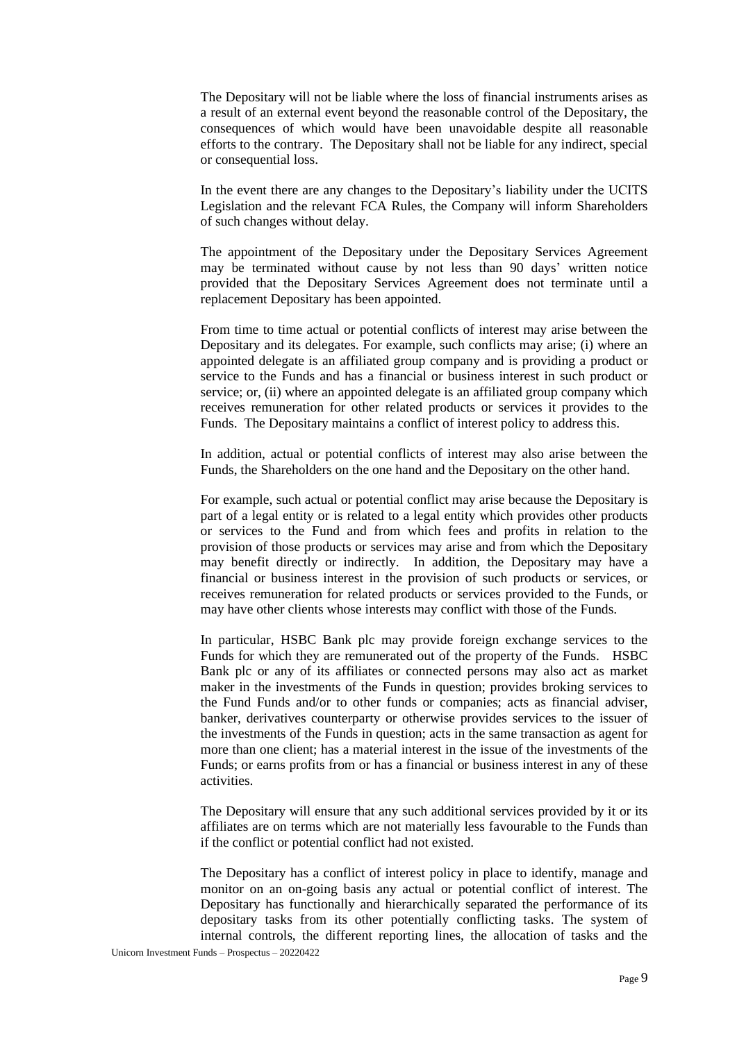The Depositary will not be liable where the loss of financial instruments arises as a result of an external event beyond the reasonable control of the Depositary, the consequences of which would have been unavoidable despite all reasonable efforts to the contrary. The Depositary shall not be liable for any indirect, special or consequential loss.

In the event there are any changes to the Depositary's liability under the UCITS Legislation and the relevant FCA Rules, the Company will inform Shareholders of such changes without delay.

The appointment of the Depositary under the Depositary Services Agreement may be terminated without cause by not less than 90 days' written notice provided that the Depositary Services Agreement does not terminate until a replacement Depositary has been appointed.

From time to time actual or potential conflicts of interest may arise between the Depositary and its delegates. For example, such conflicts may arise; (i) where an appointed delegate is an affiliated group company and is providing a product or service to the Funds and has a financial or business interest in such product or service; or, (ii) where an appointed delegate is an affiliated group company which receives remuneration for other related products or services it provides to the Funds. The Depositary maintains a conflict of interest policy to address this.

In addition, actual or potential conflicts of interest may also arise between the Funds, the Shareholders on the one hand and the Depositary on the other hand.

For example, such actual or potential conflict may arise because the Depositary is part of a legal entity or is related to a legal entity which provides other products or services to the Fund and from which fees and profits in relation to the provision of those products or services may arise and from which the Depositary may benefit directly or indirectly. In addition, the Depositary may have a financial or business interest in the provision of such products or services, or receives remuneration for related products or services provided to the Funds, or may have other clients whose interests may conflict with those of the Funds.

In particular, HSBC Bank plc may provide foreign exchange services to the Funds for which they are remunerated out of the property of the Funds. HSBC Bank plc or any of its affiliates or connected persons may also act as market maker in the investments of the Funds in question; provides broking services to the Fund Funds and/or to other funds or companies; acts as financial adviser, banker, derivatives counterparty or otherwise provides services to the issuer of the investments of the Funds in question; acts in the same transaction as agent for more than one client; has a material interest in the issue of the investments of the Funds; or earns profits from or has a financial or business interest in any of these activities.

The Depositary will ensure that any such additional services provided by it or its affiliates are on terms which are not materially less favourable to the Funds than if the conflict or potential conflict had not existed.

The Depositary has a conflict of interest policy in place to identify, manage and monitor on an on-going basis any actual or potential conflict of interest. The Depositary has functionally and hierarchically separated the performance of its depositary tasks from its other potentially conflicting tasks. The system of internal controls, the different reporting lines, the allocation of tasks and the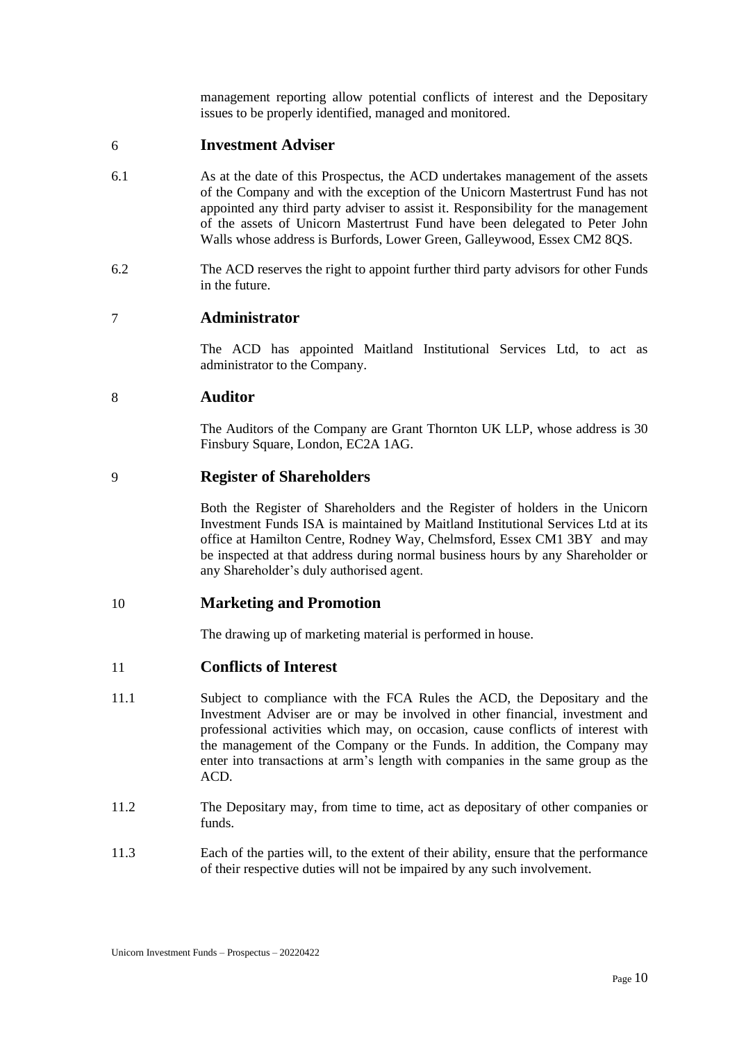management reporting allow potential conflicts of interest and the Depositary issues to be properly identified, managed and monitored.

## <span id="page-13-0"></span>6 **Investment Adviser**

- 6.1 As at the date of this Prospectus, the ACD undertakes management of the assets of the Company and with the exception of the Unicorn Mastertrust Fund has not appointed any third party adviser to assist it. Responsibility for the management of the assets of Unicorn Mastertrust Fund have been delegated to Peter John Walls whose address is Burfords, Lower Green, Galleywood, Essex CM2 8QS.
- 6.2 The ACD reserves the right to appoint further third party advisors for other Funds in the future.

# <span id="page-13-1"></span>7 **Administrator**

The ACD has appointed Maitland Institutional Services Ltd, to act as administrator to the Company.

## <span id="page-13-2"></span>8 **Auditor**

The Auditors of the Company are Grant Thornton UK LLP, whose address is 30 Finsbury Square, London, EC2A 1AG.

## <span id="page-13-3"></span>9 **Register of Shareholders**

Both the Register of Shareholders and the Register of holders in the Unicorn Investment Funds ISA is maintained by Maitland Institutional Services Ltd at its office at Hamilton Centre, Rodney Way, Chelmsford, Essex CM1 3BY and may be inspected at that address during normal business hours by any Shareholder or any Shareholder's duly authorised agent.

## <span id="page-13-4"></span>10 **Marketing and Promotion**

The drawing up of marketing material is performed in house.

## <span id="page-13-5"></span>11 **Conflicts of Interest**

- 11.1 Subject to compliance with the FCA Rules the ACD, the Depositary and the Investment Adviser are or may be involved in other financial, investment and professional activities which may, on occasion, cause conflicts of interest with the management of the Company or the Funds. In addition, the Company may enter into transactions at arm's length with companies in the same group as the ACD.
- 11.2 The Depositary may, from time to time, act as depositary of other companies or funds.
- 11.3 Each of the parties will, to the extent of their ability, ensure that the performance of their respective duties will not be impaired by any such involvement.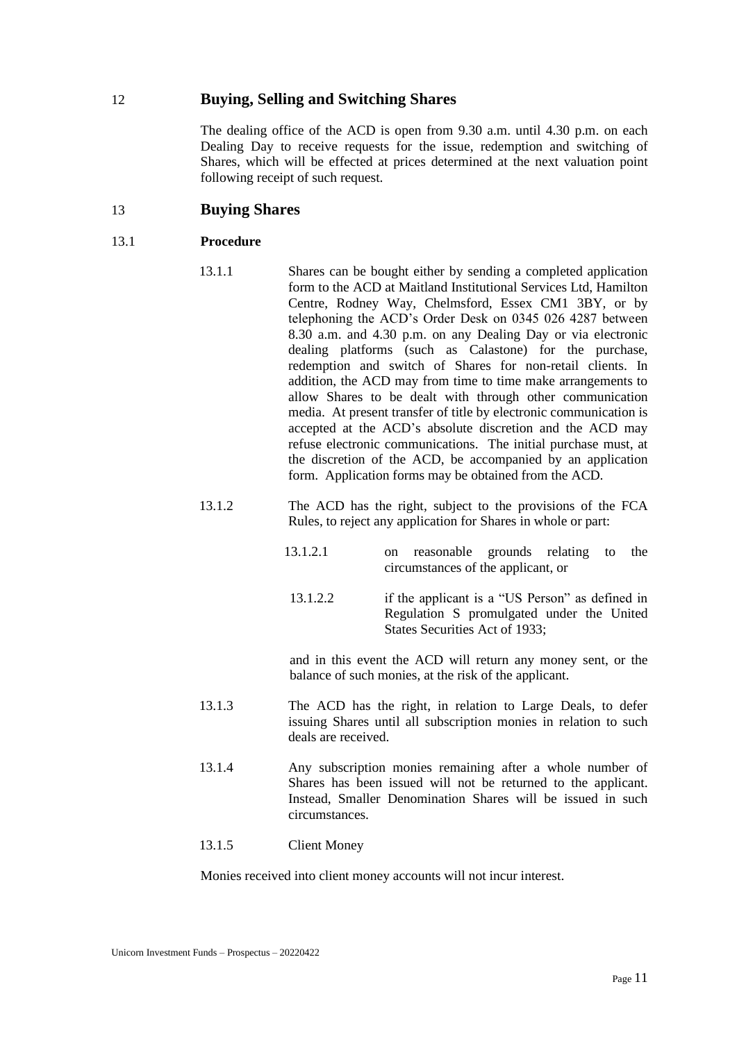## <span id="page-14-0"></span>12 **Buying, Selling and Switching Shares**

The dealing office of the ACD is open from 9.30 a.m. until 4.30 p.m. on each Dealing Day to receive requests for the issue, redemption and switching of Shares, which will be effected at prices determined at the next valuation point following receipt of such request.

## <span id="page-14-1"></span>13 **Buying Shares**

### 13.1 **Procedure**

- 13.1.1 Shares can be bought either by sending a completed application form to the ACD at Maitland Institutional Services Ltd, Hamilton Centre, Rodney Way, Chelmsford, Essex CM1 3BY, or by telephoning the ACD's Order Desk on 0345 026 4287 between 8.30 a.m. and 4.30 p.m. on any Dealing Day or via electronic dealing platforms (such as Calastone) for the purchase, redemption and switch of Shares for non-retail clients. In addition, the ACD may from time to time make arrangements to allow Shares to be dealt with through other communication media. At present transfer of title by electronic communication is accepted at the ACD's absolute discretion and the ACD may refuse electronic communications. The initial purchase must, at the discretion of the ACD, be accompanied by an application form. Application forms may be obtained from the ACD.
- 13.1.2 The ACD has the right, subject to the provisions of the FCA Rules, to reject any application for Shares in whole or part:
	- 13.1.2.1 on reasonable grounds relating to the circumstances of the applicant, or
	- 13.1.2.2 if the applicant is a "US Person" as defined in Regulation S promulgated under the United States Securities Act of 1933;

and in this event the ACD will return any money sent, or the balance of such monies, at the risk of the applicant.

- 13.1.3 The ACD has the right, in relation to Large Deals, to defer issuing Shares until all subscription monies in relation to such deals are received.
- 13.1.4 Any subscription monies remaining after a whole number of Shares has been issued will not be returned to the applicant. Instead, Smaller Denomination Shares will be issued in such circumstances.

### 13.1.5 Client Money

Monies received into client money accounts will not incur interest.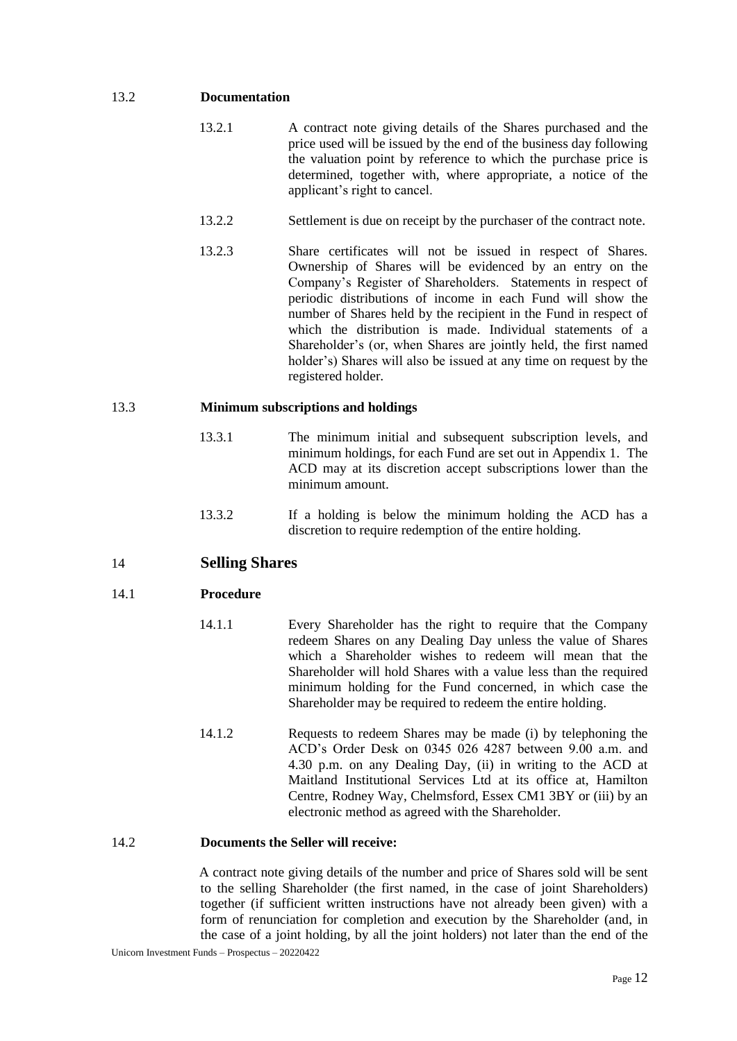### 13.2 **Documentation**

- 13.2.1 A contract note giving details of the Shares purchased and the price used will be issued by the end of the business day following the valuation point by reference to which the purchase price is determined, together with, where appropriate, a notice of the applicant's right to cancel.
- 13.2.2 Settlement is due on receipt by the purchaser of the contract note.
- 13.2.3 Share certificates will not be issued in respect of Shares. Ownership of Shares will be evidenced by an entry on the Company's Register of Shareholders. Statements in respect of periodic distributions of income in each Fund will show the number of Shares held by the recipient in the Fund in respect of which the distribution is made. Individual statements of a Shareholder's (or, when Shares are jointly held, the first named holder's) Shares will also be issued at any time on request by the registered holder.

### 13.3 **Minimum subscriptions and holdings**

- 13.3.1 The minimum initial and subsequent subscription levels, and minimum holdings, for each Fund are set out in Appendix 1. The ACD may at its discretion accept subscriptions lower than the minimum amount.
- 13.3.2 If a holding is below the minimum holding the ACD has a discretion to require redemption of the entire holding.

## <span id="page-15-0"></span>14 **Selling Shares**

### 14.1 **Procedure**

- 14.1.1 Every Shareholder has the right to require that the Company redeem Shares on any Dealing Day unless the value of Shares which a Shareholder wishes to redeem will mean that the Shareholder will hold Shares with a value less than the required minimum holding for the Fund concerned, in which case the Shareholder may be required to redeem the entire holding.
- 14.1.2 Requests to redeem Shares may be made (i) by telephoning the ACD's Order Desk on 0345 026 4287 between 9.00 a.m. and 4.30 p.m. on any Dealing Day, (ii) in writing to the ACD at Maitland Institutional Services Ltd at its office at, Hamilton Centre, Rodney Way, Chelmsford, Essex CM1 3BY or (iii) by an electronic method as agreed with the Shareholder.

#### 14.2 **Documents the Seller will receive:**

A contract note giving details of the number and price of Shares sold will be sent to the selling Shareholder (the first named, in the case of joint Shareholders) together (if sufficient written instructions have not already been given) with a form of renunciation for completion and execution by the Shareholder (and, in the case of a joint holding, by all the joint holders) not later than the end of the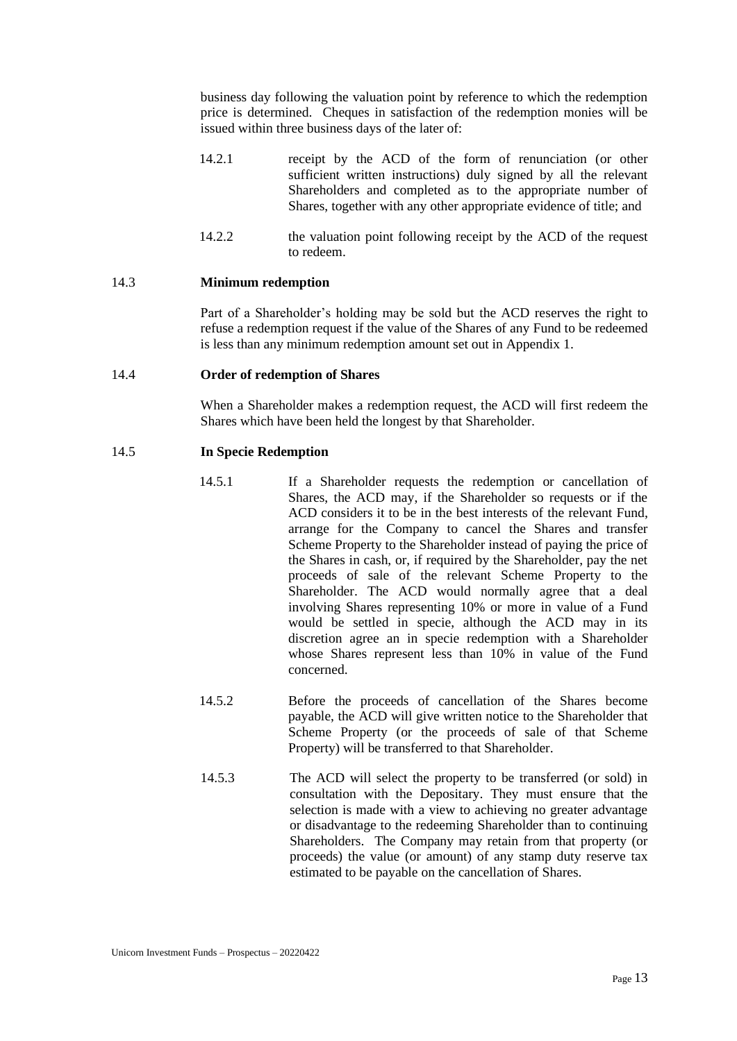business day following the valuation point by reference to which the redemption price is determined. Cheques in satisfaction of the redemption monies will be issued within three business days of the later of:

- 14.2.1 receipt by the ACD of the form of renunciation (or other sufficient written instructions) duly signed by all the relevant Shareholders and completed as to the appropriate number of Shares, together with any other appropriate evidence of title; and
- 14.2.2 the valuation point following receipt by the ACD of the request to redeem.

#### 14.3 **Minimum redemption**

Part of a Shareholder's holding may be sold but the ACD reserves the right to refuse a redemption request if the value of the Shares of any Fund to be redeemed is less than any minimum redemption amount set out in Appendix 1.

#### 14.4 **Order of redemption of Shares**

When a Shareholder makes a redemption request, the ACD will first redeem the Shares which have been held the longest by that Shareholder.

#### 14.5 **In Specie Redemption**

- 14.5.1 If a Shareholder requests the redemption or cancellation of Shares, the ACD may, if the Shareholder so requests or if the ACD considers it to be in the best interests of the relevant Fund, arrange for the Company to cancel the Shares and transfer Scheme Property to the Shareholder instead of paying the price of the Shares in cash, or, if required by the Shareholder, pay the net proceeds of sale of the relevant Scheme Property to the Shareholder. The ACD would normally agree that a deal involving Shares representing 10% or more in value of a Fund would be settled in specie, although the ACD may in its discretion agree an in specie redemption with a Shareholder whose Shares represent less than 10% in value of the Fund concerned.
- 14.5.2 Before the proceeds of cancellation of the Shares become payable, the ACD will give written notice to the Shareholder that Scheme Property (or the proceeds of sale of that Scheme Property) will be transferred to that Shareholder.
- 14.5.3 The ACD will select the property to be transferred (or sold) in consultation with the Depositary. They must ensure that the selection is made with a view to achieving no greater advantage or disadvantage to the redeeming Shareholder than to continuing Shareholders. The Company may retain from that property (or proceeds) the value (or amount) of any stamp duty reserve tax estimated to be payable on the cancellation of Shares.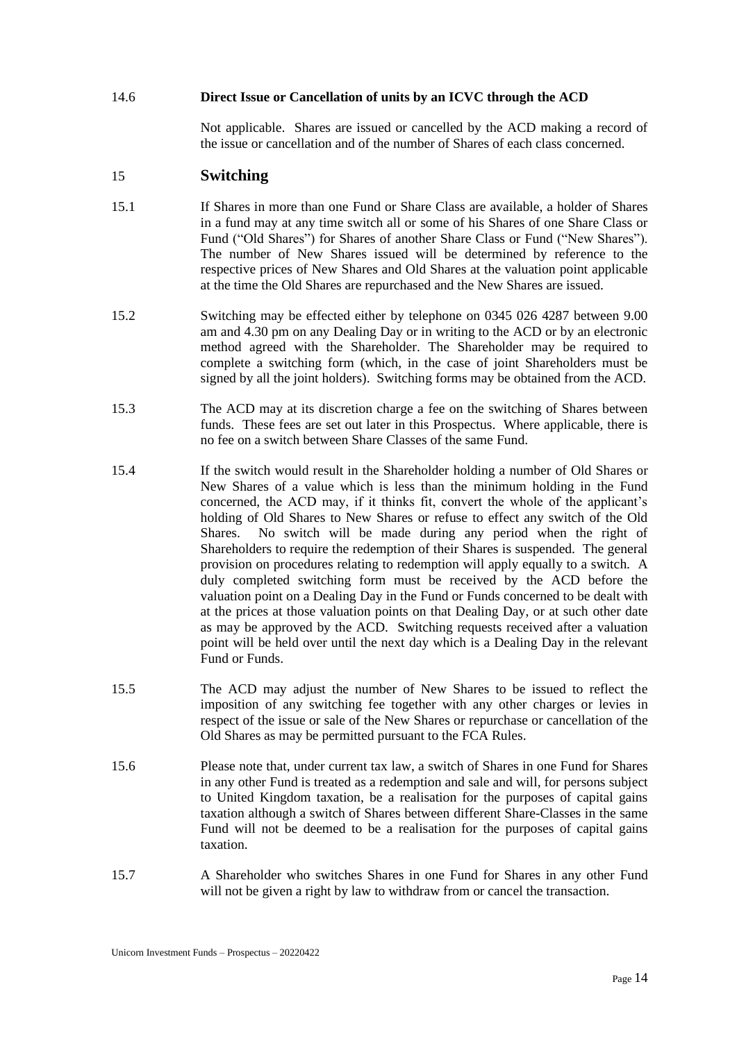#### 14.6 **Direct Issue or Cancellation of units by an ICVC through the ACD**

Not applicable. Shares are issued or cancelled by the ACD making a record of the issue or cancellation and of the number of Shares of each class concerned.

### <span id="page-17-0"></span>15 **Switching**

- 15.1 If Shares in more than one Fund or Share Class are available, a holder of Shares in a fund may at any time switch all or some of his Shares of one Share Class or Fund ("Old Shares") for Shares of another Share Class or Fund ("New Shares"). The number of New Shares issued will be determined by reference to the respective prices of New Shares and Old Shares at the valuation point applicable at the time the Old Shares are repurchased and the New Shares are issued.
- 15.2 Switching may be effected either by telephone on 0345 026 4287 between 9.00 am and 4.30 pm on any Dealing Day or in writing to the ACD or by an electronic method agreed with the Shareholder. The Shareholder may be required to complete a switching form (which, in the case of joint Shareholders must be signed by all the joint holders). Switching forms may be obtained from the ACD.
- 15.3 The ACD may at its discretion charge a fee on the switching of Shares between funds. These fees are set out later in this Prospectus. Where applicable, there is no fee on a switch between Share Classes of the same Fund.
- 15.4 If the switch would result in the Shareholder holding a number of Old Shares or New Shares of a value which is less than the minimum holding in the Fund concerned, the ACD may, if it thinks fit, convert the whole of the applicant's holding of Old Shares to New Shares or refuse to effect any switch of the Old Shares. No switch will be made during any period when the right of Shareholders to require the redemption of their Shares is suspended. The general provision on procedures relating to redemption will apply equally to a switch. A duly completed switching form must be received by the ACD before the valuation point on a Dealing Day in the Fund or Funds concerned to be dealt with at the prices at those valuation points on that Dealing Day, or at such other date as may be approved by the ACD. Switching requests received after a valuation point will be held over until the next day which is a Dealing Day in the relevant Fund or Funds.
- 15.5 The ACD may adjust the number of New Shares to be issued to reflect the imposition of any switching fee together with any other charges or levies in respect of the issue or sale of the New Shares or repurchase or cancellation of the Old Shares as may be permitted pursuant to the FCA Rules.
- 15.6 Please note that, under current tax law, a switch of Shares in one Fund for Shares in any other Fund is treated as a redemption and sale and will, for persons subject to United Kingdom taxation, be a realisation for the purposes of capital gains taxation although a switch of Shares between different Share-Classes in the same Fund will not be deemed to be a realisation for the purposes of capital gains taxation.
- 15.7 A Shareholder who switches Shares in one Fund for Shares in any other Fund will not be given a right by law to withdraw from or cancel the transaction.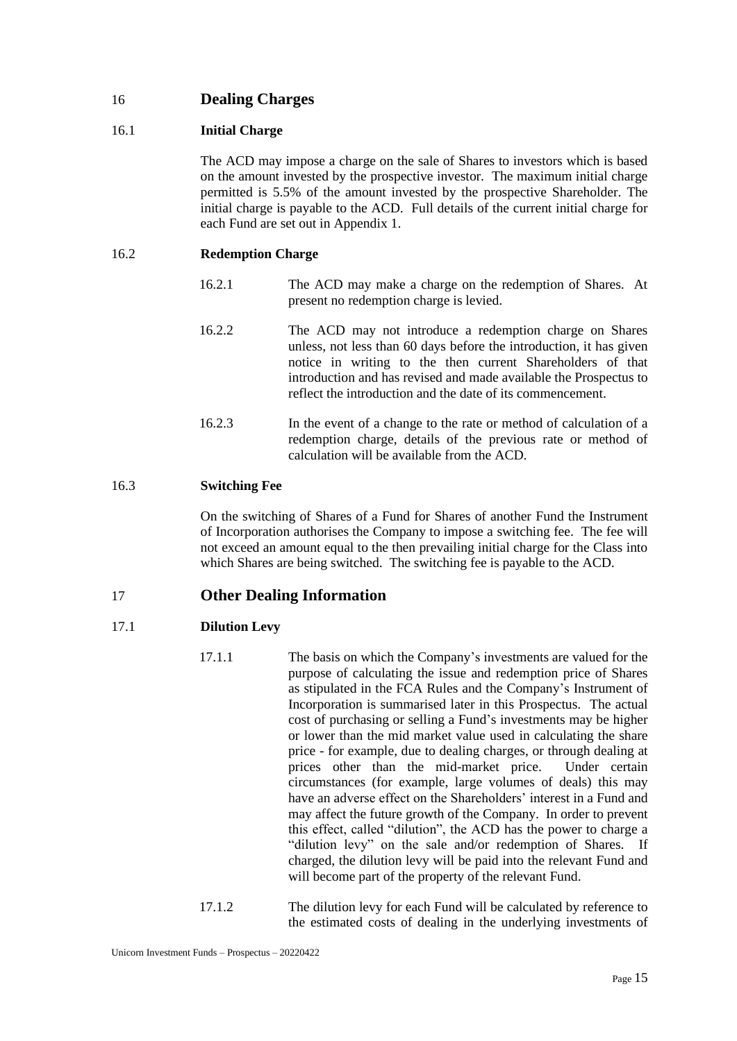# <span id="page-18-0"></span>16 **Dealing Charges**

### 16.1 **Initial Charge**

The ACD may impose a charge on the sale of Shares to investors which is based on the amount invested by the prospective investor. The maximum initial charge permitted is 5.5% of the amount invested by the prospective Shareholder. The initial charge is payable to the ACD. Full details of the current initial charge for each Fund are set out in Appendix 1.

### 16.2 **Redemption Charge**

- 16.2.1 The ACD may make a charge on the redemption of Shares. At present no redemption charge is levied.
- 16.2.2 The ACD may not introduce a redemption charge on Shares unless, not less than 60 days before the introduction, it has given notice in writing to the then current Shareholders of that introduction and has revised and made available the Prospectus to reflect the introduction and the date of its commencement.
- 16.2.3 In the event of a change to the rate or method of calculation of a redemption charge, details of the previous rate or method of calculation will be available from the ACD.

## 16.3 **Switching Fee**

On the switching of Shares of a Fund for Shares of another Fund the Instrument of Incorporation authorises the Company to impose a switching fee. The fee will not exceed an amount equal to the then prevailing initial charge for the Class into which Shares are being switched. The switching fee is payable to the ACD.

## <span id="page-18-1"></span>17 **Other Dealing Information**

### 17.1 **Dilution Levy**

- 17.1.1 The basis on which the Company's investments are valued for the purpose of calculating the issue and redemption price of Shares as stipulated in the FCA Rules and the Company's Instrument of Incorporation is summarised later in this Prospectus. The actual cost of purchasing or selling a Fund's investments may be higher or lower than the mid market value used in calculating the share price - for example, due to dealing charges, or through dealing at prices other than the mid-market price. Under certain circumstances (for example, large volumes of deals) this may have an adverse effect on the Shareholders' interest in a Fund and may affect the future growth of the Company. In order to prevent this effect, called "dilution", the ACD has the power to charge a "dilution levy" on the sale and/or redemption of Shares. If charged, the dilution levy will be paid into the relevant Fund and will become part of the property of the relevant Fund.
- 17.1.2 The dilution levy for each Fund will be calculated by reference to the estimated costs of dealing in the underlying investments of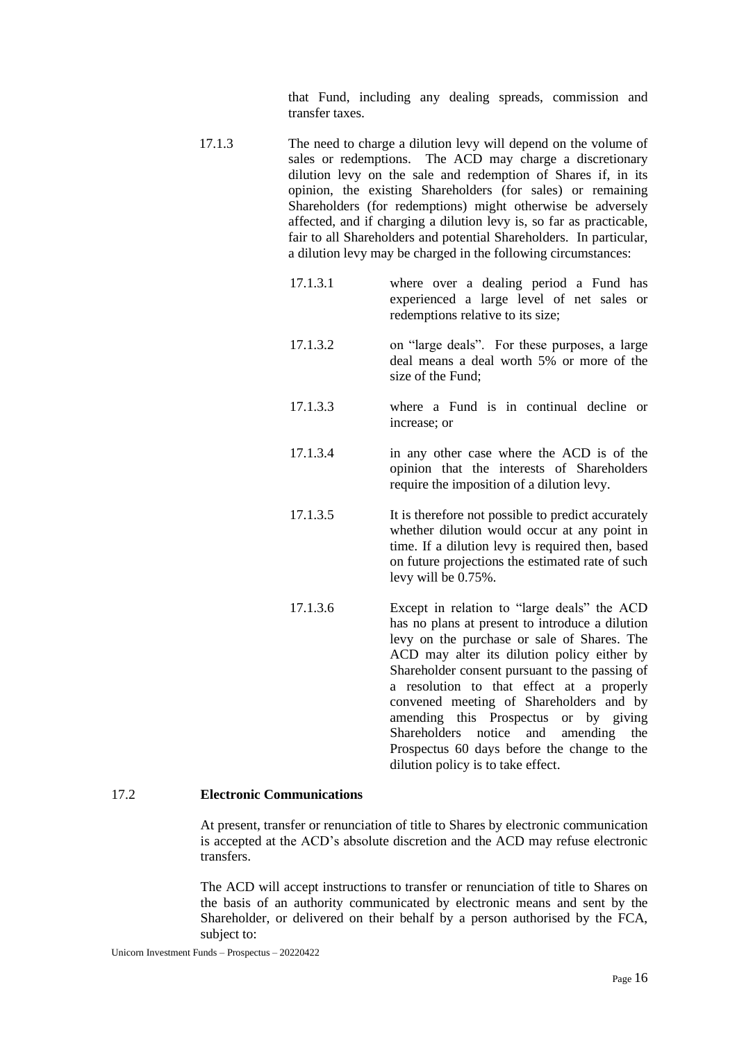that Fund, including any dealing spreads, commission and transfer taxes.

- 17.1.3 The need to charge a dilution levy will depend on the volume of sales or redemptions. The ACD may charge a discretionary dilution levy on the sale and redemption of Shares if, in its opinion, the existing Shareholders (for sales) or remaining Shareholders (for redemptions) might otherwise be adversely affected, and if charging a dilution levy is, so far as practicable, fair to all Shareholders and potential Shareholders. In particular, a dilution levy may be charged in the following circumstances:
	- 17.1.3.1 where over a dealing period a Fund has experienced a large level of net sales or redemptions relative to its size;
	- 17.1.3.2 on "large deals". For these purposes, a large deal means a deal worth 5% or more of the size of the Fund<sup>-</sup>
	- 17.1.3.3 where a Fund is in continual decline or increase; or
	- 17.1.3.4 in any other case where the ACD is of the opinion that the interests of Shareholders require the imposition of a dilution levy.
	- 17.1.3.5 It is therefore not possible to predict accurately whether dilution would occur at any point in time. If a dilution levy is required then, based on future projections the estimated rate of such levy will be 0.75%.
	- 17.1.3.6 Except in relation to "large deals" the ACD has no plans at present to introduce a dilution levy on the purchase or sale of Shares. The ACD may alter its dilution policy either by Shareholder consent pursuant to the passing of a resolution to that effect at a properly convened meeting of Shareholders and by amending this Prospectus or by giving Shareholders notice and amending the Prospectus 60 days before the change to the dilution policy is to take effect.

#### 17.2 **Electronic Communications**

At present, transfer or renunciation of title to Shares by electronic communication is accepted at the ACD's absolute discretion and the ACD may refuse electronic transfers.

The ACD will accept instructions to transfer or renunciation of title to Shares on the basis of an authority communicated by electronic means and sent by the Shareholder, or delivered on their behalf by a person authorised by the FCA, subject to: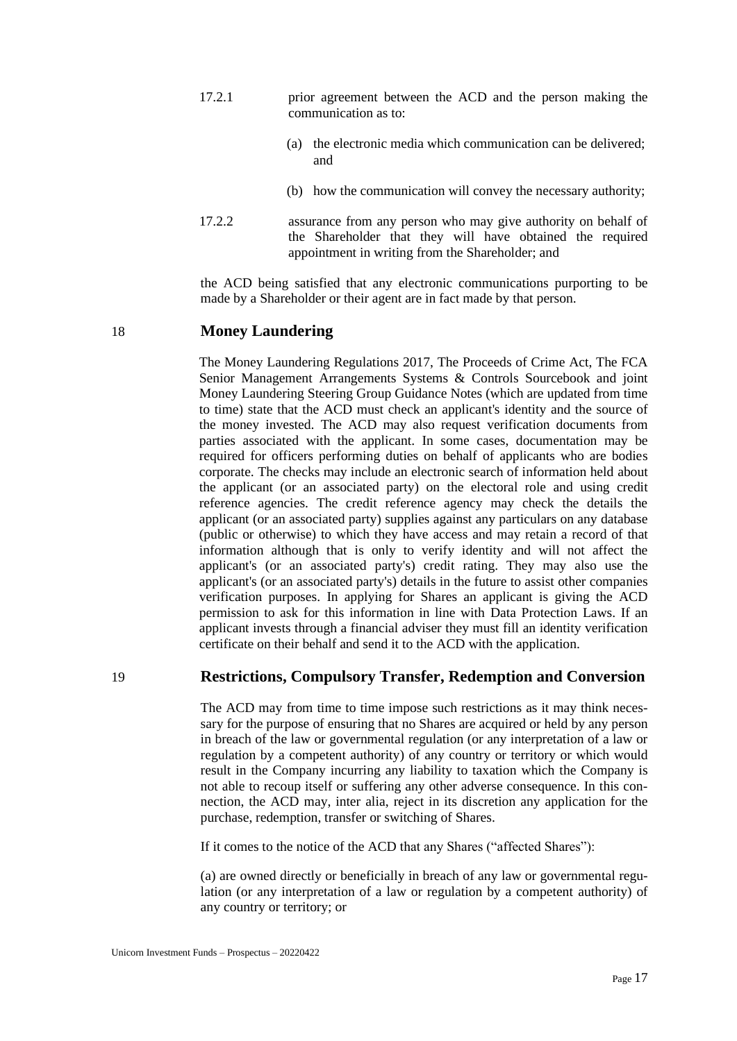- 17.2.1 prior agreement between the ACD and the person making the communication as to:
	- (a) the electronic media which communication can be delivered; and
	- (b) how the communication will convey the necessary authority;
- 17.2.2 assurance from any person who may give authority on behalf of the Shareholder that they will have obtained the required appointment in writing from the Shareholder; and

the ACD being satisfied that any electronic communications purporting to be made by a Shareholder or their agent are in fact made by that person.

## <span id="page-20-0"></span>18 **Money Laundering**

The Money Laundering Regulations 2017, The Proceeds of Crime Act, The FCA Senior Management Arrangements Systems & Controls Sourcebook and joint Money Laundering Steering Group Guidance Notes (which are updated from time to time) state that the ACD must check an applicant's identity and the source of the money invested. The ACD may also request verification documents from parties associated with the applicant. In some cases, documentation may be required for officers performing duties on behalf of applicants who are bodies corporate. The checks may include an electronic search of information held about the applicant (or an associated party) on the electoral role and using credit reference agencies. The credit reference agency may check the details the applicant (or an associated party) supplies against any particulars on any database (public or otherwise) to which they have access and may retain a record of that information although that is only to verify identity and will not affect the applicant's (or an associated party's) credit rating. They may also use the applicant's (or an associated party's) details in the future to assist other companies verification purposes. In applying for Shares an applicant is giving the ACD permission to ask for this information in line with Data Protection Laws. If an applicant invests through a financial adviser they must fill an identity verification certificate on their behalf and send it to the ACD with the application.

### <span id="page-20-1"></span>19 **Restrictions, Compulsory Transfer, Redemption and Conversion**

The ACD may from time to time impose such restrictions as it may think necessary for the purpose of ensuring that no Shares are acquired or held by any person in breach of the law or governmental regulation (or any interpretation of a law or regulation by a competent authority) of any country or territory or which would result in the Company incurring any liability to taxation which the Company is not able to recoup itself or suffering any other adverse consequence. In this connection, the ACD may, inter alia, reject in its discretion any application for the purchase, redemption, transfer or switching of Shares.

If it comes to the notice of the ACD that any Shares ("affected Shares"):

(a) are owned directly or beneficially in breach of any law or governmental regulation (or any interpretation of a law or regulation by a competent authority) of any country or territory; or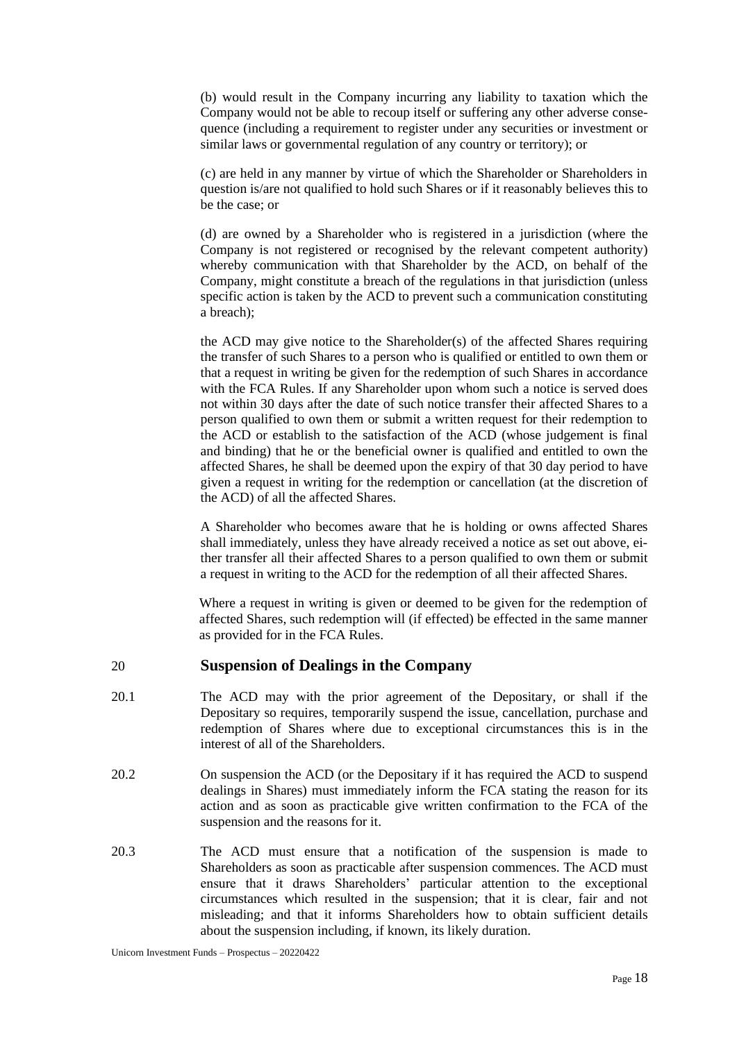(b) would result in the Company incurring any liability to taxation which the Company would not be able to recoup itself or suffering any other adverse consequence (including a requirement to register under any securities or investment or similar laws or governmental regulation of any country or territory); or

(c) are held in any manner by virtue of which the Shareholder or Shareholders in question is/are not qualified to hold such Shares or if it reasonably believes this to be the case; or

(d) are owned by a Shareholder who is registered in a jurisdiction (where the Company is not registered or recognised by the relevant competent authority) whereby communication with that Shareholder by the ACD, on behalf of the Company, might constitute a breach of the regulations in that jurisdiction (unless specific action is taken by the ACD to prevent such a communication constituting a breach);

the ACD may give notice to the Shareholder(s) of the affected Shares requiring the transfer of such Shares to a person who is qualified or entitled to own them or that a request in writing be given for the redemption of such Shares in accordance with the FCA Rules. If any Shareholder upon whom such a notice is served does not within 30 days after the date of such notice transfer their affected Shares to a person qualified to own them or submit a written request for their redemption to the ACD or establish to the satisfaction of the ACD (whose judgement is final and binding) that he or the beneficial owner is qualified and entitled to own the affected Shares, he shall be deemed upon the expiry of that 30 day period to have given a request in writing for the redemption or cancellation (at the discretion of the ACD) of all the affected Shares.

A Shareholder who becomes aware that he is holding or owns affected Shares shall immediately, unless they have already received a notice as set out above, either transfer all their affected Shares to a person qualified to own them or submit a request in writing to the ACD for the redemption of all their affected Shares.

Where a request in writing is given or deemed to be given for the redemption of affected Shares, such redemption will (if effected) be effected in the same manner as provided for in the FCA Rules.

### <span id="page-21-0"></span>20 **Suspension of Dealings in the Company**

- 20.1 The ACD may with the prior agreement of the Depositary, or shall if the Depositary so requires, temporarily suspend the issue, cancellation, purchase and redemption of Shares where due to exceptional circumstances this is in the interest of all of the Shareholders.
- 20.2 On suspension the ACD (or the Depositary if it has required the ACD to suspend dealings in Shares) must immediately inform the FCA stating the reason for its action and as soon as practicable give written confirmation to the FCA of the suspension and the reasons for it.
- 20.3 The ACD must ensure that a notification of the suspension is made to Shareholders as soon as practicable after suspension commences. The ACD must ensure that it draws Shareholders' particular attention to the exceptional circumstances which resulted in the suspension; that it is clear, fair and not misleading; and that it informs Shareholders how to obtain sufficient details about the suspension including, if known, its likely duration.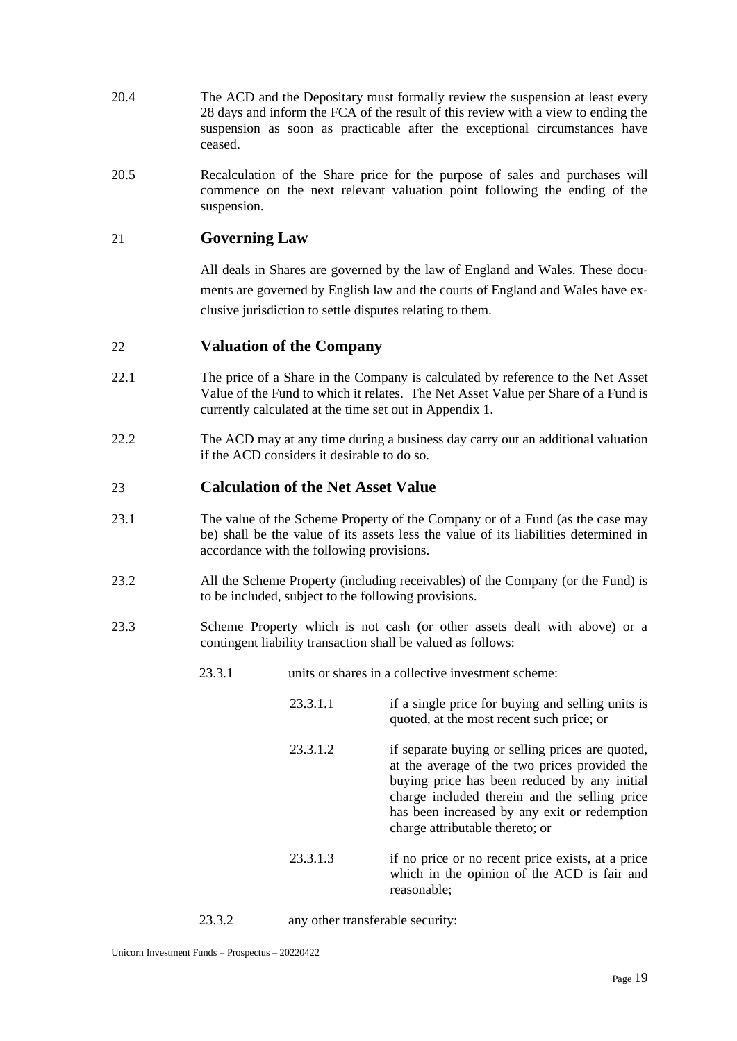- 20.4 The ACD and the Depositary must formally review the suspension at least every 28 days and inform the FCA of the result of this review with a view to ending the suspension as soon as practicable after the exceptional circumstances have ceased.
- 20.5 Recalculation of the Share price for the purpose of sales and purchases will commence on the next relevant valuation point following the ending of the suspension.

# <span id="page-22-0"></span>21 **Governing Law**

All deals in Shares are governed by the law of England and Wales. These documents are governed by English law and the courts of England and Wales have exclusive jurisdiction to settle disputes relating to them.

## <span id="page-22-1"></span>22 **Valuation of the Company**

- 22.1 The price of a Share in the Company is calculated by reference to the Net Asset Value of the Fund to which it relates. The Net Asset Value per Share of a Fund is currently calculated at the time set out in Appendix 1.
- 22.2 The ACD may at any time during a business day carry out an additional valuation if the ACD considers it desirable to do so.

## <span id="page-22-2"></span>23 **Calculation of the Net Asset Value**

- 23.1 The value of the Scheme Property of the Company or of a Fund (as the case may be) shall be the value of its assets less the value of its liabilities determined in accordance with the following provisions.
- 23.2 All the Scheme Property (including receivables) of the Company (or the Fund) is to be included, subject to the following provisions.
- 23.3 Scheme Property which is not cash (or other assets dealt with above) or a contingent liability transaction shall be valued as follows:
	- 23.3.1 units or shares in a collective investment scheme:
		- 23.3.1.1 if a single price for buying and selling units is quoted, at the most recent such price; or
		- 23.3.1.2 if separate buying or selling prices are quoted, at the average of the two prices provided the buying price has been reduced by any initial charge included therein and the selling price has been increased by any exit or redemption charge attributable thereto; or
		- 23.3.1.3 if no price or no recent price exists, at a price which in the opinion of the ACD is fair and reasonable;

23.3.2 any other transferable security: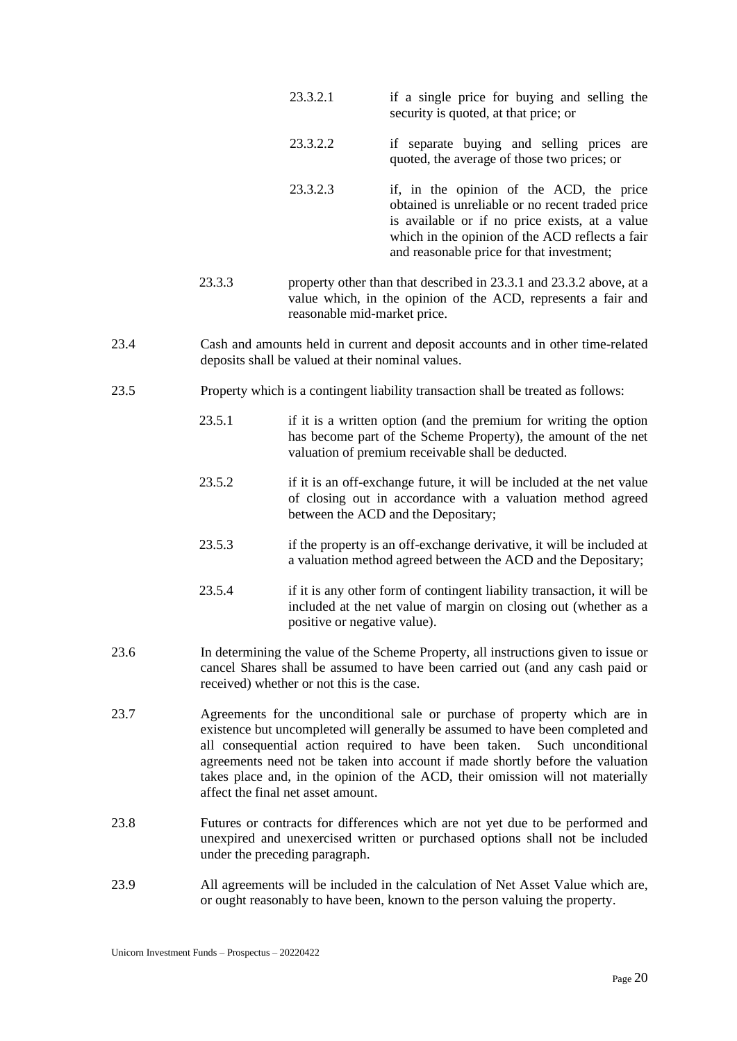- 23.3.2.1 if a single price for buying and selling the security is quoted, at that price; or
- 23.3.2.2 if separate buying and selling prices are quoted, the average of those two prices; or
- 23.3.2.3 if, in the opinion of the ACD, the price obtained is unreliable or no recent traded price is available or if no price exists, at a value which in the opinion of the ACD reflects a fair and reasonable price for that investment;
- 23.3.3 property other than that described in 23.3.1 and 23.3.2 above, at a value which, in the opinion of the ACD, represents a fair and reasonable mid-market price.
- 23.4 Cash and amounts held in current and deposit accounts and in other time-related deposits shall be valued at their nominal values.
- 23.5 Property which is a contingent liability transaction shall be treated as follows:
	- 23.5.1 if it is a written option (and the premium for writing the option has become part of the Scheme Property), the amount of the net valuation of premium receivable shall be deducted.
	- 23.5.2 if it is an off-exchange future, it will be included at the net value of closing out in accordance with a valuation method agreed between the ACD and the Depositary;
	- 23.5.3 if the property is an off-exchange derivative, it will be included at a valuation method agreed between the ACD and the Depositary;
	- 23.5.4 if it is any other form of contingent liability transaction, it will be included at the net value of margin on closing out (whether as a positive or negative value).
- 23.6 In determining the value of the Scheme Property, all instructions given to issue or cancel Shares shall be assumed to have been carried out (and any cash paid or received) whether or not this is the case.
- 23.7 Agreements for the unconditional sale or purchase of property which are in existence but uncompleted will generally be assumed to have been completed and all consequential action required to have been taken. Such unconditional agreements need not be taken into account if made shortly before the valuation takes place and, in the opinion of the ACD, their omission will not materially affect the final net asset amount.
- 23.8 Futures or contracts for differences which are not yet due to be performed and unexpired and unexercised written or purchased options shall not be included under the preceding paragraph.
- 23.9 All agreements will be included in the calculation of Net Asset Value which are, or ought reasonably to have been, known to the person valuing the property.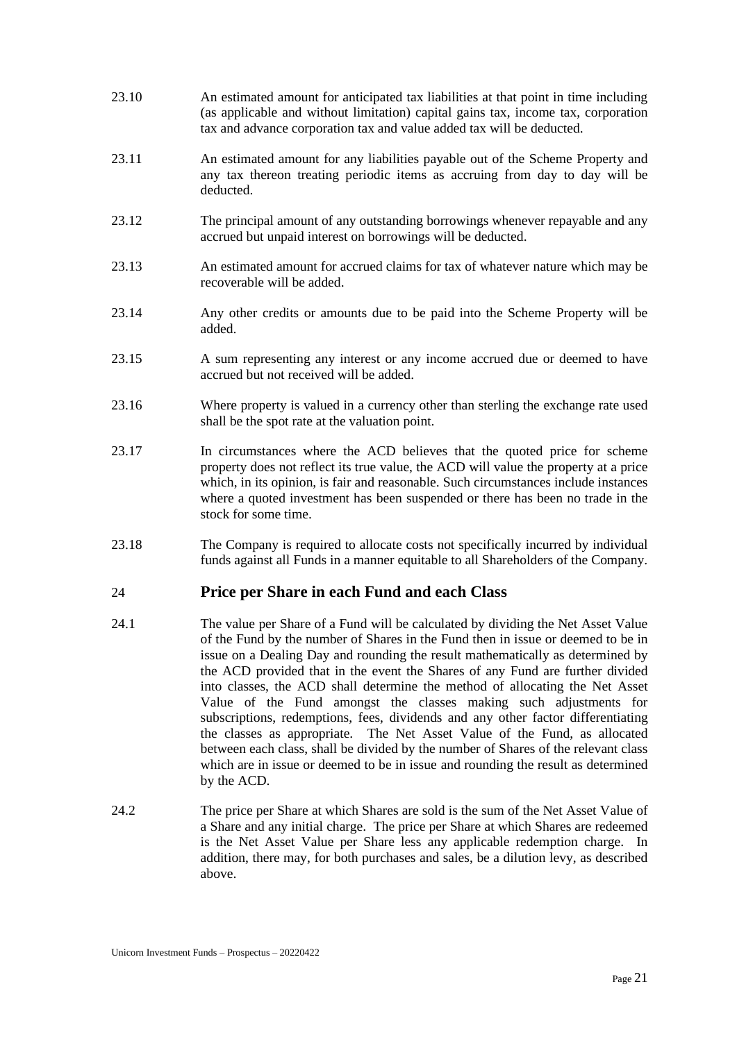- 23.10 An estimated amount for anticipated tax liabilities at that point in time including (as applicable and without limitation) capital gains tax, income tax, corporation tax and advance corporation tax and value added tax will be deducted.
- 23.11 An estimated amount for any liabilities payable out of the Scheme Property and any tax thereon treating periodic items as accruing from day to day will be deducted.
- 23.12 The principal amount of any outstanding borrowings whenever repayable and any accrued but unpaid interest on borrowings will be deducted.
- 23.13 An estimated amount for accrued claims for tax of whatever nature which may be recoverable will be added.
- 23.14 Any other credits or amounts due to be paid into the Scheme Property will be added.
- 23.15 A sum representing any interest or any income accrued due or deemed to have accrued but not received will be added.
- 23.16 Where property is valued in a currency other than sterling the exchange rate used shall be the spot rate at the valuation point.
- 23.17 In circumstances where the ACD believes that the quoted price for scheme property does not reflect its true value, the ACD will value the property at a price which, in its opinion, is fair and reasonable. Such circumstances include instances where a quoted investment has been suspended or there has been no trade in the stock for some time.
- 23.18 The Company is required to allocate costs not specifically incurred by individual funds against all Funds in a manner equitable to all Shareholders of the Company.

## <span id="page-24-0"></span>24 **Price per Share in each Fund and each Class**

- 24.1 The value per Share of a Fund will be calculated by dividing the Net Asset Value of the Fund by the number of Shares in the Fund then in issue or deemed to be in issue on a Dealing Day and rounding the result mathematically as determined by the ACD provided that in the event the Shares of any Fund are further divided into classes, the ACD shall determine the method of allocating the Net Asset Value of the Fund amongst the classes making such adjustments for subscriptions, redemptions, fees, dividends and any other factor differentiating the classes as appropriate. The Net Asset Value of the Fund, as allocated between each class, shall be divided by the number of Shares of the relevant class which are in issue or deemed to be in issue and rounding the result as determined by the ACD.
- 24.2 The price per Share at which Shares are sold is the sum of the Net Asset Value of a Share and any initial charge. The price per Share at which Shares are redeemed is the Net Asset Value per Share less any applicable redemption charge. In addition, there may, for both purchases and sales, be a dilution levy, as described above.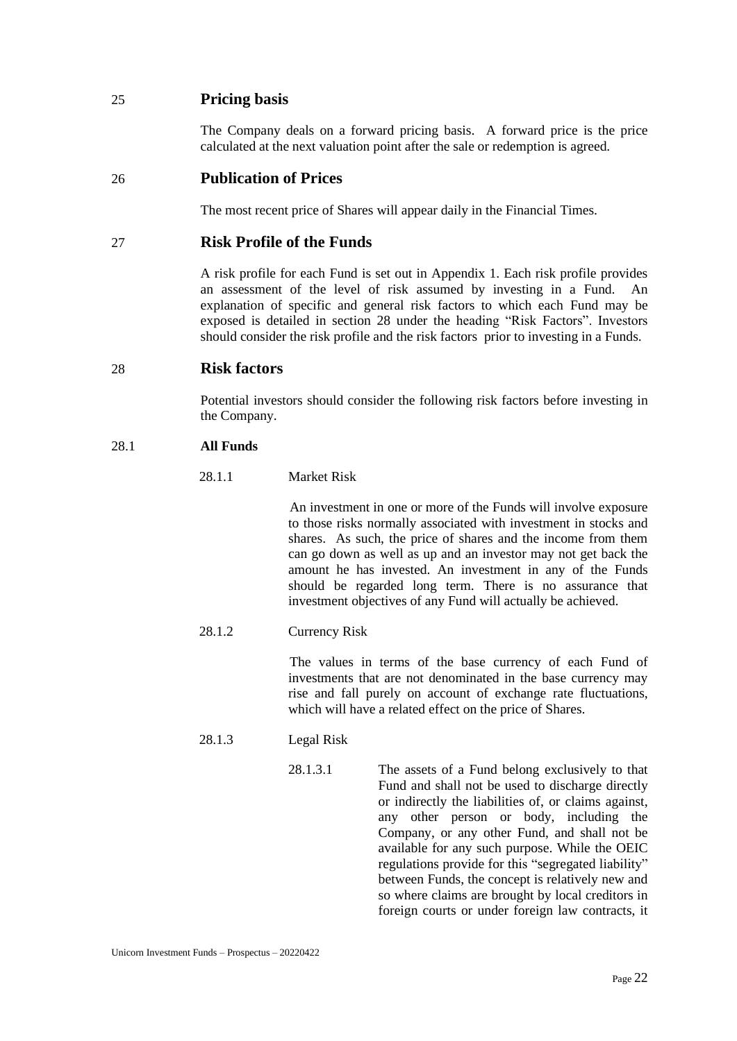# <span id="page-25-0"></span>25 **Pricing basis**

The Company deals on a forward pricing basis. A forward price is the price calculated at the next valuation point after the sale or redemption is agreed.

## <span id="page-25-1"></span>26 **Publication of Prices**

The most recent price of Shares will appear daily in the Financial Times.

## <span id="page-25-2"></span>27 **Risk Profile of the Funds**

A risk profile for each Fund is set out in Appendix 1. Each risk profile provides an assessment of the level of risk assumed by investing in a Fund. An explanation of specific and general risk factors to which each Fund may be exposed is detailed in section 28 under the heading "Risk Factors". Investors should consider the risk profile and the risk factors prior to investing in a Funds.

## <span id="page-25-3"></span>28 **Risk factors**

Potential investors should consider the following risk factors before investing in the Company.

#### 28.1 **All Funds**

#### 28.1.1 Market Risk

An investment in one or more of the Funds will involve exposure to those risks normally associated with investment in stocks and shares. As such, the price of shares and the income from them can go down as well as up and an investor may not get back the amount he has invested. An investment in any of the Funds should be regarded long term. There is no assurance that investment objectives of any Fund will actually be achieved.

### 28.1.2 Currency Risk

The values in terms of the base currency of each Fund of investments that are not denominated in the base currency may rise and fall purely on account of exchange rate fluctuations, which will have a related effect on the price of Shares.

- 28.1.3 Legal Risk
	- 28.1.3.1 The assets of a Fund belong exclusively to that Fund and shall not be used to discharge directly or indirectly the liabilities of, or claims against, any other person or body, including the Company, or any other Fund, and shall not be available for any such purpose. While the OEIC regulations provide for this "segregated liability" between Funds, the concept is relatively new and so where claims are brought by local creditors in foreign courts or under foreign law contracts, it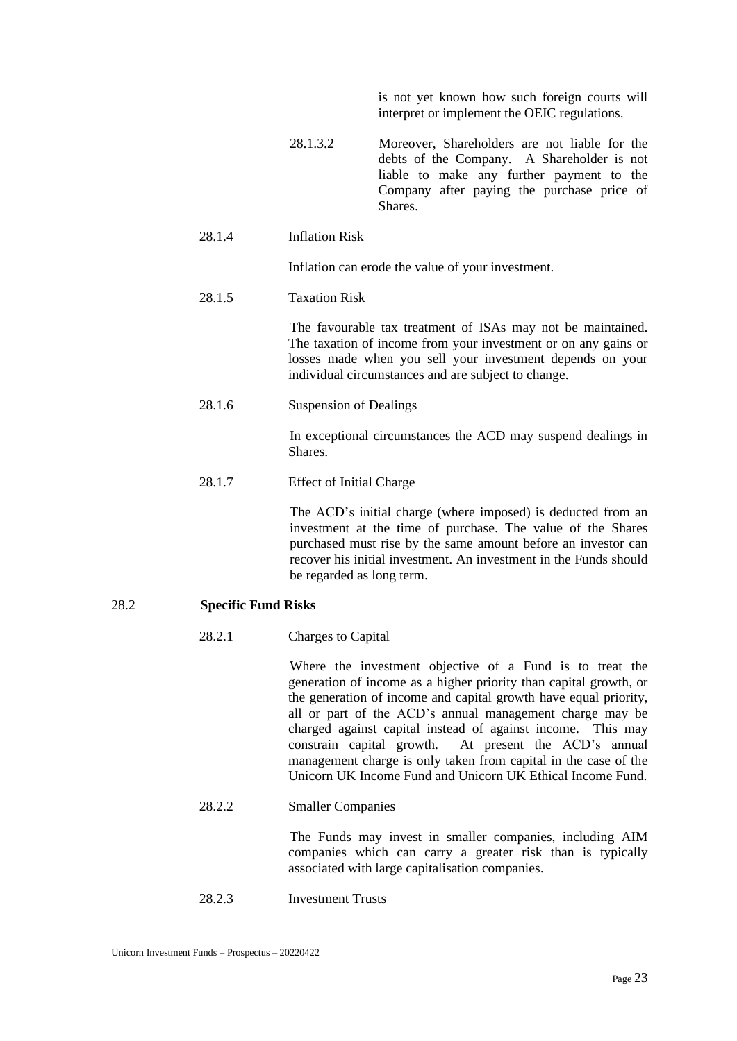is not yet known how such foreign courts will interpret or implement the OEIC regulations.

- 28.1.3.2 Moreover, Shareholders are not liable for the debts of the Company. A Shareholder is not liable to make any further payment to the Company after paying the purchase price of **Shares**.
- 28.1.4 Inflation Risk

Inflation can erode the value of your investment.

28.1.5 Taxation Risk

The favourable tax treatment of ISAs may not be maintained. The taxation of income from your investment or on any gains or losses made when you sell your investment depends on your individual circumstances and are subject to change.

28.1.6 Suspension of Dealings

In exceptional circumstances the ACD may suspend dealings in Shares.

28.1.7 Effect of Initial Charge

The ACD's initial charge (where imposed) is deducted from an investment at the time of purchase. The value of the Shares purchased must rise by the same amount before an investor can recover his initial investment. An investment in the Funds should be regarded as long term.

### 28.2 **Specific Fund Risks**

28.2.1 Charges to Capital

Where the investment objective of a Fund is to treat the generation of income as a higher priority than capital growth, or the generation of income and capital growth have equal priority, all or part of the ACD's annual management charge may be charged against capital instead of against income. This may constrain capital growth. At present the ACD's annual management charge is only taken from capital in the case of the Unicorn UK Income Fund and Unicorn UK Ethical Income Fund.

28.2.2 Smaller Companies

The Funds may invest in smaller companies, including AIM companies which can carry a greater risk than is typically associated with large capitalisation companies.

28.2.3 Investment Trusts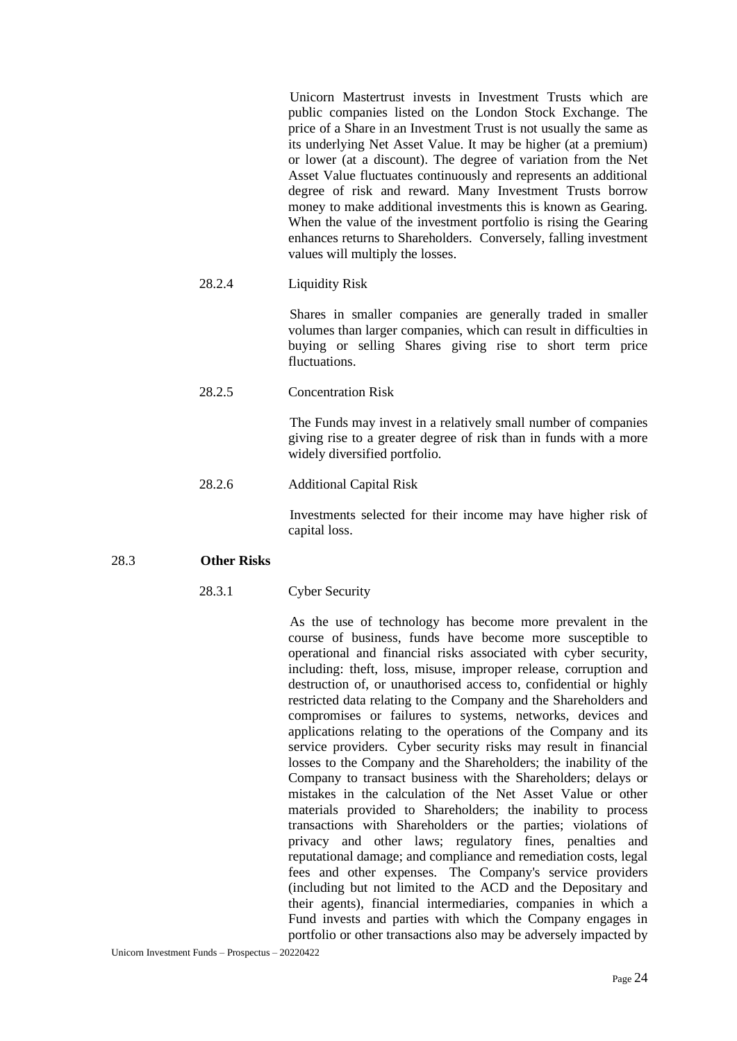Unicorn Mastertrust invests in Investment Trusts which are public companies listed on the London Stock Exchange. The price of a Share in an Investment Trust is not usually the same as its underlying Net Asset Value. It may be higher (at a premium) or lower (at a discount). The degree of variation from the Net Asset Value fluctuates continuously and represents an additional degree of risk and reward. Many Investment Trusts borrow money to make additional investments this is known as Gearing. When the value of the investment portfolio is rising the Gearing enhances returns to Shareholders. Conversely, falling investment values will multiply the losses.

### 28.2.4 Liquidity Risk

Shares in smaller companies are generally traded in smaller volumes than larger companies, which can result in difficulties in buying or selling Shares giving rise to short term price fluctuations.

#### 28.2.5 Concentration Risk

The Funds may invest in a relatively small number of companies giving rise to a greater degree of risk than in funds with a more widely diversified portfolio.

### 28.2.6 Additional Capital Risk

Investments selected for their income may have higher risk of capital loss.

### 28.3 **Other Risks**

### 28.3.1 Cyber Security

As the use of technology has become more prevalent in the course of business, funds have become more susceptible to operational and financial risks associated with cyber security, including: theft, loss, misuse, improper release, corruption and destruction of, or unauthorised access to, confidential or highly restricted data relating to the Company and the Shareholders and compromises or failures to systems, networks, devices and applications relating to the operations of the Company and its service providers. Cyber security risks may result in financial losses to the Company and the Shareholders; the inability of the Company to transact business with the Shareholders; delays or mistakes in the calculation of the Net Asset Value or other materials provided to Shareholders; the inability to process transactions with Shareholders or the parties; violations of privacy and other laws; regulatory fines, penalties and reputational damage; and compliance and remediation costs, legal fees and other expenses. The Company's service providers (including but not limited to the ACD and the Depositary and their agents), financial intermediaries, companies in which a Fund invests and parties with which the Company engages in portfolio or other transactions also may be adversely impacted by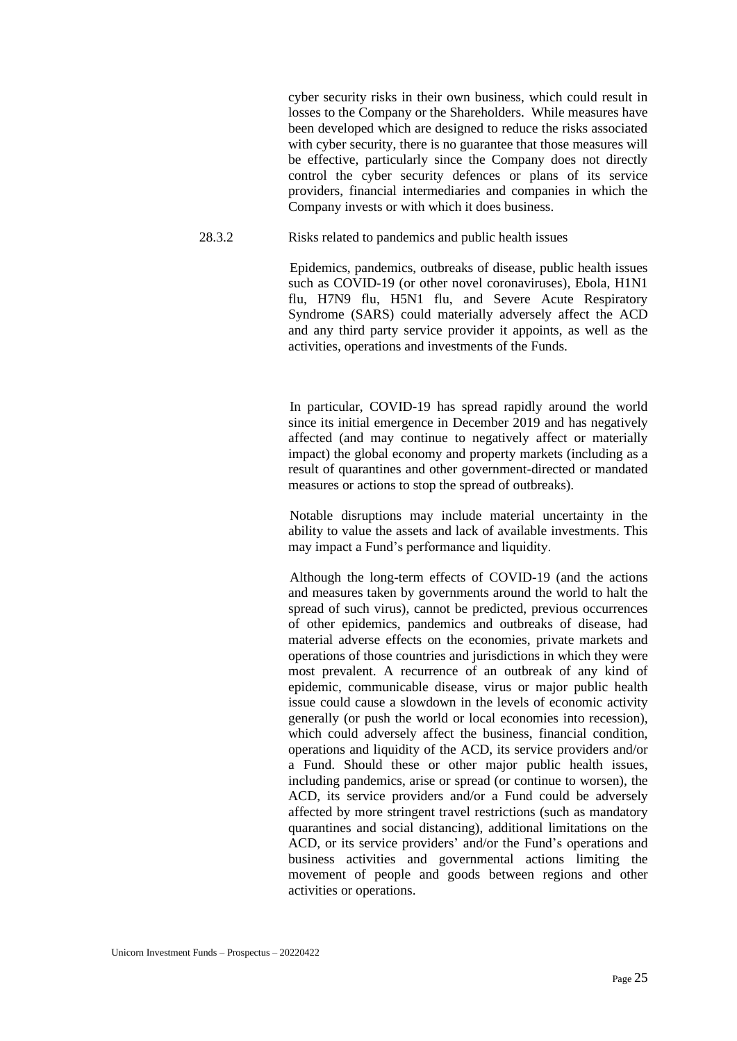cyber security risks in their own business, which could result in losses to the Company or the Shareholders. While measures have been developed which are designed to reduce the risks associated with cyber security, there is no guarantee that those measures will be effective, particularly since the Company does not directly control the cyber security defences or plans of its service providers, financial intermediaries and companies in which the Company invests or with which it does business.

28.3.2 Risks related to pandemics and public health issues

Epidemics, pandemics, outbreaks of disease, public health issues such as COVID-19 (or other novel coronaviruses), Ebola, H1N1 flu, H7N9 flu, H5N1 flu, and Severe Acute Respiratory Syndrome (SARS) could materially adversely affect the ACD and any third party service provider it appoints, as well as the activities, operations and investments of the Funds.

In particular, COVID-19 has spread rapidly around the world since its initial emergence in December 2019 and has negatively affected (and may continue to negatively affect or materially impact) the global economy and property markets (including as a result of quarantines and other government-directed or mandated measures or actions to stop the spread of outbreaks).

Notable disruptions may include material uncertainty in the ability to value the assets and lack of available investments. This may impact a Fund's performance and liquidity.

Although the long-term effects of COVID-19 (and the actions and measures taken by governments around the world to halt the spread of such virus), cannot be predicted, previous occurrences of other epidemics, pandemics and outbreaks of disease, had material adverse effects on the economies, private markets and operations of those countries and jurisdictions in which they were most prevalent. A recurrence of an outbreak of any kind of epidemic, communicable disease, virus or major public health issue could cause a slowdown in the levels of economic activity generally (or push the world or local economies into recession), which could adversely affect the business, financial condition, operations and liquidity of the ACD, its service providers and/or a Fund. Should these or other major public health issues, including pandemics, arise or spread (or continue to worsen), the ACD, its service providers and/or a Fund could be adversely affected by more stringent travel restrictions (such as mandatory quarantines and social distancing), additional limitations on the ACD, or its service providers' and/or the Fund's operations and business activities and governmental actions limiting the movement of people and goods between regions and other activities or operations.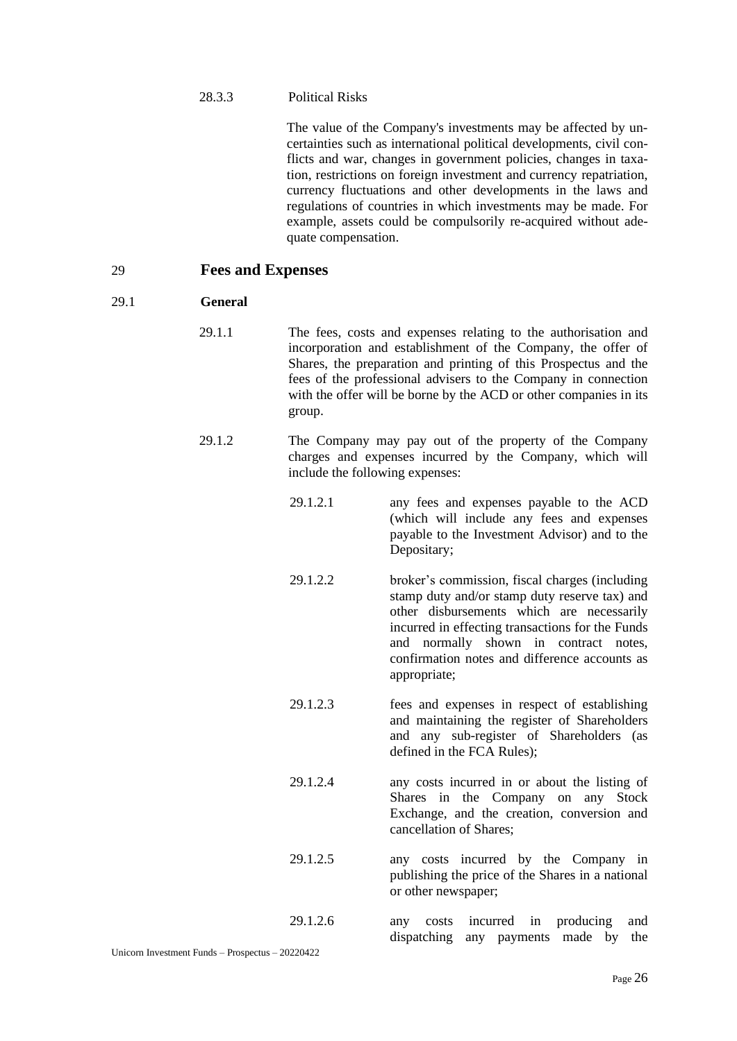The value of the Company's investments may be affected by uncertainties such as international political developments, civil conflicts and war, changes in government policies, changes in taxation, restrictions on foreign investment and currency repatriation, currency fluctuations and other developments in the laws and regulations of countries in which investments may be made. For example, assets could be compulsorily re-acquired without adequate compensation.

### <span id="page-29-0"></span>29 **Fees and Expenses**

#### 29.1 **General**

- 29.1.1 The fees, costs and expenses relating to the authorisation and incorporation and establishment of the Company, the offer of Shares, the preparation and printing of this Prospectus and the fees of the professional advisers to the Company in connection with the offer will be borne by the ACD or other companies in its group.
- 29.1.2 The Company may pay out of the property of the Company charges and expenses incurred by the Company, which will include the following expenses:
	- 29.1.2.1 any fees and expenses payable to the ACD (which will include any fees and expenses payable to the Investment Advisor) and to the Depositary;
	- 29.1.2.2 broker's commission, fiscal charges (including stamp duty and/or stamp duty reserve tax) and other disbursements which are necessarily incurred in effecting transactions for the Funds and normally shown in contract notes, confirmation notes and difference accounts as appropriate;
	- 29.1.2.3 fees and expenses in respect of establishing and maintaining the register of Shareholders and any sub-register of Shareholders (as defined in the FCA Rules);
	- 29.1.2.4 any costs incurred in or about the listing of Shares in the Company on any Stock Exchange, and the creation, conversion and cancellation of Shares;
	- 29.1.2.5 any costs incurred by the Company in publishing the price of the Shares in a national or other newspaper;

29.1.2.6 any costs incurred in producing and dispatching any payments made by the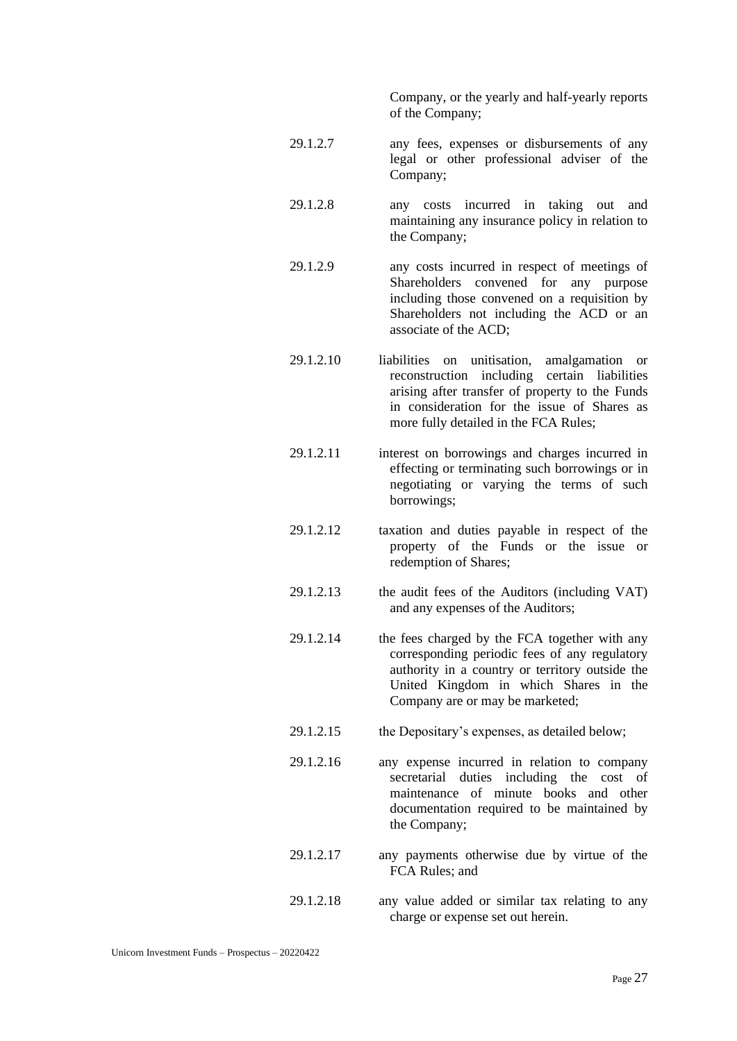Company, or the yearly and half-yearly reports of the Company;

- 29.1.2.7 any fees, expenses or disbursements of any legal or other professional adviser of the Company;
- 29.1.2.8 any costs incurred in taking out and maintaining any insurance policy in relation to the Company;
- 29.1.2.9 any costs incurred in respect of meetings of Shareholders convened for any purpose including those convened on a requisition by Shareholders not including the ACD or an associate of the ACD;
- 29.1.2.10 liabilities on unitisation, amalgamation or reconstruction including certain liabilities arising after transfer of property to the Funds in consideration for the issue of Shares as more fully detailed in the FCA Rules;
- 29.1.2.11 interest on borrowings and charges incurred in effecting or terminating such borrowings or in negotiating or varying the terms of such borrowings;
- 29.1.2.12 taxation and duties payable in respect of the property of the Funds or the issue or redemption of Shares;
- 29.1.2.13 the audit fees of the Auditors (including VAT) and any expenses of the Auditors;
- 29.1.2.14 the fees charged by the FCA together with any corresponding periodic fees of any regulatory authority in a country or territory outside the United Kingdom in which Shares in the Company are or may be marketed;
- 29.1.2.15 the Depositary's expenses, as detailed below;
- 29.1.2.16 any expense incurred in relation to company secretarial duties including the cost of maintenance of minute books and other documentation required to be maintained by the Company;
- 29.1.2.17 any payments otherwise due by virtue of the FCA Rules; and
- 29.1.2.18 any value added or similar tax relating to any charge or expense set out herein.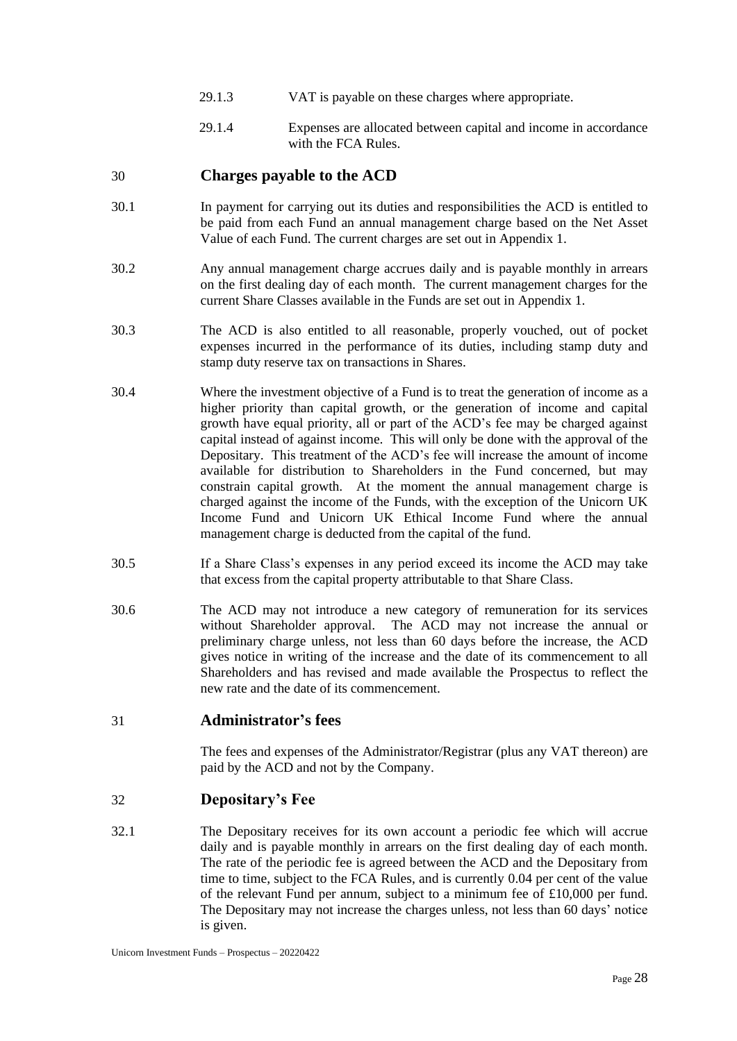- 29.1.3 VAT is payable on these charges where appropriate.
- 29.1.4 Expenses are allocated between capital and income in accordance with the FCA Rules.

# <span id="page-31-0"></span>30 **Charges payable to the ACD**

- 30.1 In payment for carrying out its duties and responsibilities the ACD is entitled to be paid from each Fund an annual management charge based on the Net Asset Value of each Fund. The current charges are set out in Appendix 1.
- 30.2 Any annual management charge accrues daily and is payable monthly in arrears on the first dealing day of each month. The current management charges for the current Share Classes available in the Funds are set out in Appendix 1.
- 30.3 The ACD is also entitled to all reasonable, properly vouched, out of pocket expenses incurred in the performance of its duties, including stamp duty and stamp duty reserve tax on transactions in Shares.
- 30.4 Where the investment objective of a Fund is to treat the generation of income as a higher priority than capital growth, or the generation of income and capital growth have equal priority, all or part of the ACD's fee may be charged against capital instead of against income. This will only be done with the approval of the Depositary. This treatment of the ACD's fee will increase the amount of income available for distribution to Shareholders in the Fund concerned, but may constrain capital growth. At the moment the annual management charge is charged against the income of the Funds, with the exception of the Unicorn UK Income Fund and Unicorn UK Ethical Income Fund where the annual management charge is deducted from the capital of the fund.
- 30.5 If a Share Class's expenses in any period exceed its income the ACD may take that excess from the capital property attributable to that Share Class.
- 30.6 The ACD may not introduce a new category of remuneration for its services without Shareholder approval. The ACD may not increase the annual or preliminary charge unless, not less than 60 days before the increase, the ACD gives notice in writing of the increase and the date of its commencement to all Shareholders and has revised and made available the Prospectus to reflect the new rate and the date of its commencement.

## <span id="page-31-1"></span>31 **Administrator's fees**

The fees and expenses of the Administrator/Registrar (plus any VAT thereon) are paid by the ACD and not by the Company.

## <span id="page-31-2"></span>32 **Depositary's Fee**

32.1 The Depositary receives for its own account a periodic fee which will accrue daily and is payable monthly in arrears on the first dealing day of each month. The rate of the periodic fee is agreed between the ACD and the Depositary from time to time, subject to the FCA Rules, and is currently 0.04 per cent of the value of the relevant Fund per annum, subject to a minimum fee of £10,000 per fund. The Depositary may not increase the charges unless, not less than 60 days' notice is given.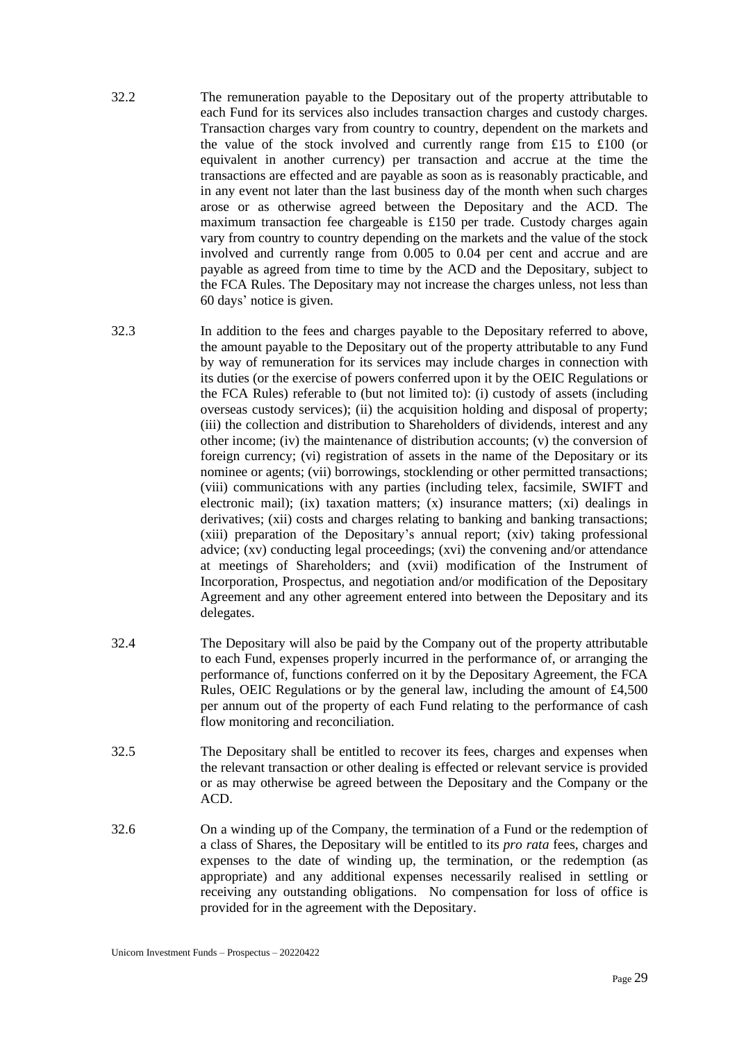- 32.2 The remuneration payable to the Depositary out of the property attributable to each Fund for its services also includes transaction charges and custody charges. Transaction charges vary from country to country, dependent on the markets and the value of the stock involved and currently range from £15 to £100 (or equivalent in another currency) per transaction and accrue at the time the transactions are effected and are payable as soon as is reasonably practicable, and in any event not later than the last business day of the month when such charges arose or as otherwise agreed between the Depositary and the ACD. The maximum transaction fee chargeable is £150 per trade. Custody charges again vary from country to country depending on the markets and the value of the stock involved and currently range from 0.005 to 0.04 per cent and accrue and are payable as agreed from time to time by the ACD and the Depositary, subject to the FCA Rules. The Depositary may not increase the charges unless, not less than 60 days' notice is given.
- 32.3 In addition to the fees and charges payable to the Depositary referred to above, the amount payable to the Depositary out of the property attributable to any Fund by way of remuneration for its services may include charges in connection with its duties (or the exercise of powers conferred upon it by the OEIC Regulations or the FCA Rules) referable to (but not limited to): (i) custody of assets (including overseas custody services); (ii) the acquisition holding and disposal of property; (iii) the collection and distribution to Shareholders of dividends, interest and any other income; (iv) the maintenance of distribution accounts; (v) the conversion of foreign currency; (vi) registration of assets in the name of the Depositary or its nominee or agents; (vii) borrowings, stocklending or other permitted transactions; (viii) communications with any parties (including telex, facsimile, SWIFT and electronic mail); (ix) taxation matters; (x) insurance matters; (xi) dealings in derivatives; (xii) costs and charges relating to banking and banking transactions; (xiii) preparation of the Depositary's annual report; (xiv) taking professional advice; (xv) conducting legal proceedings; (xvi) the convening and/or attendance at meetings of Shareholders; and (xvii) modification of the Instrument of Incorporation, Prospectus, and negotiation and/or modification of the Depositary Agreement and any other agreement entered into between the Depositary and its delegates.
- 32.4 The Depositary will also be paid by the Company out of the property attributable to each Fund, expenses properly incurred in the performance of, or arranging the performance of, functions conferred on it by the Depositary Agreement, the FCA Rules, OEIC Regulations or by the general law, including the amount of £4,500 per annum out of the property of each Fund relating to the performance of cash flow monitoring and reconciliation.
- 32.5 The Depositary shall be entitled to recover its fees, charges and expenses when the relevant transaction or other dealing is effected or relevant service is provided or as may otherwise be agreed between the Depositary and the Company or the ACD.
- 32.6 On a winding up of the Company, the termination of a Fund or the redemption of a class of Shares, the Depositary will be entitled to its *pro rata* fees, charges and expenses to the date of winding up, the termination, or the redemption (as appropriate) and any additional expenses necessarily realised in settling or receiving any outstanding obligations. No compensation for loss of office is provided for in the agreement with the Depositary.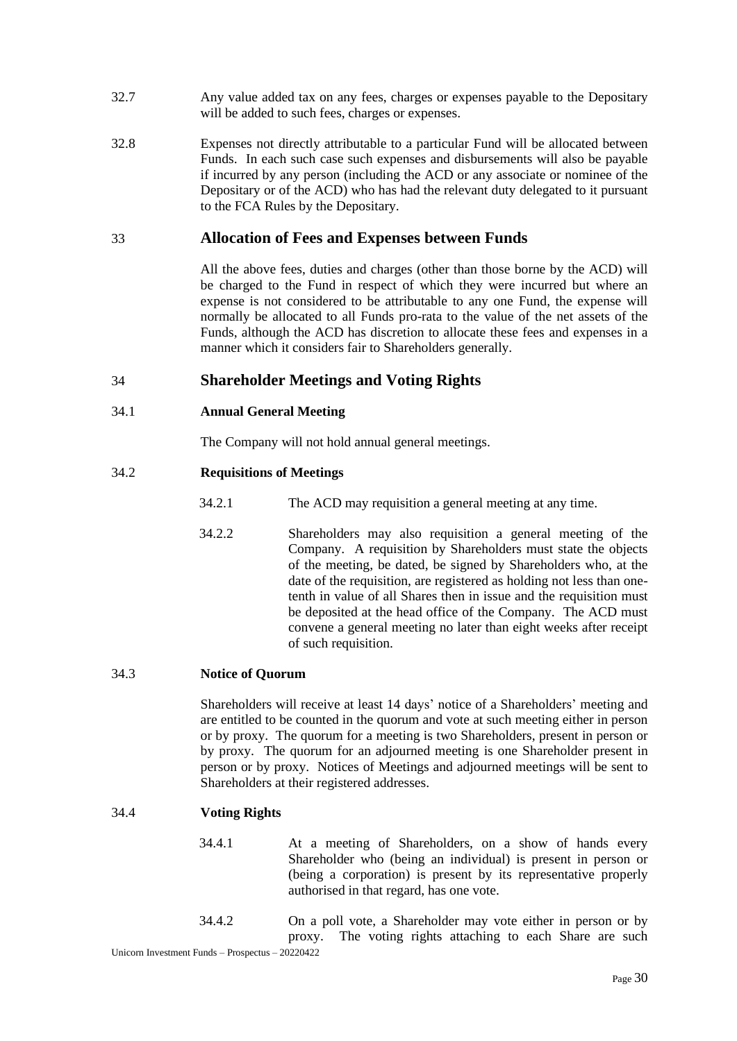- 32.7 Any value added tax on any fees, charges or expenses payable to the Depositary will be added to such fees, charges or expenses.
- 32.8 Expenses not directly attributable to a particular Fund will be allocated between Funds. In each such case such expenses and disbursements will also be payable if incurred by any person (including the ACD or any associate or nominee of the Depositary or of the ACD) who has had the relevant duty delegated to it pursuant to the FCA Rules by the Depositary.

## <span id="page-33-0"></span>33 **Allocation of Fees and Expenses between Funds**

All the above fees, duties and charges (other than those borne by the ACD) will be charged to the Fund in respect of which they were incurred but where an expense is not considered to be attributable to any one Fund, the expense will normally be allocated to all Funds pro-rata to the value of the net assets of the Funds, although the ACD has discretion to allocate these fees and expenses in a manner which it considers fair to Shareholders generally.

## <span id="page-33-1"></span>34 **Shareholder Meetings and Voting Rights**

### 34.1 **Annual General Meeting**

The Company will not hold annual general meetings.

#### 34.2 **Requisitions of Meetings**

- 34.2.1 The ACD may requisition a general meeting at any time.
- 34.2.2 Shareholders may also requisition a general meeting of the Company. A requisition by Shareholders must state the objects of the meeting, be dated, be signed by Shareholders who, at the date of the requisition, are registered as holding not less than onetenth in value of all Shares then in issue and the requisition must be deposited at the head office of the Company. The ACD must convene a general meeting no later than eight weeks after receipt of such requisition.

#### 34.3 **Notice of Quorum**

Shareholders will receive at least 14 days' notice of a Shareholders' meeting and are entitled to be counted in the quorum and vote at such meeting either in person or by proxy. The quorum for a meeting is two Shareholders, present in person or by proxy. The quorum for an adjourned meeting is one Shareholder present in person or by proxy. Notices of Meetings and adjourned meetings will be sent to Shareholders at their registered addresses.

### 34.4 **Voting Rights**

- 34.4.1 At a meeting of Shareholders, on a show of hands every Shareholder who (being an individual) is present in person or (being a corporation) is present by its representative properly authorised in that regard, has one vote.
- 34.4.2 On a poll vote, a Shareholder may vote either in person or by proxy. The voting rights attaching to each Share are such

Unicorn Investment Funds – Prospectus – 20220422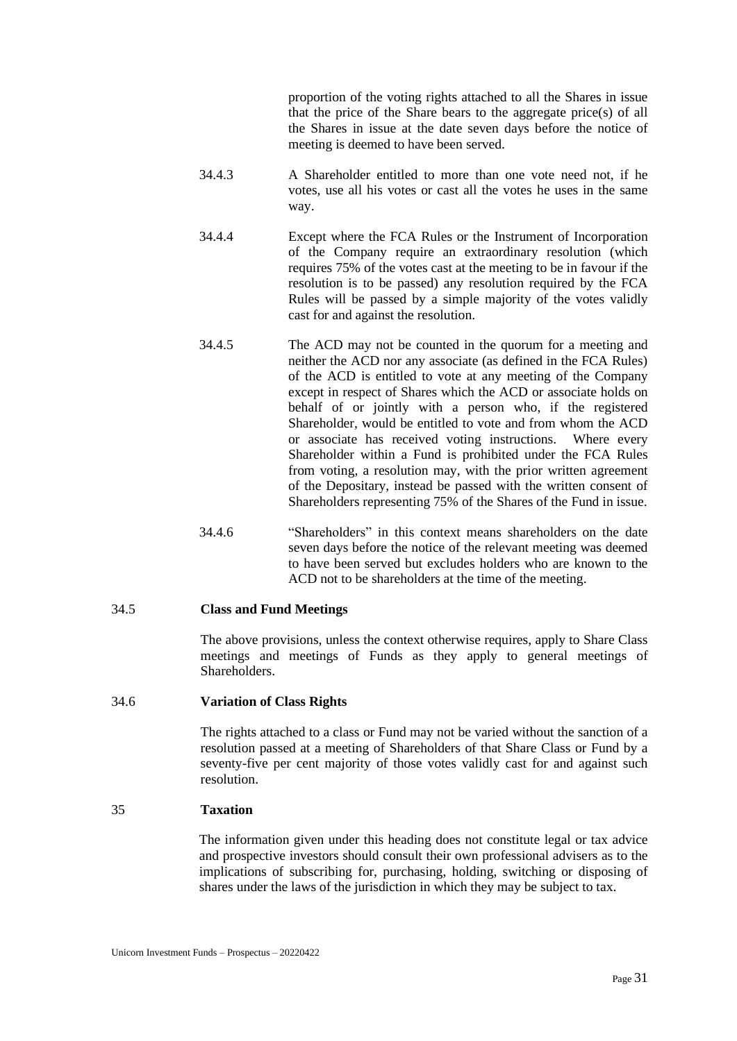proportion of the voting rights attached to all the Shares in issue that the price of the Share bears to the aggregate price(s) of all the Shares in issue at the date seven days before the notice of meeting is deemed to have been served.

- 34.4.3 A Shareholder entitled to more than one vote need not, if he votes, use all his votes or cast all the votes he uses in the same way.
- 34.4.4 Except where the FCA Rules or the Instrument of Incorporation of the Company require an extraordinary resolution (which requires 75% of the votes cast at the meeting to be in favour if the resolution is to be passed) any resolution required by the FCA Rules will be passed by a simple majority of the votes validly cast for and against the resolution.
- 34.4.5 The ACD may not be counted in the quorum for a meeting and neither the ACD nor any associate (as defined in the FCA Rules) of the ACD is entitled to vote at any meeting of the Company except in respect of Shares which the ACD or associate holds on behalf of or jointly with a person who, if the registered Shareholder, would be entitled to vote and from whom the ACD or associate has received voting instructions. Where every Shareholder within a Fund is prohibited under the FCA Rules from voting, a resolution may, with the prior written agreement of the Depositary, instead be passed with the written consent of Shareholders representing 75% of the Shares of the Fund in issue.
- 34.4.6 "Shareholders" in this context means shareholders on the date seven days before the notice of the relevant meeting was deemed to have been served but excludes holders who are known to the ACD not to be shareholders at the time of the meeting.

#### 34.5 **Class and Fund Meetings**

The above provisions, unless the context otherwise requires, apply to Share Class meetings and meetings of Funds as they apply to general meetings of Shareholders.

#### 34.6 **Variation of Class Rights**

The rights attached to a class or Fund may not be varied without the sanction of a resolution passed at a meeting of Shareholders of that Share Class or Fund by a seventy-five per cent majority of those votes validly cast for and against such resolution.

### <span id="page-34-0"></span>35 **Taxation**

The information given under this heading does not constitute legal or tax advice and prospective investors should consult their own professional advisers as to the implications of subscribing for, purchasing, holding, switching or disposing of shares under the laws of the jurisdiction in which they may be subject to tax.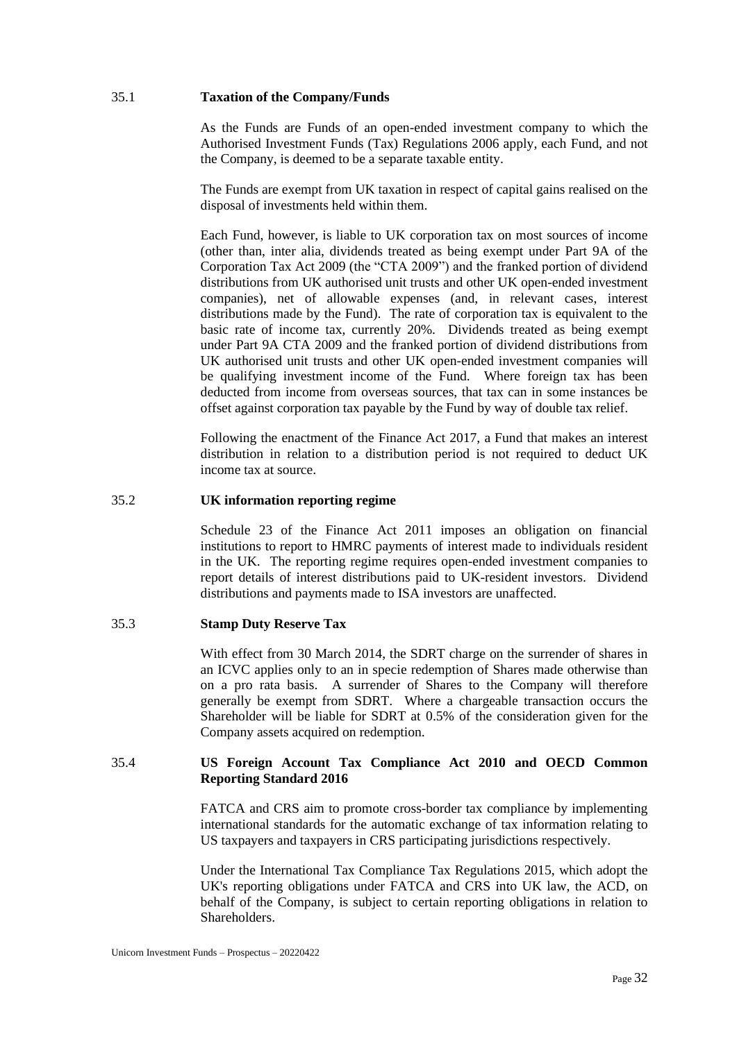#### 35.1 **Taxation of the Company/Funds**

As the Funds are Funds of an open-ended investment company to which the Authorised Investment Funds (Tax) Regulations 2006 apply, each Fund, and not the Company, is deemed to be a separate taxable entity.

The Funds are exempt from UK taxation in respect of capital gains realised on the disposal of investments held within them.

Each Fund, however, is liable to UK corporation tax on most sources of income (other than, inter alia, dividends treated as being exempt under Part 9A of the Corporation Tax Act 2009 (the "CTA 2009") and the franked portion of dividend distributions from UK authorised unit trusts and other UK open-ended investment companies), net of allowable expenses (and, in relevant cases, interest distributions made by the Fund). The rate of corporation tax is equivalent to the basic rate of income tax, currently 20%. Dividends treated as being exempt under Part 9A CTA 2009 and the franked portion of dividend distributions from UK authorised unit trusts and other UK open-ended investment companies will be qualifying investment income of the Fund. Where foreign tax has been deducted from income from overseas sources, that tax can in some instances be offset against corporation tax payable by the Fund by way of double tax relief.

Following the enactment of the Finance Act 2017, a Fund that makes an interest distribution in relation to a distribution period is not required to deduct UK income tax at source.

### 35.2 **UK information reporting regime**

Schedule 23 of the Finance Act 2011 imposes an obligation on financial institutions to report to HMRC payments of interest made to individuals resident in the UK. The reporting regime requires open-ended investment companies to report details of interest distributions paid to UK-resident investors. Dividend distributions and payments made to ISA investors are unaffected.

### 35.3 **Stamp Duty Reserve Tax**

With effect from 30 March 2014, the SDRT charge on the surrender of shares in an ICVC applies only to an in specie redemption of Shares made otherwise than on a pro rata basis. A surrender of Shares to the Company will therefore generally be exempt from SDRT. Where a chargeable transaction occurs the Shareholder will be liable for SDRT at 0.5% of the consideration given for the Company assets acquired on redemption.

## 35.4 **US Foreign Account Tax Compliance Act 2010 and OECD Common Reporting Standard 2016**

FATCA and CRS aim to promote cross-border tax compliance by implementing international standards for the automatic exchange of tax information relating to US taxpayers and taxpayers in CRS participating jurisdictions respectively.

Under the International Tax Compliance Tax Regulations 2015, which adopt the UK's reporting obligations under FATCA and CRS into UK law, the ACD, on behalf of the Company, is subject to certain reporting obligations in relation to Shareholders.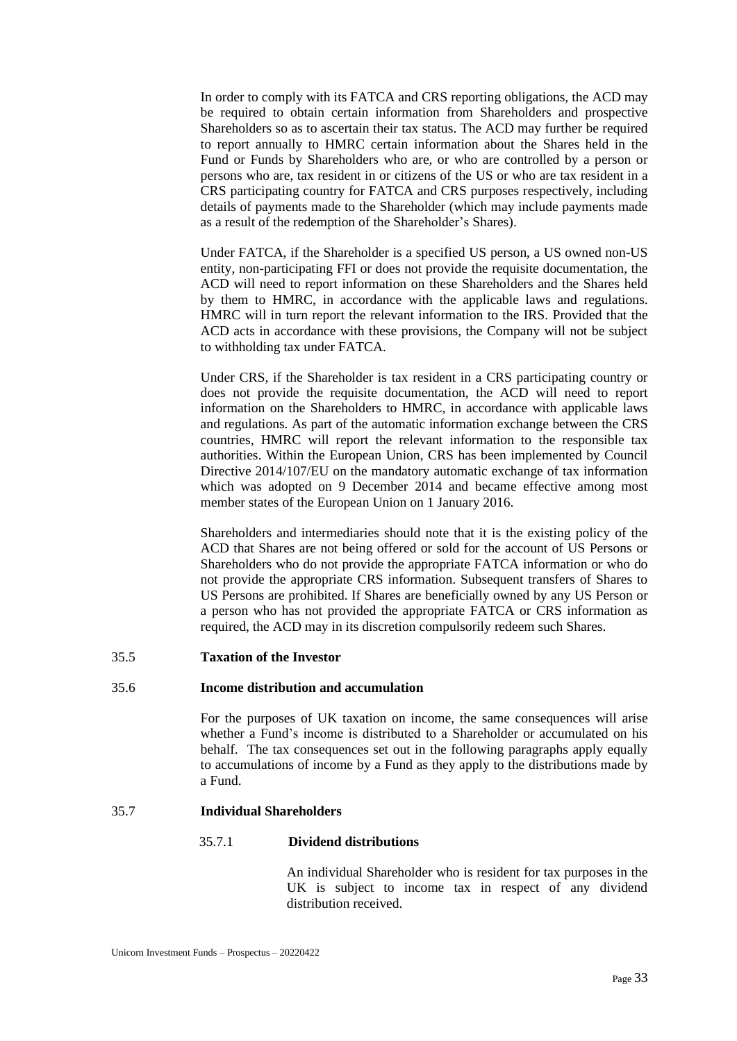In order to comply with its FATCA and CRS reporting obligations, the ACD may be required to obtain certain information from Shareholders and prospective Shareholders so as to ascertain their tax status. The ACD may further be required to report annually to HMRC certain information about the Shares held in the Fund or Funds by Shareholders who are, or who are controlled by a person or persons who are, tax resident in or citizens of the US or who are tax resident in a CRS participating country for FATCA and CRS purposes respectively, including details of payments made to the Shareholder (which may include payments made as a result of the redemption of the Shareholder's Shares).

Under FATCA, if the Shareholder is a specified US person, a US owned non-US entity, non-participating FFI or does not provide the requisite documentation, the ACD will need to report information on these Shareholders and the Shares held by them to HMRC, in accordance with the applicable laws and regulations. HMRC will in turn report the relevant information to the IRS. Provided that the ACD acts in accordance with these provisions, the Company will not be subject to withholding tax under FATCA.

Under CRS, if the Shareholder is tax resident in a CRS participating country or does not provide the requisite documentation, the ACD will need to report information on the Shareholders to HMRC, in accordance with applicable laws and regulations. As part of the automatic information exchange between the CRS countries, HMRC will report the relevant information to the responsible tax authorities. Within the European Union, CRS has been implemented by Council Directive 2014/107/EU on the mandatory automatic exchange of tax information which was adopted on 9 December 2014 and became effective among most member states of the European Union on 1 January 2016.

Shareholders and intermediaries should note that it is the existing policy of the ACD that Shares are not being offered or sold for the account of US Persons or Shareholders who do not provide the appropriate FATCA information or who do not provide the appropriate CRS information. Subsequent transfers of Shares to US Persons are prohibited. If Shares are beneficially owned by any US Person or a person who has not provided the appropriate FATCA or CRS information as required, the ACD may in its discretion compulsorily redeem such Shares.

#### 35.5 **Taxation of the Investor**

#### 35.6 **Income distribution and accumulation**

For the purposes of UK taxation on income, the same consequences will arise whether a Fund's income is distributed to a Shareholder or accumulated on his behalf. The tax consequences set out in the following paragraphs apply equally to accumulations of income by a Fund as they apply to the distributions made by a Fund.

## 35.7 **Individual Shareholders**

#### 35.7.1 **Dividend distributions**

An individual Shareholder who is resident for tax purposes in the UK is subject to income tax in respect of any dividend distribution received.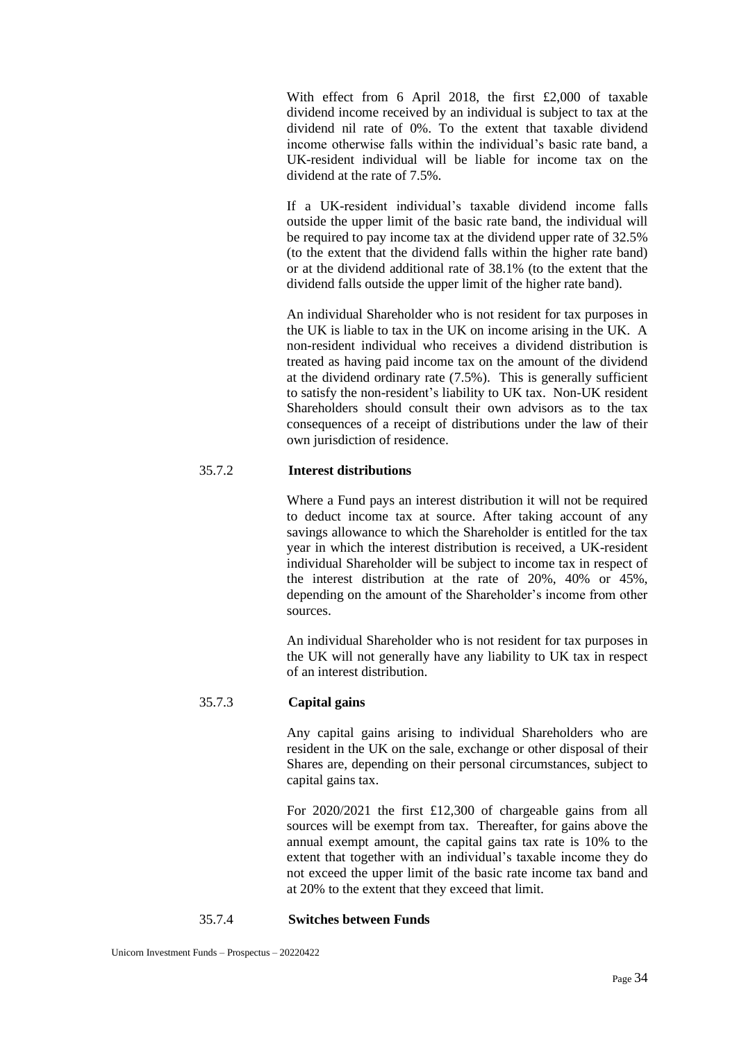With effect from 6 April 2018, the first £2,000 of taxable dividend income received by an individual is subject to tax at the dividend nil rate of 0%. To the extent that taxable dividend income otherwise falls within the individual's basic rate band, a UK-resident individual will be liable for income tax on the dividend at the rate of 7.5%.

If a UK-resident individual's taxable dividend income falls outside the upper limit of the basic rate band, the individual will be required to pay income tax at the dividend upper rate of 32.5% (to the extent that the dividend falls within the higher rate band) or at the dividend additional rate of 38.1% (to the extent that the dividend falls outside the upper limit of the higher rate band).

An individual Shareholder who is not resident for tax purposes in the UK is liable to tax in the UK on income arising in the UK. A non-resident individual who receives a dividend distribution is treated as having paid income tax on the amount of the dividend at the dividend ordinary rate (7.5%). This is generally sufficient to satisfy the non-resident's liability to UK tax. Non-UK resident Shareholders should consult their own advisors as to the tax consequences of a receipt of distributions under the law of their own jurisdiction of residence.

## 35.7.2 **Interest distributions**

Where a Fund pays an interest distribution it will not be required to deduct income tax at source. After taking account of any savings allowance to which the Shareholder is entitled for the tax year in which the interest distribution is received, a UK-resident individual Shareholder will be subject to income tax in respect of the interest distribution at the rate of 20%, 40% or 45%, depending on the amount of the Shareholder's income from other sources.

An individual Shareholder who is not resident for tax purposes in the UK will not generally have any liability to UK tax in respect of an interest distribution.

# 35.7.3 **Capital gains**

Any capital gains arising to individual Shareholders who are resident in the UK on the sale, exchange or other disposal of their Shares are, depending on their personal circumstances, subject to capital gains tax.

For 2020/2021 the first £12,300 of chargeable gains from all sources will be exempt from tax. Thereafter, for gains above the annual exempt amount, the capital gains tax rate is 10% to the extent that together with an individual's taxable income they do not exceed the upper limit of the basic rate income tax band and at 20% to the extent that they exceed that limit.

#### 35.7.4 **Switches between Funds**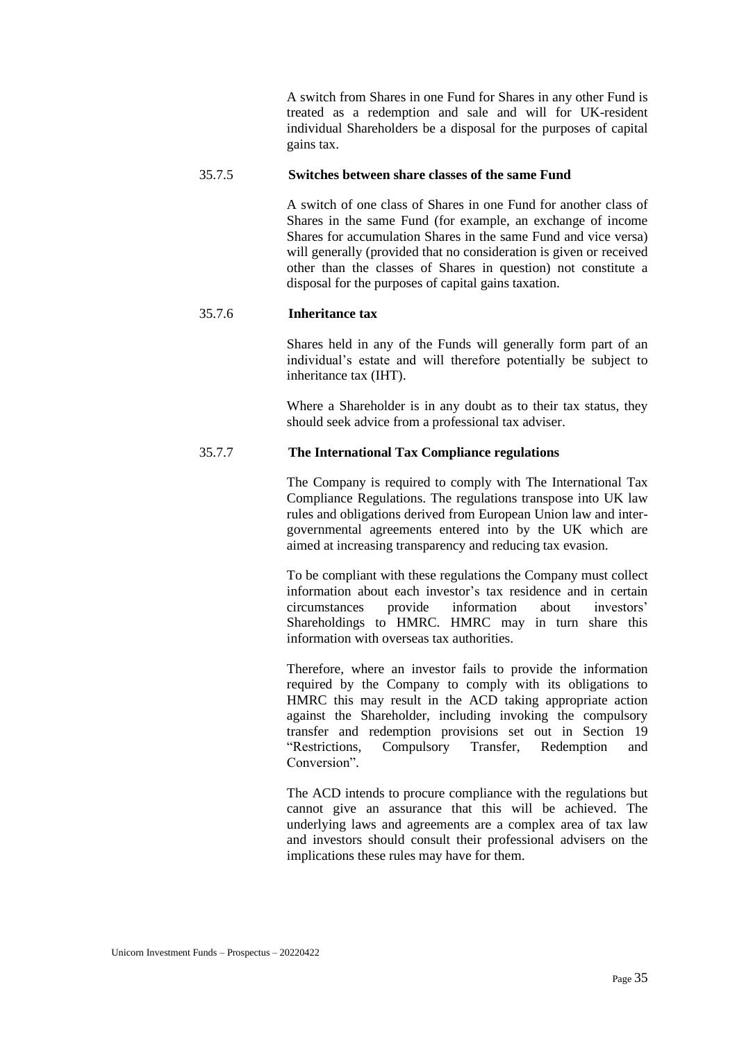A switch from Shares in one Fund for Shares in any other Fund is treated as a redemption and sale and will for UK-resident individual Shareholders be a disposal for the purposes of capital gains tax.

#### 35.7.5 **Switches between share classes of the same Fund**

A switch of one class of Shares in one Fund for another class of Shares in the same Fund (for example, an exchange of income Shares for accumulation Shares in the same Fund and vice versa) will generally (provided that no consideration is given or received other than the classes of Shares in question) not constitute a disposal for the purposes of capital gains taxation.

## 35.7.6 **Inheritance tax**

Shares held in any of the Funds will generally form part of an individual's estate and will therefore potentially be subject to inheritance tax (IHT).

Where a Shareholder is in any doubt as to their tax status, they should seek advice from a professional tax adviser.

## 35.7.7 **The International Tax Compliance regulations**

The Company is required to comply with The International Tax Compliance Regulations. The regulations transpose into UK law rules and obligations derived from European Union law and intergovernmental agreements entered into by the UK which are aimed at increasing transparency and reducing tax evasion.

To be compliant with these regulations the Company must collect information about each investor's tax residence and in certain circumstances provide information about investors' Shareholdings to HMRC. HMRC may in turn share this information with overseas tax authorities.

Therefore, where an investor fails to provide the information required by the Company to comply with its obligations to HMRC this may result in the ACD taking appropriate action against the Shareholder, including invoking the compulsory transfer and redemption provisions set out in Section 19 "Restrictions, Compulsory Transfer, Redemption and Conversion".

The ACD intends to procure compliance with the regulations but cannot give an assurance that this will be achieved. The underlying laws and agreements are a complex area of tax law and investors should consult their professional advisers on the implications these rules may have for them.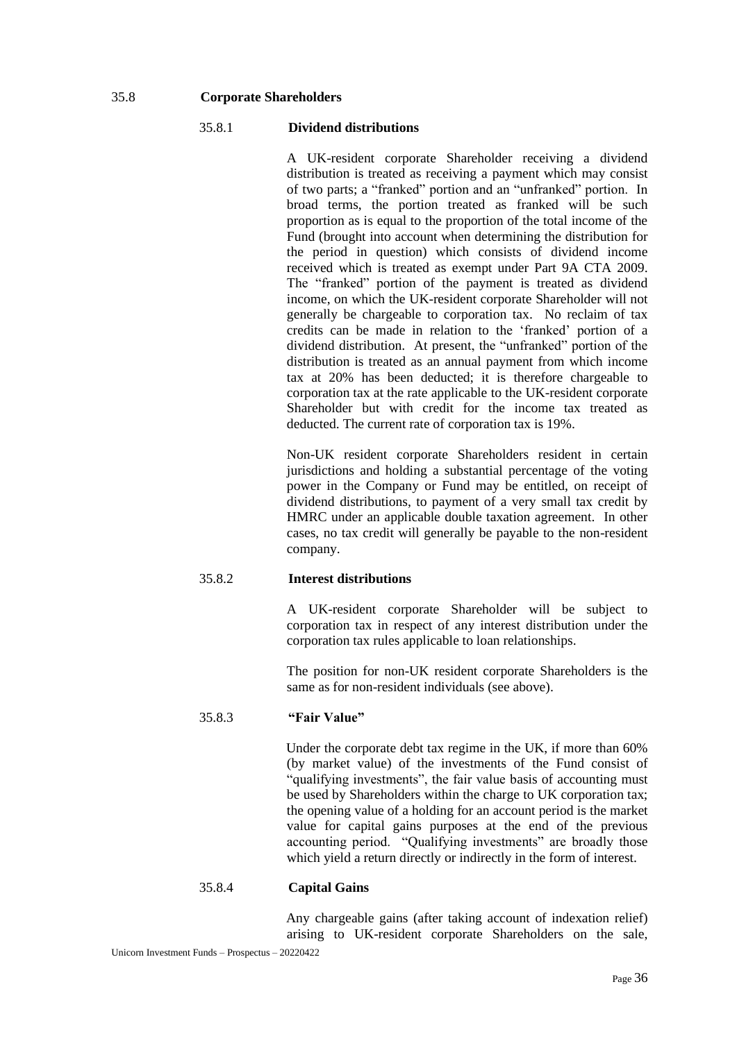#### 35.8 **Corporate Shareholders**

#### 35.8.1 **Dividend distributions**

A UK-resident corporate Shareholder receiving a dividend distribution is treated as receiving a payment which may consist of two parts; a "franked" portion and an "unfranked" portion. In broad terms, the portion treated as franked will be such proportion as is equal to the proportion of the total income of the Fund (brought into account when determining the distribution for the period in question) which consists of dividend income received which is treated as exempt under Part 9A CTA 2009. The "franked" portion of the payment is treated as dividend income, on which the UK-resident corporate Shareholder will not generally be chargeable to corporation tax. No reclaim of tax credits can be made in relation to the 'franked' portion of a dividend distribution. At present, the "unfranked" portion of the distribution is treated as an annual payment from which income tax at 20% has been deducted; it is therefore chargeable to corporation tax at the rate applicable to the UK-resident corporate Shareholder but with credit for the income tax treated as deducted. The current rate of corporation tax is 19%.

Non-UK resident corporate Shareholders resident in certain jurisdictions and holding a substantial percentage of the voting power in the Company or Fund may be entitled, on receipt of dividend distributions, to payment of a very small tax credit by HMRC under an applicable double taxation agreement. In other cases, no tax credit will generally be payable to the non-resident company.

## 35.8.2 **Interest distributions**

A UK-resident corporate Shareholder will be subject to corporation tax in respect of any interest distribution under the corporation tax rules applicable to loan relationships.

The position for non-UK resident corporate Shareholders is the same as for non-resident individuals (see above).

## 35.8.3 **"Fair Value"**

Under the corporate debt tax regime in the UK, if more than 60% (by market value) of the investments of the Fund consist of "qualifying investments", the fair value basis of accounting must be used by Shareholders within the charge to UK corporation tax; the opening value of a holding for an account period is the market value for capital gains purposes at the end of the previous accounting period. "Qualifying investments" are broadly those which yield a return directly or indirectly in the form of interest.

#### 35.8.4 **Capital Gains**

Any chargeable gains (after taking account of indexation relief) arising to UK-resident corporate Shareholders on the sale,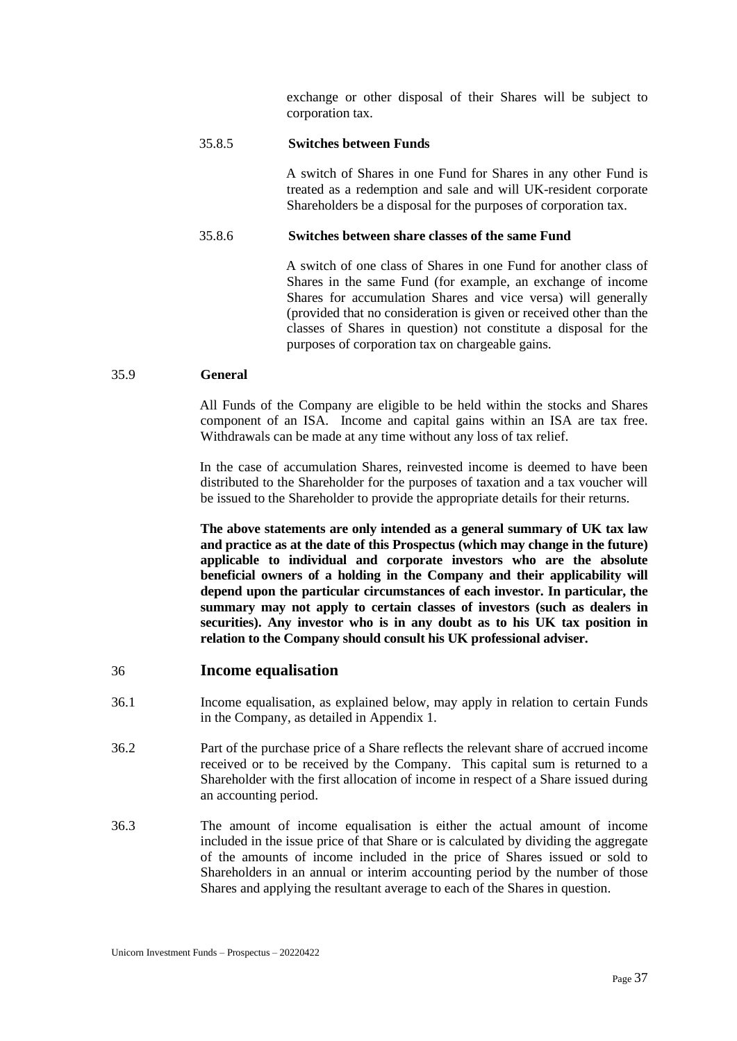exchange or other disposal of their Shares will be subject to corporation tax.

#### 35.8.5 **Switches between Funds**

A switch of Shares in one Fund for Shares in any other Fund is treated as a redemption and sale and will UK-resident corporate Shareholders be a disposal for the purposes of corporation tax.

#### 35.8.6 **Switches between share classes of the same Fund**

A switch of one class of Shares in one Fund for another class of Shares in the same Fund (for example, an exchange of income Shares for accumulation Shares and vice versa) will generally (provided that no consideration is given or received other than the classes of Shares in question) not constitute a disposal for the purposes of corporation tax on chargeable gains.

#### 35.9 **General**

All Funds of the Company are eligible to be held within the stocks and Shares component of an ISA. Income and capital gains within an ISA are tax free. Withdrawals can be made at any time without any loss of tax relief.

In the case of accumulation Shares, reinvested income is deemed to have been distributed to the Shareholder for the purposes of taxation and a tax voucher will be issued to the Shareholder to provide the appropriate details for their returns.

**The above statements are only intended as a general summary of UK tax law and practice as at the date of this Prospectus (which may change in the future) applicable to individual and corporate investors who are the absolute beneficial owners of a holding in the Company and their applicability will depend upon the particular circumstances of each investor. In particular, the summary may not apply to certain classes of investors (such as dealers in securities). Any investor who is in any doubt as to his UK tax position in relation to the Company should consult his UK professional adviser.**

## 36 **Income equalisation**

- 36.1 Income equalisation, as explained below, may apply in relation to certain Funds in the Company, as detailed in Appendix 1.
- 36.2 Part of the purchase price of a Share reflects the relevant share of accrued income received or to be received by the Company. This capital sum is returned to a Shareholder with the first allocation of income in respect of a Share issued during an accounting period.
- 36.3 The amount of income equalisation is either the actual amount of income included in the issue price of that Share or is calculated by dividing the aggregate of the amounts of income included in the price of Shares issued or sold to Shareholders in an annual or interim accounting period by the number of those Shares and applying the resultant average to each of the Shares in question.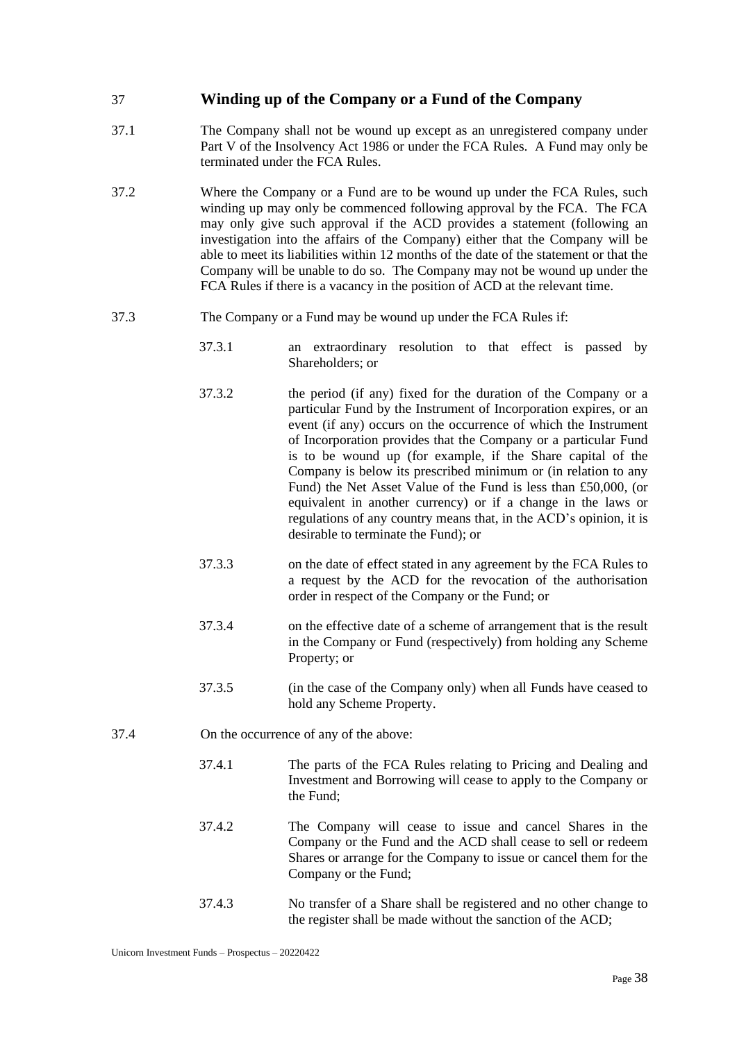# 37 **Winding up of the Company or a Fund of the Company**

- 37.1 The Company shall not be wound up except as an unregistered company under Part V of the Insolvency Act 1986 or under the FCA Rules. A Fund may only be terminated under the FCA Rules.
- 37.2 Where the Company or a Fund are to be wound up under the FCA Rules, such winding up may only be commenced following approval by the FCA. The FCA may only give such approval if the ACD provides a statement (following an investigation into the affairs of the Company) either that the Company will be able to meet its liabilities within 12 months of the date of the statement or that the Company will be unable to do so. The Company may not be wound up under the FCA Rules if there is a vacancy in the position of ACD at the relevant time.
- 37.3 The Company or a Fund may be wound up under the FCA Rules if:
	- 37.3.1 an extraordinary resolution to that effect is passed by Shareholders; or
	- 37.3.2 the period (if any) fixed for the duration of the Company or a particular Fund by the Instrument of Incorporation expires, or an event (if any) occurs on the occurrence of which the Instrument of Incorporation provides that the Company or a particular Fund is to be wound up (for example, if the Share capital of the Company is below its prescribed minimum or (in relation to any Fund) the Net Asset Value of the Fund is less than £50,000, (or equivalent in another currency) or if a change in the laws or regulations of any country means that, in the ACD's opinion, it is desirable to terminate the Fund); or
	- 37.3.3 on the date of effect stated in any agreement by the FCA Rules to a request by the ACD for the revocation of the authorisation order in respect of the Company or the Fund; or
	- 37.3.4 on the effective date of a scheme of arrangement that is the result in the Company or Fund (respectively) from holding any Scheme Property; or
	- 37.3.5 (in the case of the Company only) when all Funds have ceased to hold any Scheme Property.
- 37.4 On the occurrence of any of the above:
	- 37.4.1 The parts of the FCA Rules relating to Pricing and Dealing and Investment and Borrowing will cease to apply to the Company or the Fund;
	- 37.4.2 The Company will cease to issue and cancel Shares in the Company or the Fund and the ACD shall cease to sell or redeem Shares or arrange for the Company to issue or cancel them for the Company or the Fund;
	- 37.4.3 No transfer of a Share shall be registered and no other change to the register shall be made without the sanction of the ACD;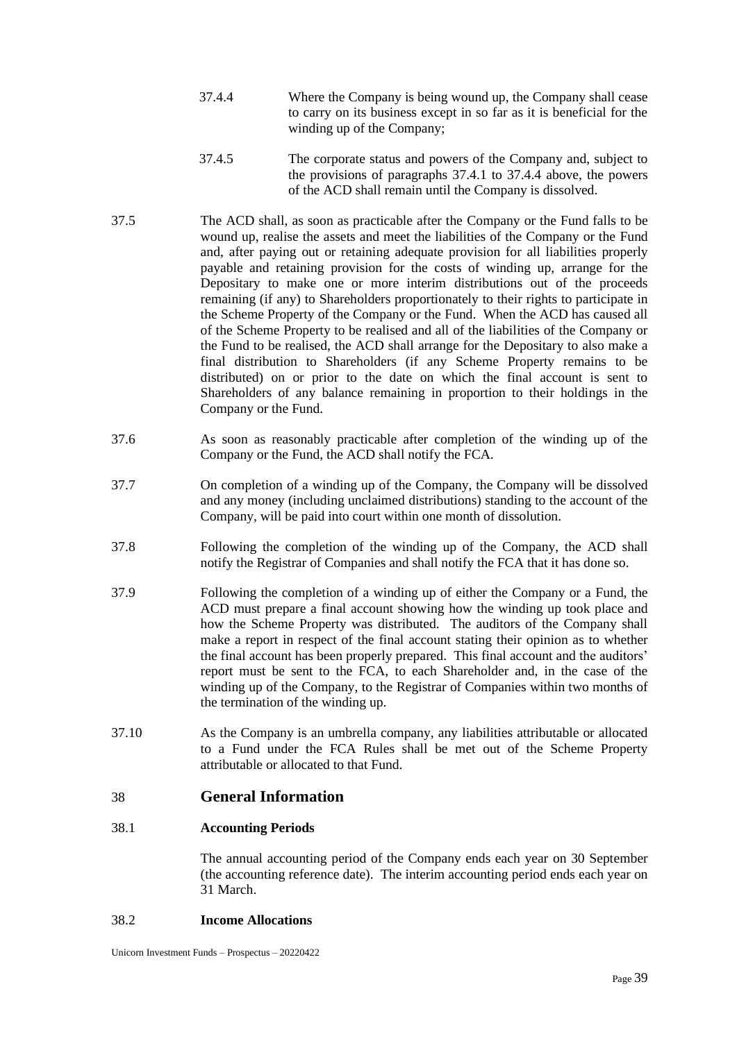- 37.4.4 Where the Company is being wound up, the Company shall cease to carry on its business except in so far as it is beneficial for the winding up of the Company;
- 37.4.5 The corporate status and powers of the Company and, subject to the provisions of paragraphs 37.4.1 to 37.4.4 above, the powers of the ACD shall remain until the Company is dissolved.
- 37.5 The ACD shall, as soon as practicable after the Company or the Fund falls to be wound up, realise the assets and meet the liabilities of the Company or the Fund and, after paying out or retaining adequate provision for all liabilities properly payable and retaining provision for the costs of winding up, arrange for the Depositary to make one or more interim distributions out of the proceeds remaining (if any) to Shareholders proportionately to their rights to participate in the Scheme Property of the Company or the Fund. When the ACD has caused all of the Scheme Property to be realised and all of the liabilities of the Company or the Fund to be realised, the ACD shall arrange for the Depositary to also make a final distribution to Shareholders (if any Scheme Property remains to be distributed) on or prior to the date on which the final account is sent to Shareholders of any balance remaining in proportion to their holdings in the Company or the Fund.
- 37.6 As soon as reasonably practicable after completion of the winding up of the Company or the Fund, the ACD shall notify the FCA.
- 37.7 On completion of a winding up of the Company, the Company will be dissolved and any money (including unclaimed distributions) standing to the account of the Company, will be paid into court within one month of dissolution.
- 37.8 Following the completion of the winding up of the Company, the ACD shall notify the Registrar of Companies and shall notify the FCA that it has done so.
- 37.9 Following the completion of a winding up of either the Company or a Fund, the ACD must prepare a final account showing how the winding up took place and how the Scheme Property was distributed. The auditors of the Company shall make a report in respect of the final account stating their opinion as to whether the final account has been properly prepared. This final account and the auditors' report must be sent to the FCA, to each Shareholder and, in the case of the winding up of the Company, to the Registrar of Companies within two months of the termination of the winding up.
- 37.10 As the Company is an umbrella company, any liabilities attributable or allocated to a Fund under the FCA Rules shall be met out of the Scheme Property attributable or allocated to that Fund.

# 38 **General Information**

## 38.1 **Accounting Periods**

The annual accounting period of the Company ends each year on 30 September (the accounting reference date). The interim accounting period ends each year on 31 March.

#### 38.2 **Income Allocations**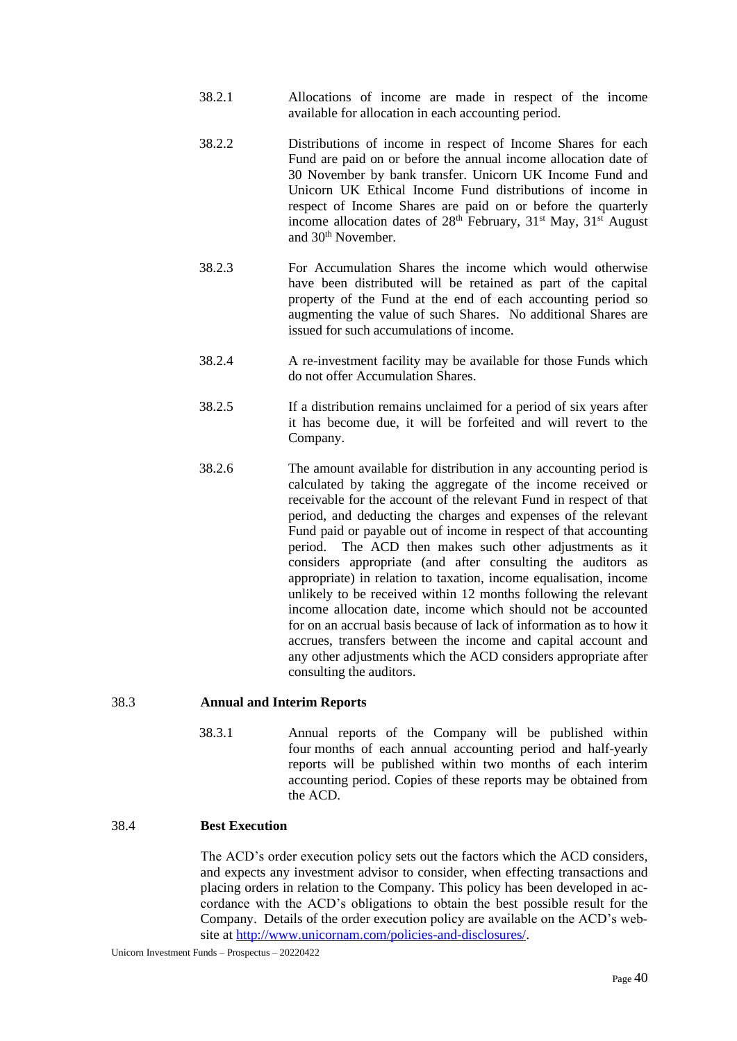- 38.2.1 Allocations of income are made in respect of the income available for allocation in each accounting period.
- 38.2.2 Distributions of income in respect of Income Shares for each Fund are paid on or before the annual income allocation date of 30 November by bank transfer. Unicorn UK Income Fund and Unicorn UK Ethical Income Fund distributions of income in respect of Income Shares are paid on or before the quarterly income allocation dates of  $28<sup>th</sup>$  February,  $31<sup>st</sup>$  May,  $31<sup>st</sup>$  August and 30th November.
- 38.2.3 For Accumulation Shares the income which would otherwise have been distributed will be retained as part of the capital property of the Fund at the end of each accounting period so augmenting the value of such Shares. No additional Shares are issued for such accumulations of income.
- 38.2.4 A re-investment facility may be available for those Funds which do not offer Accumulation Shares.
- 38.2.5 If a distribution remains unclaimed for a period of six years after it has become due, it will be forfeited and will revert to the Company.
- 38.2.6 The amount available for distribution in any accounting period is calculated by taking the aggregate of the income received or receivable for the account of the relevant Fund in respect of that period, and deducting the charges and expenses of the relevant Fund paid or payable out of income in respect of that accounting period. The ACD then makes such other adjustments as it considers appropriate (and after consulting the auditors as appropriate) in relation to taxation, income equalisation, income unlikely to be received within 12 months following the relevant income allocation date, income which should not be accounted for on an accrual basis because of lack of information as to how it accrues, transfers between the income and capital account and any other adjustments which the ACD considers appropriate after consulting the auditors.

## 38.3 **Annual and Interim Reports**

38.3.1 Annual reports of the Company will be published within four months of each annual accounting period and half-yearly reports will be published within two months of each interim accounting period. Copies of these reports may be obtained from the ACD.

# 38.4 **Best Execution**

The ACD's order execution policy sets out the factors which the ACD considers, and expects any investment advisor to consider, when effecting transactions and placing orders in relation to the Company. This policy has been developed in accordance with the ACD's obligations to obtain the best possible result for the Company. Details of the order execution policy are available on the ACD's website at [http://www.unicornam.com/policies-and-disclosures/.](http://www.unicornam.com/policies-and-disclosures/)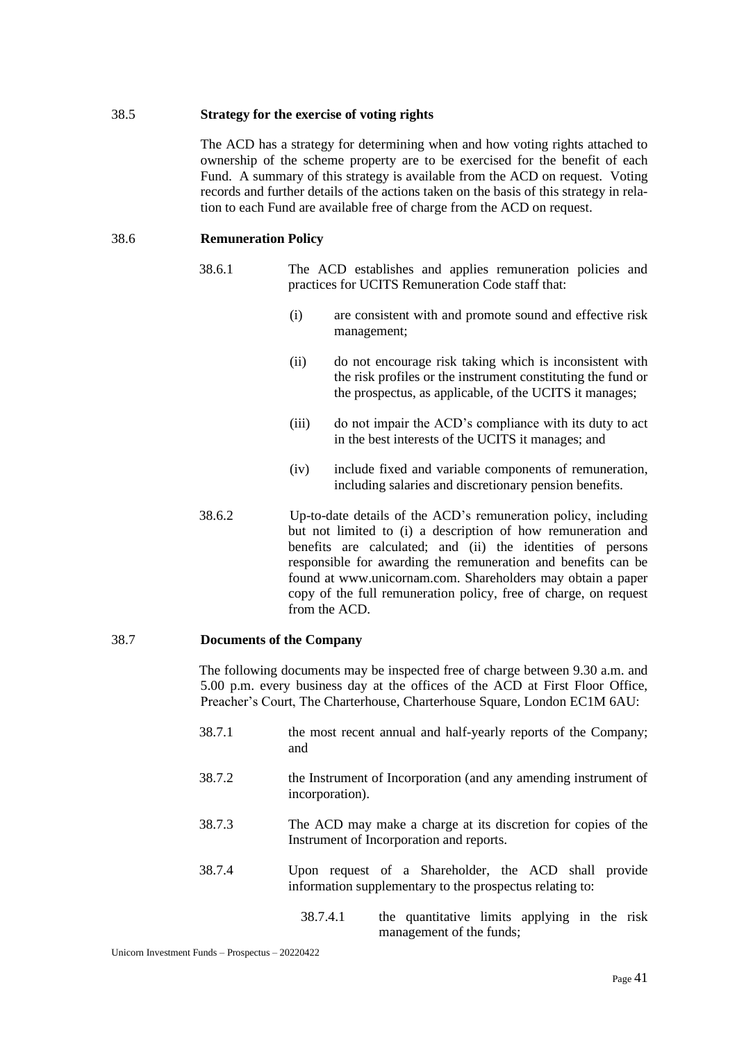#### 38.5 **Strategy for the exercise of voting rights**

The ACD has a strategy for determining when and how voting rights attached to ownership of the scheme property are to be exercised for the benefit of each Fund. A summary of this strategy is available from the ACD on request. Voting records and further details of the actions taken on the basis of this strategy in relation to each Fund are available free of charge from the ACD on request.

#### 38.6 **Remuneration Policy**

- 38.6.1 The ACD establishes and applies remuneration policies and practices for UCITS Remuneration Code staff that:
	- (i) are consistent with and promote sound and effective risk management;
	- (ii) do not encourage risk taking which is inconsistent with the risk profiles or the instrument constituting the fund or the prospectus, as applicable, of the UCITS it manages;
	- (iii) do not impair the ACD's compliance with its duty to act in the best interests of the UCITS it manages; and
	- (iv) include fixed and variable components of remuneration, including salaries and discretionary pension benefits.
- 38.6.2 Up-to-date details of the ACD's remuneration policy, including but not limited to (i) a description of how remuneration and benefits are calculated; and (ii) the identities of persons responsible for awarding the remuneration and benefits can be found at www.unicornam.com. Shareholders may obtain a paper copy of the full remuneration policy, free of charge, on request from the ACD.

#### 38.7 **Documents of the Company**

The following documents may be inspected free of charge between 9.30 a.m. and 5.00 p.m. every business day at the offices of the ACD at First Floor Office, Preacher's Court, The Charterhouse, Charterhouse Square, London EC1M 6AU:

- 38.7.1 the most recent annual and half-yearly reports of the Company; and
- 38.7.2 the Instrument of Incorporation (and any amending instrument of incorporation).
- 38.7.3 The ACD may make a charge at its discretion for copies of the Instrument of Incorporation and reports.
- 38.7.4 Upon request of a Shareholder, the ACD shall provide information supplementary to the prospectus relating to:
	- 38.7.4.1 the quantitative limits applying in the risk management of the funds;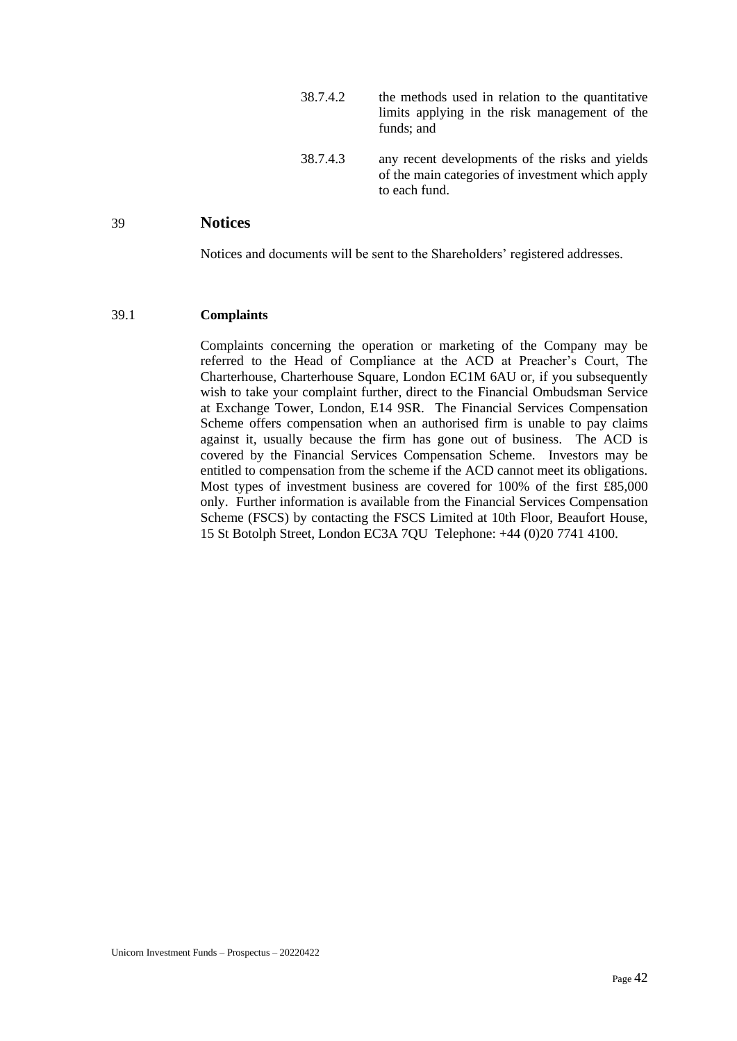| 38.7.4.2 | the methods used in relation to the quantitative<br>limits applying in the risk management of the<br>funds; and      |
|----------|----------------------------------------------------------------------------------------------------------------------|
| 38.7.4.3 | any recent developments of the risks and yields<br>of the main categories of investment which apply<br>to each fund. |

## 39 **Notices**

Notices and documents will be sent to the Shareholders' registered addresses.

#### 39.1 **Complaints**

Complaints concerning the operation or marketing of the Company may be referred to the Head of Compliance at the ACD at Preacher's Court, The Charterhouse, Charterhouse Square, London EC1M 6AU or, if you subsequently wish to take your complaint further, direct to the Financial Ombudsman Service at Exchange Tower, London, E14 9SR. The Financial Services Compensation Scheme offers compensation when an authorised firm is unable to pay claims against it, usually because the firm has gone out of business. The ACD is covered by the Financial Services Compensation Scheme. Investors may be entitled to compensation from the scheme if the ACD cannot meet its obligations. Most types of investment business are covered for 100% of the first £85,000 only. Further information is available from the Financial Services Compensation Scheme (FSCS) by contacting the FSCS Limited at 10th Floor, Beaufort House, 15 St Botolph Street, London EC3A 7QU Telephone: +44 (0)20 7741 4100.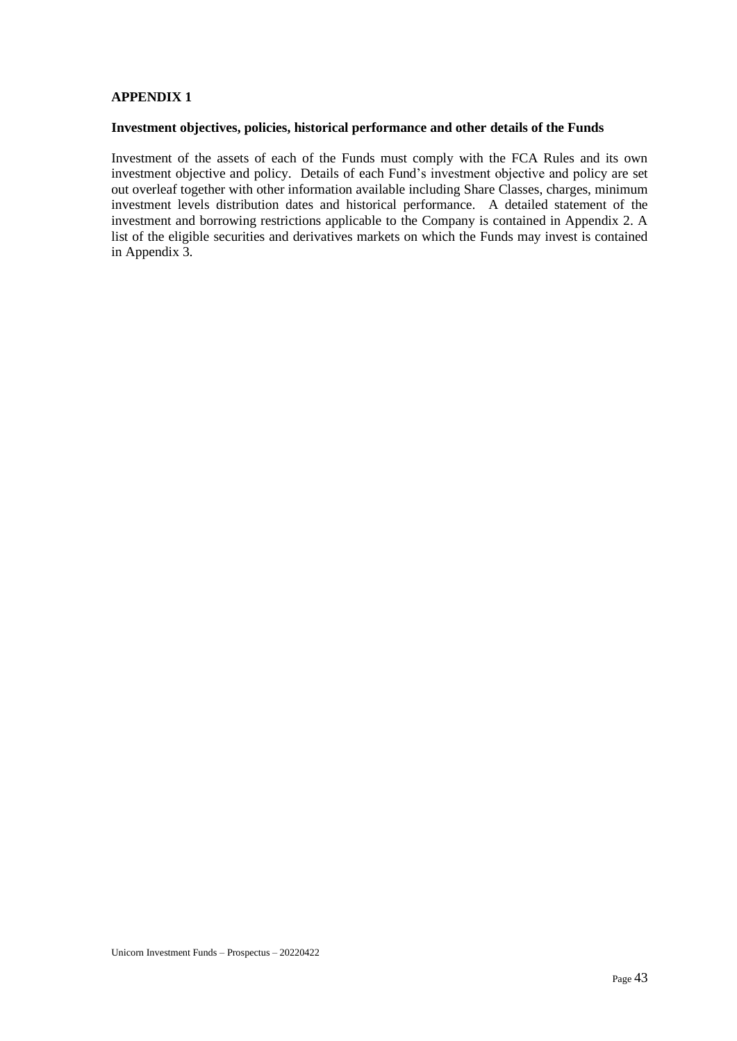## **APPENDIX 1**

#### **Investment objectives, policies, historical performance and other details of the Funds**

Investment of the assets of each of the Funds must comply with the FCA Rules and its own investment objective and policy. Details of each Fund's investment objective and policy are set out overleaf together with other information available including Share Classes, charges, minimum investment levels distribution dates and historical performance. A detailed statement of the investment and borrowing restrictions applicable to the Company is contained in Appendix 2. A list of the eligible securities and derivatives markets on which the Funds may invest is contained in Appendix 3.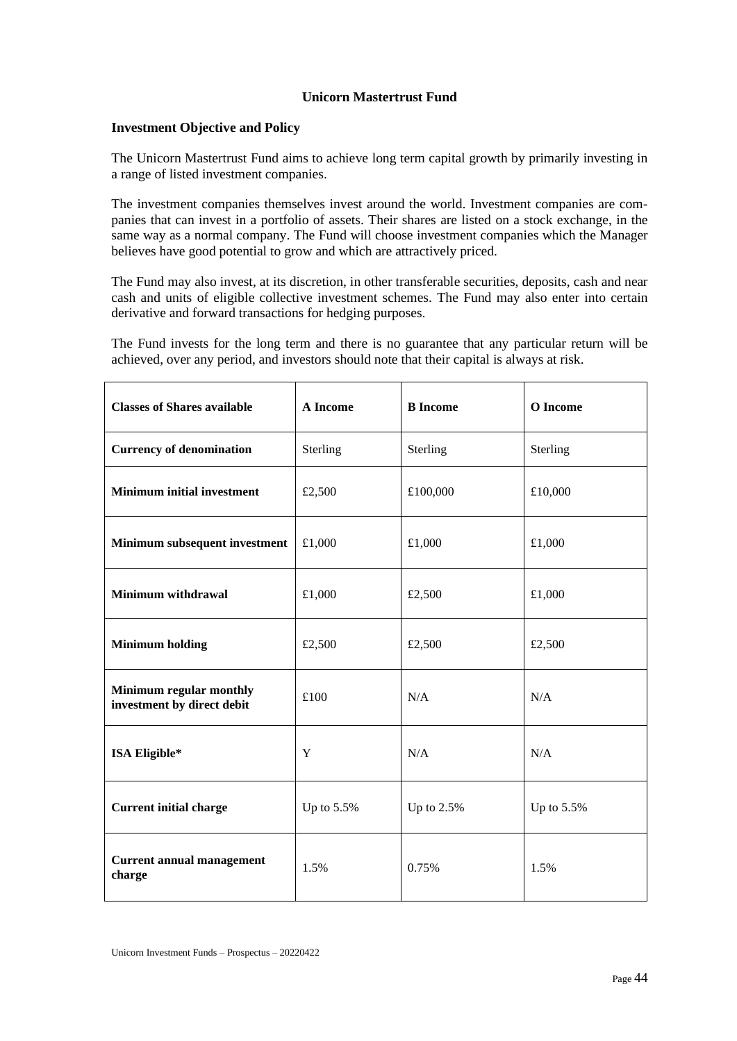# **Unicorn Mastertrust Fund**

## **Investment Objective and Policy**

The Unicorn Mastertrust Fund aims to achieve long term capital growth by primarily investing in a range of listed investment companies.

The investment companies themselves invest around the world. Investment companies are companies that can invest in a portfolio of assets. Their shares are listed on a stock exchange, in the same way as a normal company. The Fund will choose investment companies which the Manager believes have good potential to grow and which are attractively priced.

The Fund may also invest, at its discretion, in other transferable securities, deposits, cash and near cash and units of eligible collective investment schemes. The Fund may also enter into certain derivative and forward transactions for hedging purposes.

The Fund invests for the long term and there is no guarantee that any particular return will be achieved, over any period, and investors should note that their capital is always at risk.

| <b>Classes of Shares available</b>                    | A Income   | <b>B</b> Income | O Income   |
|-------------------------------------------------------|------------|-----------------|------------|
| <b>Currency of denomination</b>                       | Sterling   | Sterling        | Sterling   |
| <b>Minimum initial investment</b>                     | £2,500     | £100,000        | £10,000    |
| Minimum subsequent investment                         | £1,000     | £1,000          | £1,000     |
| Minimum withdrawal                                    | £1,000     | £2,500          | £1,000     |
| <b>Minimum holding</b>                                | £2,500     | £2,500          | £2,500     |
| Minimum regular monthly<br>investment by direct debit | £100       | N/A             | N/A        |
| ISA Eligible*                                         | Y          | N/A             | N/A        |
| <b>Current initial charge</b>                         | Up to 5.5% | Up to 2.5%      | Up to 5.5% |
| <b>Current annual management</b><br>charge            | 1.5%       | 0.75%           | 1.5%       |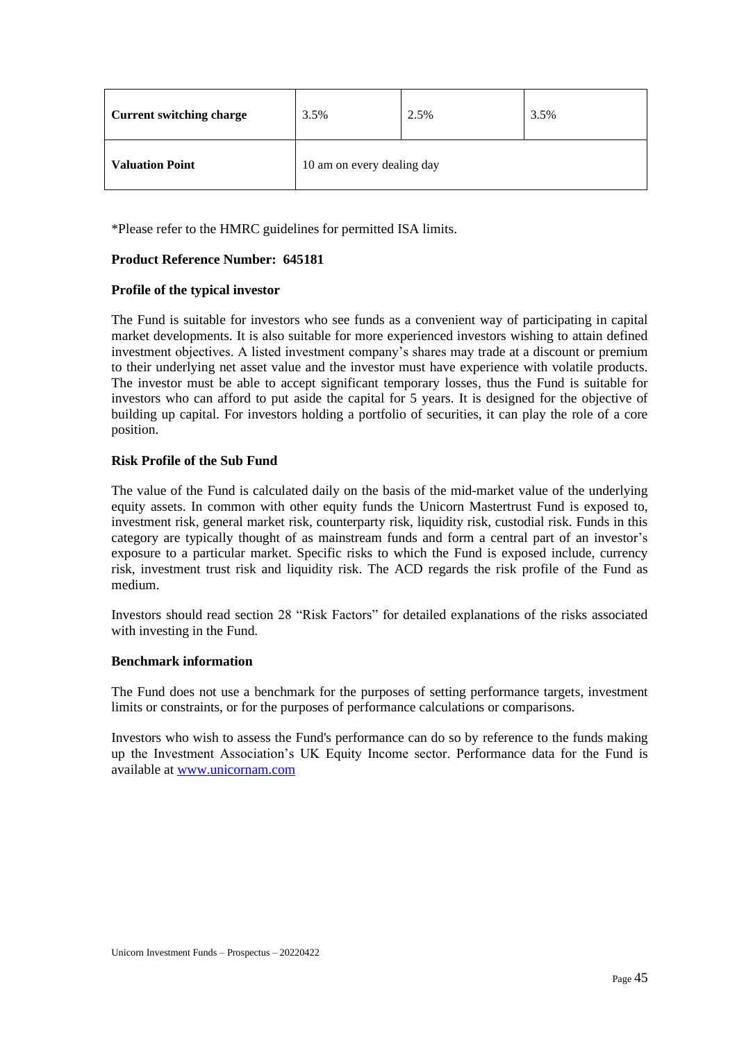| <b>Current switching charge</b> | 3.5%                       | 2.5% | 3.5% |
|---------------------------------|----------------------------|------|------|
| <b>Valuation Point</b>          | 10 am on every dealing day |      |      |

\*Please refer to the HMRC guidelines for permitted ISA limits.

# **Product Reference Number: 645181**

## **Profile of the typical investor**

The Fund is suitable for investors who see funds as a convenient way of participating in capital market developments. It is also suitable for more experienced investors wishing to attain defined investment objectives. A listed investment company's shares may trade at a discount or premium to their underlying net asset value and the investor must have experience with volatile products. The investor must be able to accept significant temporary losses, thus the Fund is suitable for investors who can afford to put aside the capital for 5 years. It is designed for the objective of building up capital. For investors holding a portfolio of securities, it can play the role of a core position.

# **Risk Profile of the Sub Fund**

The value of the Fund is calculated daily on the basis of the mid-market value of the underlying equity assets. In common with other equity funds the Unicorn Mastertrust Fund is exposed to, investment risk, general market risk, counterparty risk, liquidity risk, custodial risk. Funds in this category are typically thought of as mainstream funds and form a central part of an investor's exposure to a particular market. Specific risks to which the Fund is exposed include, currency risk, investment trust risk and liquidity risk. The ACD regards the risk profile of the Fund as medium.

Investors should read section 28 "Risk Factors" for detailed explanations of the risks associated with investing in the Fund.

## **Benchmark information**

The Fund does not use a benchmark for the purposes of setting performance targets, investment limits or constraints, or for the purposes of performance calculations or comparisons.

Investors who wish to assess the Fund's performance can do so by reference to the funds making up the Investment Association's UK Equity Income sector. Performance data for the Fund is available at [www.unicornam.com](http://www.unicornam.com/)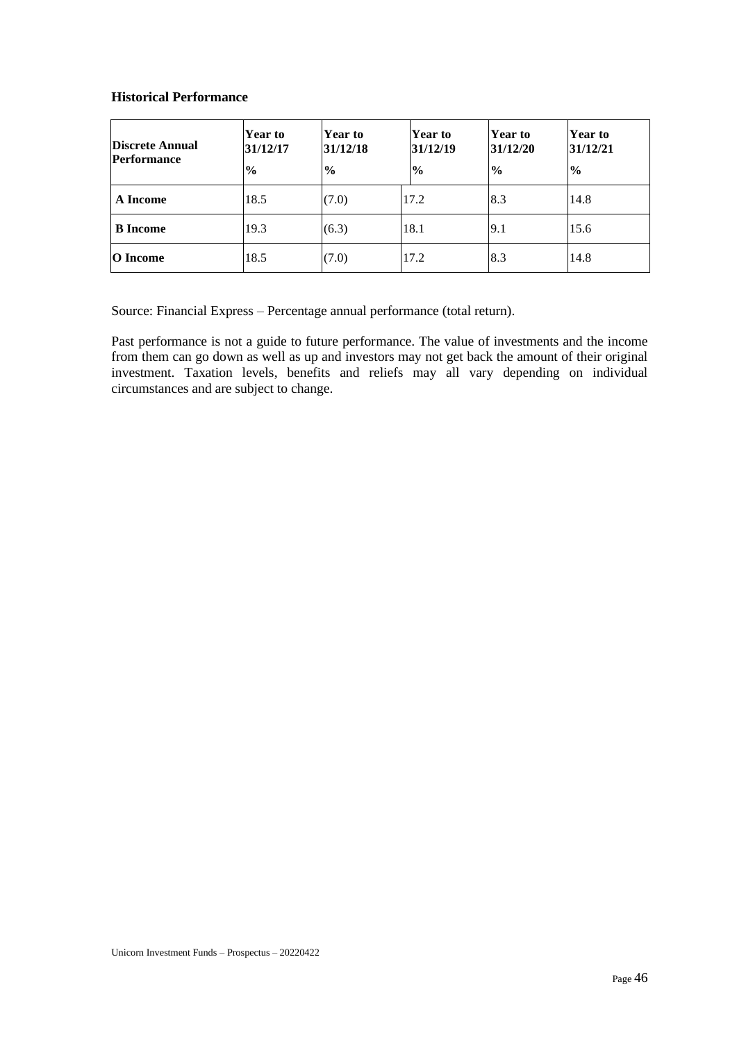## **Historical Performance**

| Discrete Annual<br><b>Performance</b> | <b>Year to</b><br>31/12/17<br>$\frac{6}{9}$ | Year to<br>31/12/18<br>$\frac{1}{2}$ | <b>Year to</b><br>31/12/19<br>$\frac{6}{6}$ | ∣Year to<br>31/12/20<br>$\frac{6}{6}$ | Year to<br>31/12/21<br>$\frac{6}{9}$ |
|---------------------------------------|---------------------------------------------|--------------------------------------|---------------------------------------------|---------------------------------------|--------------------------------------|
| A Income                              | 18.5                                        | (7.0)                                | 17.2                                        | 8.3                                   | 14.8                                 |
| <b>B</b> Income                       | 19.3                                        | (6.3)                                | 18.1                                        | 9.1                                   | 15.6                                 |
| <b>O</b> Income                       | 18.5                                        | (7.0)                                | 17.2                                        | 8.3                                   | 14.8                                 |

Source: Financial Express – Percentage annual performance (total return).

Past performance is not a guide to future performance. The value of investments and the income from them can go down as well as up and investors may not get back the amount of their original investment. Taxation levels, benefits and reliefs may all vary depending on individual circumstances and are subject to change.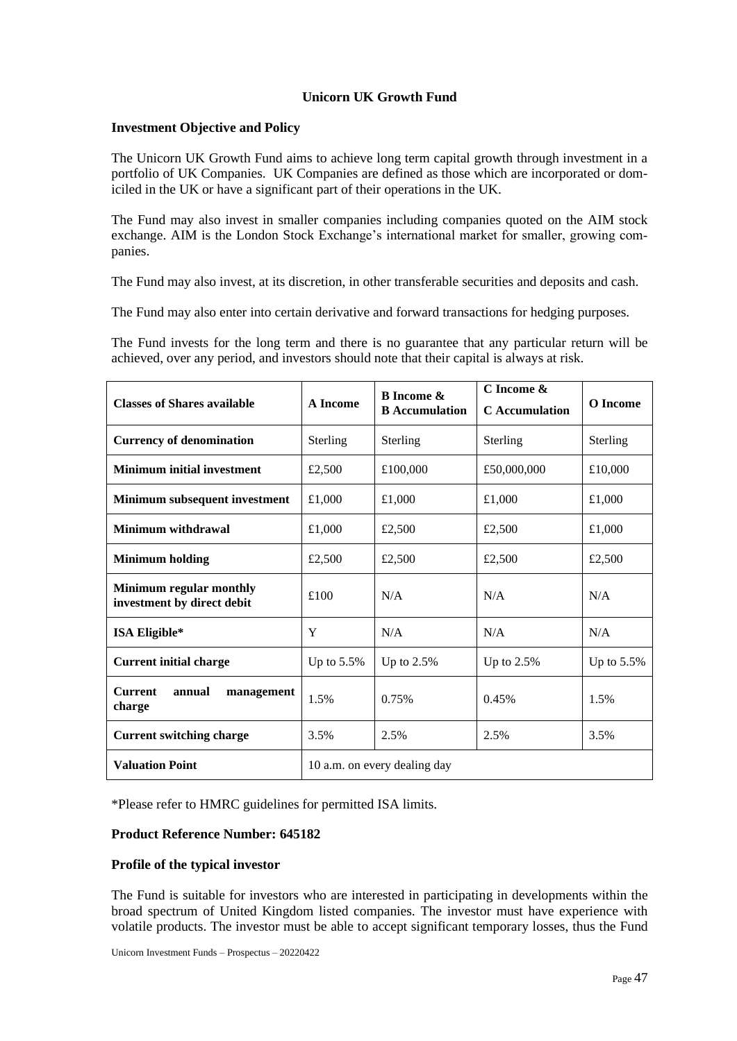# **Unicorn UK Growth Fund**

## **Investment Objective and Policy**

The Unicorn UK Growth Fund aims to achieve long term capital growth through investment in a portfolio of UK Companies. UK Companies are defined as those which are incorporated or domiciled in the UK or have a significant part of their operations in the UK.

The Fund may also invest in smaller companies including companies quoted on the AIM stock exchange. AIM is the London Stock Exchange's international market for smaller, growing companies.

The Fund may also invest, at its discretion, in other transferable securities and deposits and cash.

The Fund may also enter into certain derivative and forward transactions for hedging purposes.

The Fund invests for the long term and there is no guarantee that any particular return will be achieved, over any period, and investors should note that their capital is always at risk.

| <b>Classes of Shares available</b>                    | A Income      | <b>B</b> Income &<br><b>B</b> Accumulation | C Income &<br><b>C</b> Accumulation | O Income      |
|-------------------------------------------------------|---------------|--------------------------------------------|-------------------------------------|---------------|
| <b>Currency of denomination</b>                       | Sterling      | Sterling                                   | Sterling                            | Sterling      |
| <b>Minimum initial investment</b>                     | £2,500        | £100,000                                   | £50,000,000                         | £10,000       |
| Minimum subsequent investment                         | £1,000        | £1,000                                     | £1,000                              | £1,000        |
| Minimum withdrawal                                    | £1,000        | £2,500                                     | £2,500                              | £1,000        |
| <b>Minimum holding</b>                                | £2,500        | £2,500                                     | £2,500                              | £2,500        |
| Minimum regular monthly<br>investment by direct debit | £100          | N/A                                        | N/A                                 | N/A           |
| ISA Eligible*                                         | Y             | N/A                                        | N/A                                 | N/A           |
| <b>Current initial charge</b>                         | Up to $5.5\%$ | Up to $2.5\%$                              | Up to $2.5\%$                       | Up to $5.5\%$ |
| <b>Current</b><br>annual<br>management<br>charge      | 1.5%          | 0.75%                                      | 0.45%                               | 1.5%          |
| <b>Current switching charge</b>                       | 3.5%          | 2.5%                                       | 2.5%                                | 3.5%          |
| <b>Valuation Point</b>                                |               | 10 a.m. on every dealing day               |                                     |               |

\*Please refer to HMRC guidelines for permitted ISA limits.

# **Product Reference Number: 645182**

## **Profile of the typical investor**

The Fund is suitable for investors who are interested in participating in developments within the broad spectrum of United Kingdom listed companies. The investor must have experience with volatile products. The investor must be able to accept significant temporary losses, thus the Fund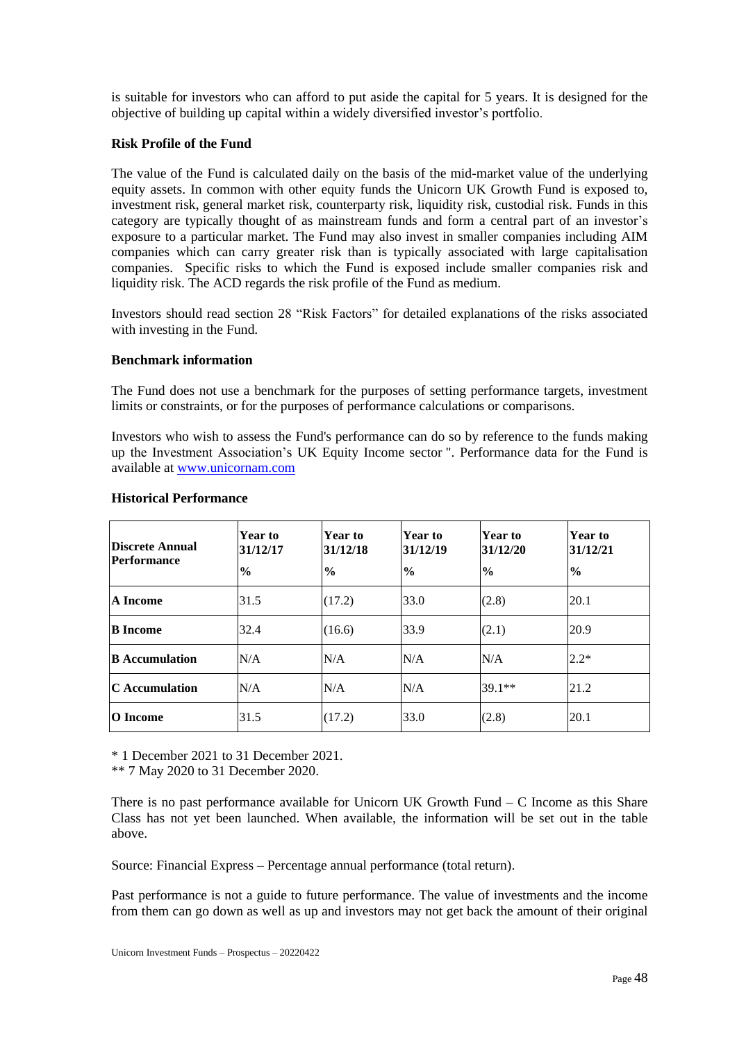is suitable for investors who can afford to put aside the capital for 5 years. It is designed for the objective of building up capital within a widely diversified investor's portfolio.

#### **Risk Profile of the Fund**

The value of the Fund is calculated daily on the basis of the mid-market value of the underlying equity assets. In common with other equity funds the Unicorn UK Growth Fund is exposed to, investment risk, general market risk, counterparty risk, liquidity risk, custodial risk. Funds in this category are typically thought of as mainstream funds and form a central part of an investor's exposure to a particular market. The Fund may also invest in smaller companies including AIM companies which can carry greater risk than is typically associated with large capitalisation companies. Specific risks to which the Fund is exposed include smaller companies risk and liquidity risk. The ACD regards the risk profile of the Fund as medium.

Investors should read section 28 "Risk Factors" for detailed explanations of the risks associated with investing in the Fund.

#### **Benchmark information**

The Fund does not use a benchmark for the purposes of setting performance targets, investment limits or constraints, or for the purposes of performance calculations or comparisons.

Investors who wish to assess the Fund's performance can do so by reference to the funds making up the Investment Association's UK Equity Income sector ". Performance data for the Fund is available at [www.unicornam.com](http://www.unicornam.com/)

| <b>Discrete Annual</b><br><b>Performance</b> | <b>Year to</b><br>31/12/17<br>$\frac{6}{9}$ | Year to<br>31/12/18<br>$\frac{6}{9}$ | Year to<br>31/12/19<br>$\frac{6}{9}$ | <b>Year to</b><br>31/12/20<br>$\frac{6}{9}$ | <b>Year to</b><br>31/12/21<br>$\frac{6}{9}$ |
|----------------------------------------------|---------------------------------------------|--------------------------------------|--------------------------------------|---------------------------------------------|---------------------------------------------|
| A Income                                     | 31.5                                        | (17.2)                               | 33.0                                 | (2.8)                                       | 20.1                                        |
| <b>B</b> Income                              | 32.4                                        | (16.6)                               | 33.9                                 | (2.1)                                       | 20.9                                        |
| <b>B</b> Accumulation                        | N/A                                         | N/A                                  | N/A                                  | N/A                                         | $2.2*$                                      |
| <b>C</b> Accumulation                        | N/A                                         | N/A                                  | N/A                                  | $39.1**$                                    | 21.2                                        |
| O Income                                     | 31.5                                        | (17.2)                               | 33.0                                 | (2.8)                                       | 20.1                                        |

#### **Historical Performance**

\* 1 December 2021 to 31 December 2021.

\*\* 7 May 2020 to 31 December 2020.

There is no past performance available for Unicorn UK Growth Fund  $-$  C Income as this Share Class has not yet been launched. When available, the information will be set out in the table above.

Source: Financial Express – Percentage annual performance (total return).

Past performance is not a guide to future performance. The value of investments and the income from them can go down as well as up and investors may not get back the amount of their original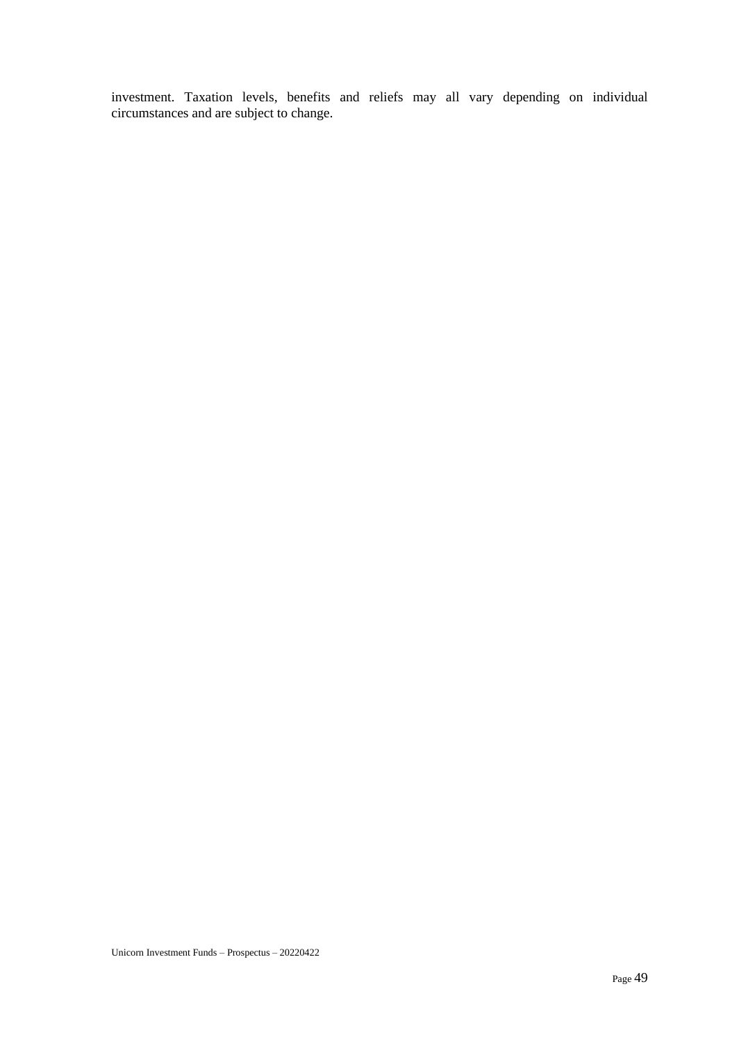investment. Taxation levels, benefits and reliefs may all vary depending on individual circumstances and are subject to change.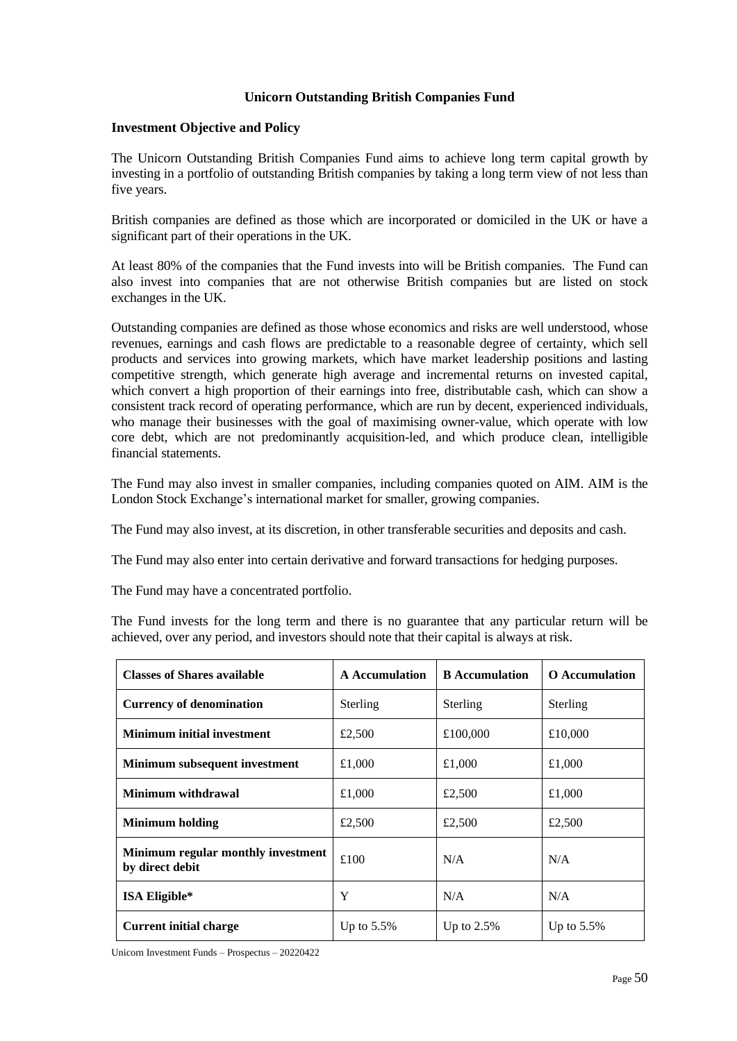# **Unicorn Outstanding British Companies Fund**

## **Investment Objective and Policy**

The Unicorn Outstanding British Companies Fund aims to achieve long term capital growth by investing in a portfolio of outstanding British companies by taking a long term view of not less than five years.

British companies are defined as those which are incorporated or domiciled in the UK or have a significant part of their operations in the UK.

At least 80% of the companies that the Fund invests into will be British companies. The Fund can also invest into companies that are not otherwise British companies but are listed on stock exchanges in the UK.

Outstanding companies are defined as those whose economics and risks are well understood, whose revenues, earnings and cash flows are predictable to a reasonable degree of certainty, which sell products and services into growing markets, which have market leadership positions and lasting competitive strength, which generate high average and incremental returns on invested capital, which convert a high proportion of their earnings into free, distributable cash, which can show a consistent track record of operating performance, which are run by decent, experienced individuals, who manage their businesses with the goal of maximising owner-value, which operate with low core debt, which are not predominantly acquisition-led, and which produce clean, intelligible financial statements.

The Fund may also invest in smaller companies, including companies quoted on AIM. AIM is the London Stock Exchange's international market for smaller, growing companies.

The Fund may also invest, at its discretion, in other transferable securities and deposits and cash.

The Fund may also enter into certain derivative and forward transactions for hedging purposes.

The Fund may have a concentrated portfolio.

The Fund invests for the long term and there is no guarantee that any particular return will be achieved, over any period, and investors should note that their capital is always at risk.

| <b>Classes of Shares available</b>                    | <b>A</b> Accumulation | <b>B</b> Accumulation | <b>O</b> Accumulation |
|-------------------------------------------------------|-----------------------|-----------------------|-----------------------|
| <b>Currency of denomination</b>                       | Sterling              | Sterling              | Sterling              |
| <b>Minimum initial investment</b>                     | £2,500                | £100,000              | £10,000               |
| Minimum subsequent investment                         | £1,000                | £1,000                | £1,000                |
| Minimum withdrawal                                    | £1,000                | £2,500                | £1,000                |
| <b>Minimum holding</b>                                | £2,500                | £2,500                | £2,500                |
| Minimum regular monthly investment<br>by direct debit | £100                  | N/A                   | N/A                   |
| ISA Eligible*                                         | Y                     | N/A                   | N/A                   |
| <b>Current initial charge</b>                         | Up to $5.5\%$         | Up to $2.5%$          | Up to $5.5\%$         |

Unicorn Investment Funds – Prospectus – 20220422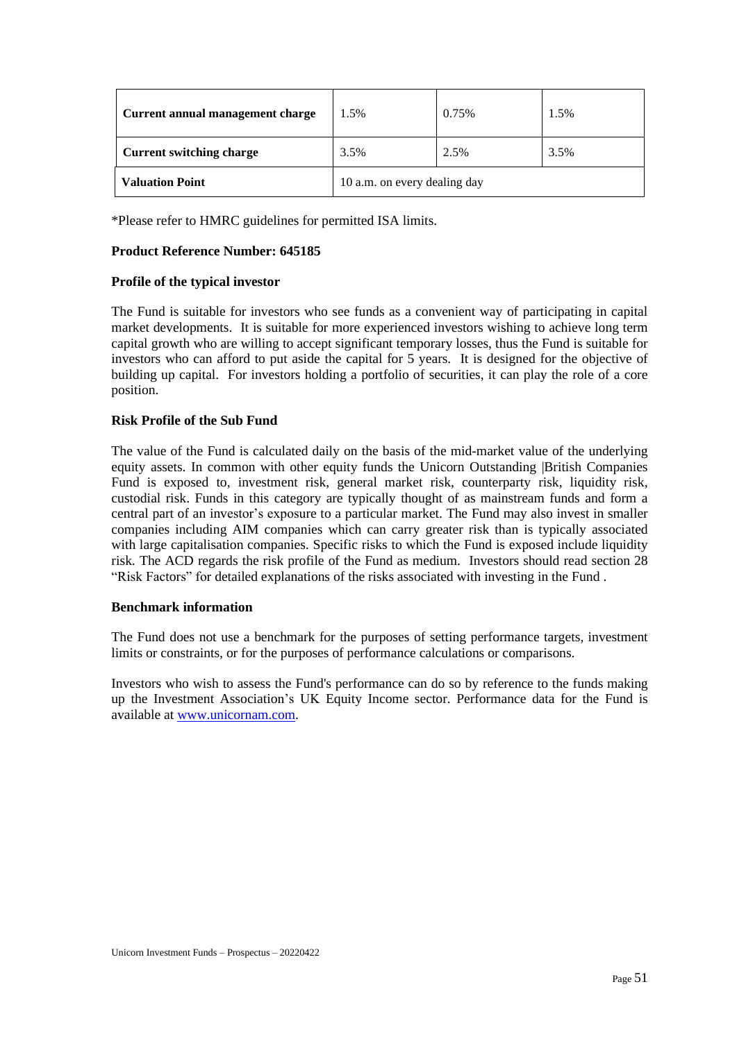| Current annual management charge | 1.5%                         | 0.75% | 1.5% |
|----------------------------------|------------------------------|-------|------|
| <b>Current switching charge</b>  | 3.5%                         | 2.5%  | 3.5% |
| <b>Valuation Point</b>           | 10 a.m. on every dealing day |       |      |

\*Please refer to HMRC guidelines for permitted ISA limits.

## **Product Reference Number: 645185**

## **Profile of the typical investor**

The Fund is suitable for investors who see funds as a convenient way of participating in capital market developments. It is suitable for more experienced investors wishing to achieve long term capital growth who are willing to accept significant temporary losses, thus the Fund is suitable for investors who can afford to put aside the capital for 5 years. It is designed for the objective of building up capital. For investors holding a portfolio of securities, it can play the role of a core position.

# **Risk Profile of the Sub Fund**

The value of the Fund is calculated daily on the basis of the mid-market value of the underlying equity assets. In common with other equity funds the Unicorn Outstanding |British Companies Fund is exposed to, investment risk, general market risk, counterparty risk, liquidity risk, custodial risk. Funds in this category are typically thought of as mainstream funds and form a central part of an investor's exposure to a particular market. The Fund may also invest in smaller companies including AIM companies which can carry greater risk than is typically associated with large capitalisation companies. Specific risks to which the Fund is exposed include liquidity risk. The ACD regards the risk profile of the Fund as medium. Investors should read section 28 "Risk Factors" for detailed explanations of the risks associated with investing in the Fund .

## **Benchmark information**

The Fund does not use a benchmark for the purposes of setting performance targets, investment limits or constraints, or for the purposes of performance calculations or comparisons.

Investors who wish to assess the Fund's performance can do so by reference to the funds making up the Investment Association's UK Equity Income sector. Performance data for the Fund is available at [www.unicornam.com.](http://www.unicornam.com/)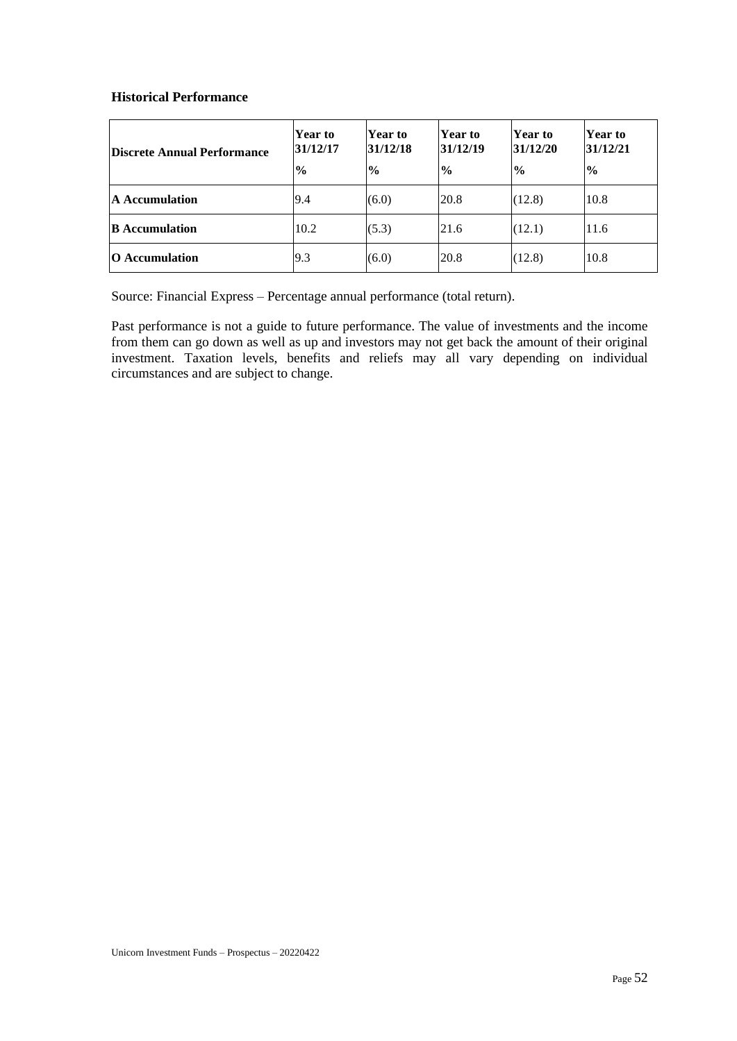## **Historical Performance**

| <b>Discrete Annual Performance</b> | Year to<br>31/12/17<br>$\frac{0}{0}$ | <b>Year to</b><br>31/12/18<br>$\frac{6}{9}$ | Year to<br>31/12/19<br>$\frac{1}{2}$ | Year to<br>31/12/20<br>$\frac{1}{2}$ | Year to<br>31/12/21<br>$\frac{1}{2}$ |
|------------------------------------|--------------------------------------|---------------------------------------------|--------------------------------------|--------------------------------------|--------------------------------------|
| <b>A</b> Accumulation              | 9.4                                  | (6.0)                                       | 20.8                                 | (12.8)                               | 10.8                                 |
| <b>B</b> Accumulation              | 10.2                                 | (5.3)                                       | 21.6                                 | (12.1)                               | 11.6                                 |
| <b>O</b> Accumulation              | 9.3                                  | (6.0)                                       | 20.8                                 | (12.8)                               | 10.8                                 |

Source: Financial Express – Percentage annual performance (total return).

Past performance is not a guide to future performance. The value of investments and the income from them can go down as well as up and investors may not get back the amount of their original investment. Taxation levels, benefits and reliefs may all vary depending on individual circumstances and are subject to change.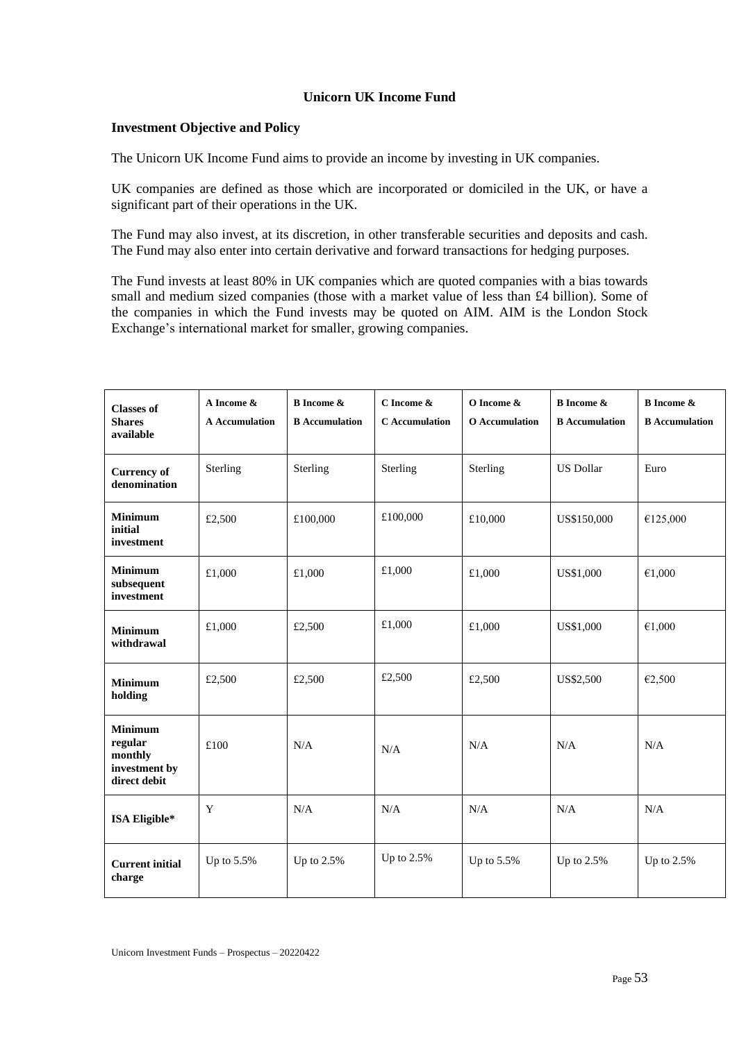# **Unicorn UK Income Fund**

## **Investment Objective and Policy**

The Unicorn UK Income Fund aims to provide an income by investing in UK companies.

UK companies are defined as those which are incorporated or domiciled in the UK, or have a significant part of their operations in the UK.

The Fund may also invest, at its discretion, in other transferable securities and deposits and cash. The Fund may also enter into certain derivative and forward transactions for hedging purposes.

The Fund invests at least 80% in UK companies which are quoted companies with a bias towards small and medium sized companies (those with a market value of less than £4 billion). Some of the companies in which the Fund invests may be quoted on AIM. AIM is the London Stock Exchange's international market for smaller, growing companies.

| <b>Classes of</b><br><b>Shares</b><br>available                       | A Income &<br><b>A</b> Accumulation | <b>B</b> Income &<br><b>B</b> Accumulation | C Income &<br>C Accumulation | O Income &<br><b>O</b> Accumulation | <b>B</b> Income &<br><b>B</b> Accumulation | <b>B</b> Income &<br><b>B</b> Accumulation |
|-----------------------------------------------------------------------|-------------------------------------|--------------------------------------------|------------------------------|-------------------------------------|--------------------------------------------|--------------------------------------------|
| <b>Currency of</b><br>denomination                                    | Sterling                            | Sterling                                   | Sterling                     | Sterling                            | <b>US Dollar</b>                           | Euro                                       |
| <b>Minimum</b><br>initial<br>investment                               | £2,500                              | £100,000                                   | £100,000                     | £10,000                             | US\$150,000                                | €125,000                                   |
| <b>Minimum</b><br>subsequent<br>investment                            | £1,000                              | £1,000                                     | £1,000                       | £1,000                              | US\$1,000                                  | €1,000                                     |
| <b>Minimum</b><br>withdrawal                                          | £1,000                              | £2,500                                     | £1,000                       | £1,000                              | US\$1,000                                  | €1,000                                     |
| <b>Minimum</b><br>holding                                             | £2,500                              | £2,500                                     | £2,500                       | £2,500                              | US\$2,500                                  | €2,500                                     |
| <b>Minimum</b><br>regular<br>monthly<br>investment by<br>direct debit | £100                                | N/A                                        | N/A                          | N/A                                 | N/A                                        | N/A                                        |
| ISA Eligible*                                                         | Y                                   | N/A                                        | N/A                          | N/A                                 | N/A                                        | N/A                                        |
| <b>Current initial</b><br>charge                                      | Up to 5.5%                          | Up to 2.5%                                 | Up to 2.5%                   | Up to $5.5\%$                       | Up to $2.5%$                               | Up to 2.5%                                 |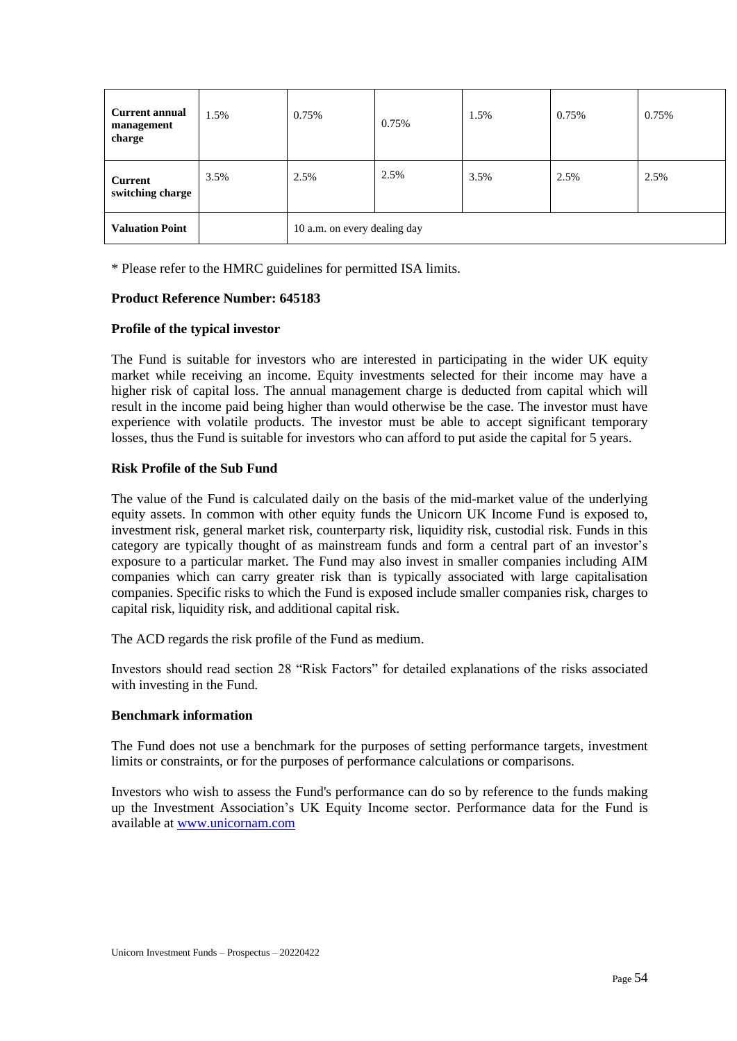| <b>Current annual</b><br>management<br>charge | 1.5% | 0.75%                        | 0.75% | 1.5% | 0.75% | 0.75% |
|-----------------------------------------------|------|------------------------------|-------|------|-------|-------|
| <b>Current</b><br>switching charge            | 3.5% | 2.5%                         | 2.5%  | 3.5% | 2.5%  | 2.5%  |
| <b>Valuation Point</b>                        |      | 10 a.m. on every dealing day |       |      |       |       |

\* Please refer to the HMRC guidelines for permitted ISA limits.

#### **Product Reference Number: 645183**

#### **Profile of the typical investor**

The Fund is suitable for investors who are interested in participating in the wider UK equity market while receiving an income. Equity investments selected for their income may have a higher risk of capital loss. The annual management charge is deducted from capital which will result in the income paid being higher than would otherwise be the case. The investor must have experience with volatile products. The investor must be able to accept significant temporary losses, thus the Fund is suitable for investors who can afford to put aside the capital for 5 years.

#### **Risk Profile of the Sub Fund**

The value of the Fund is calculated daily on the basis of the mid-market value of the underlying equity assets. In common with other equity funds the Unicorn UK Income Fund is exposed to, investment risk, general market risk, counterparty risk, liquidity risk, custodial risk. Funds in this category are typically thought of as mainstream funds and form a central part of an investor's exposure to a particular market. The Fund may also invest in smaller companies including AIM companies which can carry greater risk than is typically associated with large capitalisation companies. Specific risks to which the Fund is exposed include smaller companies risk, charges to capital risk, liquidity risk, and additional capital risk.

The ACD regards the risk profile of the Fund as medium.

Investors should read section 28 "Risk Factors" for detailed explanations of the risks associated with investing in the Fund.

#### **Benchmark information**

The Fund does not use a benchmark for the purposes of setting performance targets, investment limits or constraints, or for the purposes of performance calculations or comparisons.

Investors who wish to assess the Fund's performance can do so by reference to the funds making up the Investment Association's UK Equity Income sector. Performance data for the Fund is available at [www.unicornam.com](http://www.unicornam.com/)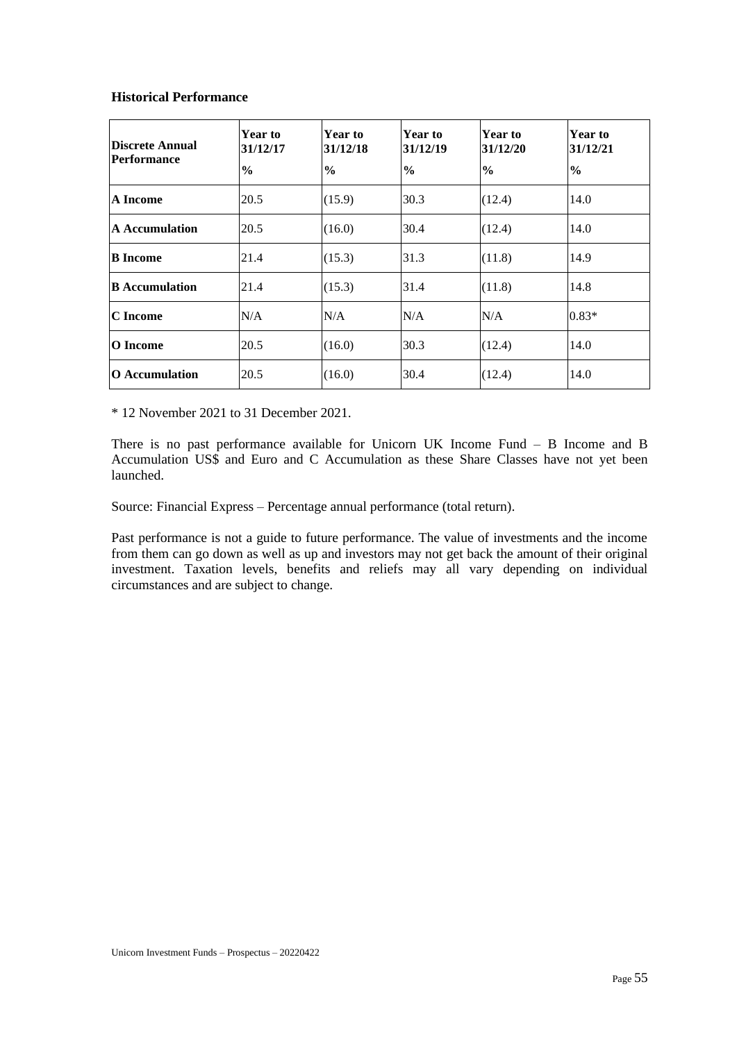## **Historical Performance**

| Discrete Annual<br><b>Performance</b> | Year to<br>31/12/17<br>$\frac{0}{0}$ | Year to<br>31/12/18<br>$\frac{6}{9}$ | Year to<br>31/12/19<br>$\frac{6}{9}$ | Year to<br>31/12/20<br>$\frac{0}{0}$ | <b>Year to</b><br>31/12/21<br>$\frac{6}{9}$ |
|---------------------------------------|--------------------------------------|--------------------------------------|--------------------------------------|--------------------------------------|---------------------------------------------|
| A Income                              | 20.5                                 | (15.9)                               | 30.3                                 | (12.4)                               | 14.0                                        |
| <b>A</b> Accumulation                 | 20.5                                 | (16.0)                               | 30.4                                 | (12.4)                               | 14.0                                        |
| <b>B</b> Income                       | 21.4                                 | (15.3)                               | 31.3                                 | (11.8)                               | 14.9                                        |
| <b>B</b> Accumulation                 | 21.4                                 | (15.3)                               | 31.4                                 | (11.8)                               | 14.8                                        |
| C Income                              | N/A                                  | N/A                                  | N/A                                  | N/A                                  | $0.83*$                                     |
| O Income                              | 20.5                                 | (16.0)                               | 30.3                                 | (12.4)                               | 14.0                                        |
| <b>O</b> Accumulation                 | 20.5                                 | (16.0)                               | 30.4                                 | (12.4)                               | 14.0                                        |

\* 12 November 2021 to 31 December 2021.

There is no past performance available for Unicorn UK Income Fund – B Income and B Accumulation US\$ and Euro and C Accumulation as these Share Classes have not yet been launched.

Source: Financial Express – Percentage annual performance (total return).

Past performance is not a guide to future performance. The value of investments and the income from them can go down as well as up and investors may not get back the amount of their original investment. Taxation levels, benefits and reliefs may all vary depending on individual circumstances and are subject to change.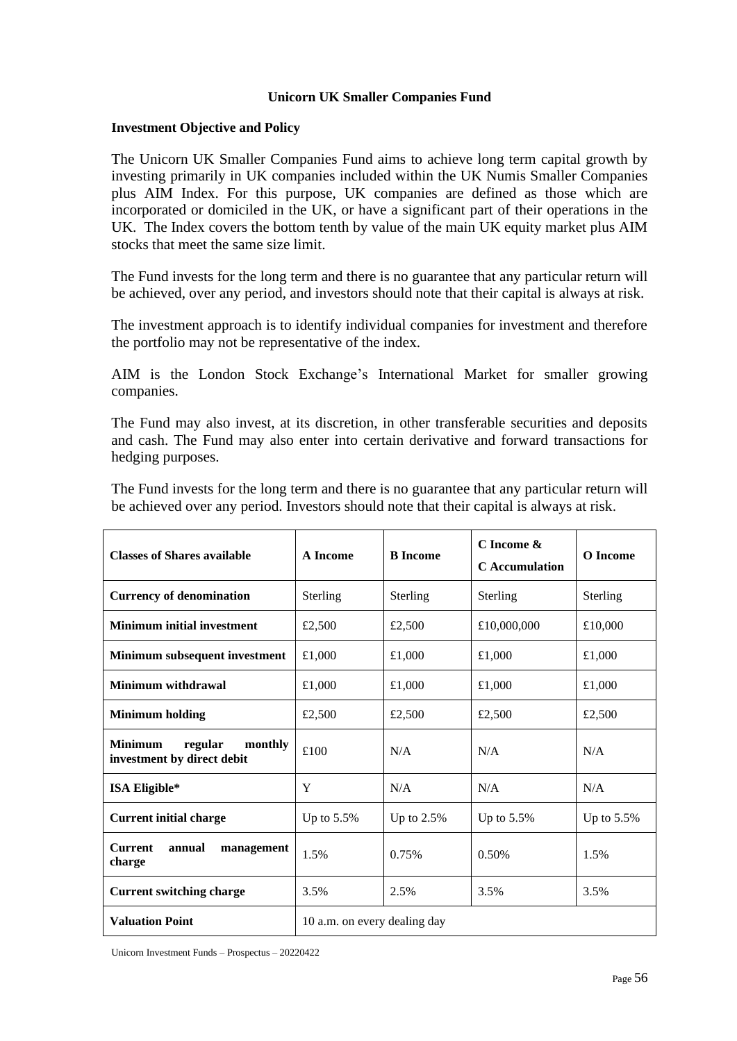# **Unicorn UK Smaller Companies Fund**

# **Investment Objective and Policy**

The Unicorn UK Smaller Companies Fund aims to achieve long term capital growth by investing primarily in UK companies included within the UK Numis Smaller Companies plus AIM Index. For this purpose, UK companies are defined as those which are incorporated or domiciled in the UK, or have a significant part of their operations in the UK. The Index covers the bottom tenth by value of the main UK equity market plus AIM stocks that meet the same size limit.

The Fund invests for the long term and there is no guarantee that any particular return will be achieved, over any period, and investors should note that their capital is always at risk.

The investment approach is to identify individual companies for investment and therefore the portfolio may not be representative of the index.

AIM is the London Stock Exchange's International Market for smaller growing companies.

The Fund may also invest, at its discretion, in other transferable securities and deposits and cash. The Fund may also enter into certain derivative and forward transactions for hedging purposes.

The Fund invests for the long term and there is no guarantee that any particular return will be achieved over any period. Investors should note that their capital is always at risk.

| <b>Classes of Shares available</b>                                 | <b>A</b> Income              | <b>B</b> Income | C Income &<br><b>C</b> Accumulation | <b>O</b> Income |
|--------------------------------------------------------------------|------------------------------|-----------------|-------------------------------------|-----------------|
| <b>Currency of denomination</b>                                    | <b>Sterling</b>              | Sterling        | Sterling                            | Sterling        |
| <b>Minimum initial investment</b>                                  | £2,500                       | £2,500          | £10,000,000                         | £10,000         |
| Minimum subsequent investment                                      | £1,000                       | £1,000          | £1,000                              | £1,000          |
| <b>Minimum withdrawal</b>                                          | £1,000                       | £1,000          | £1,000                              | £1,000          |
| <b>Minimum holding</b>                                             | £2,500                       | £2,500          | £2,500                              | £2,500          |
| regular<br><b>Minimum</b><br>monthly<br>investment by direct debit | £100                         | N/A             | N/A                                 | N/A             |
| <b>ISA Eligible*</b>                                               | Y                            | N/A             | N/A                                 | N/A             |
| <b>Current initial charge</b>                                      | Up to 5.5%                   | Up to 2.5%      | Up to $5.5\%$                       | Up to $5.5\%$   |
| <b>Current</b><br>annual<br>management<br>charge                   | 1.5%                         | 0.75%           | 0.50%                               | 1.5%            |
| <b>Current switching charge</b>                                    | 3.5%                         | 2.5%            | 3.5%                                | 3.5%            |
| <b>Valuation Point</b>                                             | 10 a.m. on every dealing day |                 |                                     |                 |

Unicorn Investment Funds – Prospectus – 20220422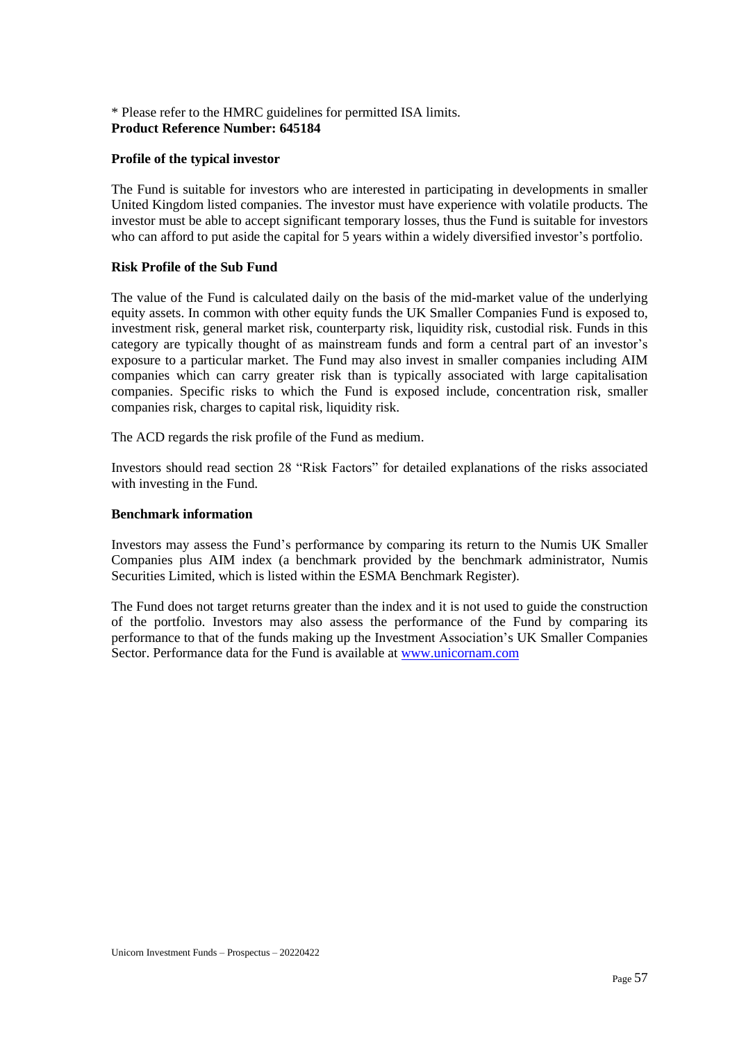# \* Please refer to the HMRC guidelines for permitted ISA limits. **Product Reference Number: 645184**

# **Profile of the typical investor**

The Fund is suitable for investors who are interested in participating in developments in smaller United Kingdom listed companies. The investor must have experience with volatile products. The investor must be able to accept significant temporary losses, thus the Fund is suitable for investors who can afford to put aside the capital for 5 years within a widely diversified investor's portfolio.

## **Risk Profile of the Sub Fund**

The value of the Fund is calculated daily on the basis of the mid-market value of the underlying equity assets. In common with other equity funds the UK Smaller Companies Fund is exposed to, investment risk, general market risk, counterparty risk, liquidity risk, custodial risk. Funds in this category are typically thought of as mainstream funds and form a central part of an investor's exposure to a particular market. The Fund may also invest in smaller companies including AIM companies which can carry greater risk than is typically associated with large capitalisation companies. Specific risks to which the Fund is exposed include, concentration risk, smaller companies risk, charges to capital risk, liquidity risk.

The ACD regards the risk profile of the Fund as medium.

Investors should read section 28 "Risk Factors" for detailed explanations of the risks associated with investing in the Fund.

# **Benchmark information**

Investors may assess the Fund's performance by comparing its return to the Numis UK Smaller Companies plus AIM index (a benchmark provided by the benchmark administrator, Numis Securities Limited, which is listed within the ESMA Benchmark Register).

The Fund does not target returns greater than the index and it is not used to guide the construction of the portfolio. Investors may also assess the performance of the Fund by comparing its performance to that of the funds making up the Investment Association's UK Smaller Companies Sector. Performance data for the Fund is available at [www.unicornam.com](http://www.unicornam.com/)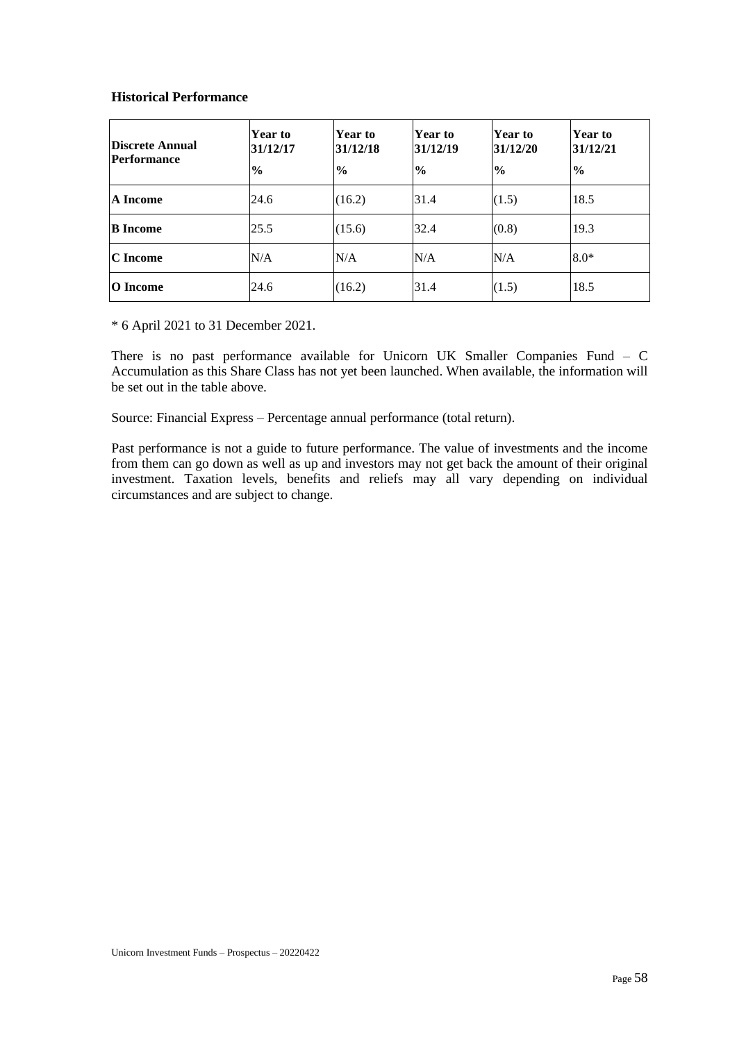# **Historical Performance**

| <b>Discrete Annual</b><br><b>Performance</b> | <b>Year to</b><br>31/12/17<br>$\frac{0}{0}$ | Year to<br>31/12/18<br>$\frac{6}{9}$ | Year to<br>31/12/19<br>$\frac{1}{2}$ | <b>Year to</b><br>31/12/20<br>$\frac{6}{6}$ | <b>Year to</b><br>31/12/21<br>$\frac{0}{0}$ |
|----------------------------------------------|---------------------------------------------|--------------------------------------|--------------------------------------|---------------------------------------------|---------------------------------------------|
| A Income                                     | 24.6                                        | (16.2)                               | 31.4                                 | (1.5)                                       | 18.5                                        |
| <b>B</b> Income                              | 25.5                                        | (15.6)                               | 32.4                                 | (0.8)                                       | 19.3                                        |
| C Income                                     | N/A                                         | N/A                                  | N/A                                  | N/A                                         | $8.0*$                                      |
| O Income                                     | 24.6                                        | (16.2)                               | 31.4                                 | (1.5)                                       | 18.5                                        |

\* 6 April 2021 to 31 December 2021.

There is no past performance available for Unicorn UK Smaller Companies Fund – C Accumulation as this Share Class has not yet been launched. When available, the information will be set out in the table above.

Source: Financial Express – Percentage annual performance (total return).

Past performance is not a guide to future performance. The value of investments and the income from them can go down as well as up and investors may not get back the amount of their original investment. Taxation levels, benefits and reliefs may all vary depending on individual circumstances and are subject to change.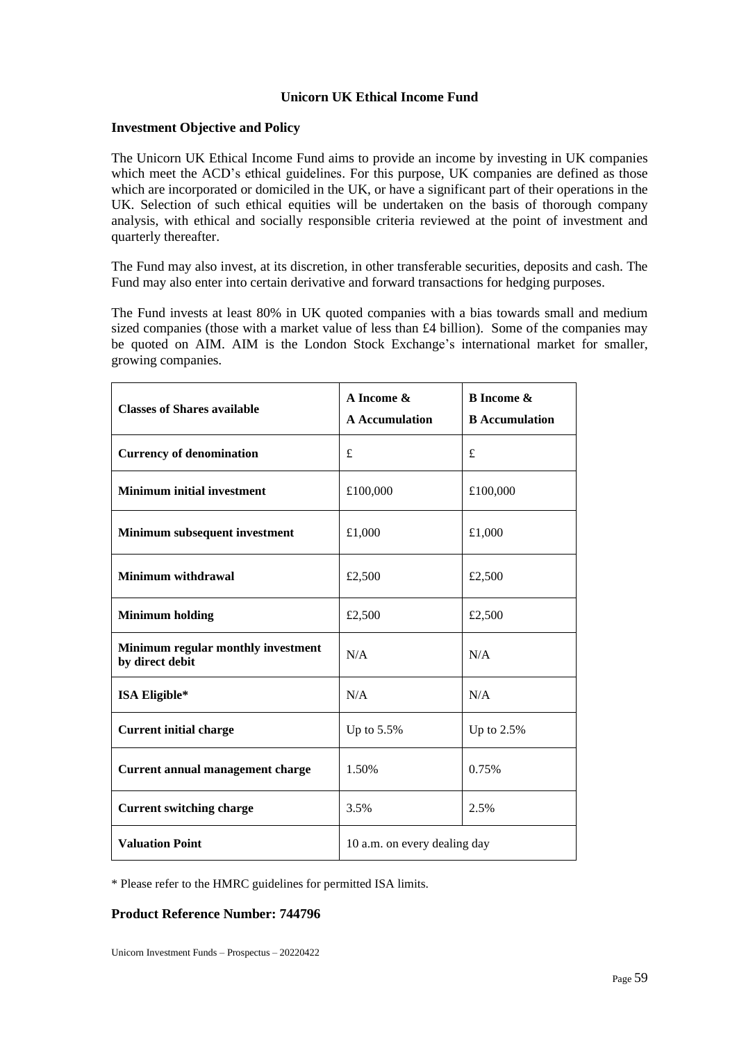# **Unicorn UK Ethical Income Fund**

## **Investment Objective and Policy**

The Unicorn UK Ethical Income Fund aims to provide an income by investing in UK companies which meet the ACD's ethical guidelines. For this purpose, UK companies are defined as those which are incorporated or domiciled in the UK, or have a significant part of their operations in the UK. Selection of such ethical equities will be undertaken on the basis of thorough company analysis, with ethical and socially responsible criteria reviewed at the point of investment and quarterly thereafter.

The Fund may also invest, at its discretion, in other transferable securities, deposits and cash. The Fund may also enter into certain derivative and forward transactions for hedging purposes.

The Fund invests at least 80% in UK quoted companies with a bias towards small and medium sized companies (those with a market value of less than £4 billion). Some of the companies may be quoted on AIM. AIM is the London Stock Exchange's international market for smaller, growing companies.

| <b>Classes of Shares available</b>                    | A Income &<br><b>A</b> Accumulation | <b>B</b> Income &<br><b>B</b> Accumulation |  |
|-------------------------------------------------------|-------------------------------------|--------------------------------------------|--|
| <b>Currency of denomination</b>                       | £                                   | £                                          |  |
| <b>Minimum initial investment</b>                     | £100,000                            | £100,000                                   |  |
| Minimum subsequent investment                         | £1,000                              | £1,000                                     |  |
| <b>Minimum withdrawal</b>                             | £2,500                              | £2,500                                     |  |
| <b>Minimum holding</b>                                | £2,500                              | £2,500                                     |  |
| Minimum regular monthly investment<br>by direct debit | N/A                                 | N/A                                        |  |
| ISA Eligible*                                         | N/A                                 | N/A                                        |  |
| <b>Current initial charge</b>                         | Up to 5.5%                          | Up to $2.5%$                               |  |
| Current annual management charge                      | 1.50%                               | 0.75%                                      |  |
| <b>Current switching charge</b>                       | 3.5%                                | 2.5%                                       |  |
| <b>Valuation Point</b>                                | 10 a.m. on every dealing day        |                                            |  |

\* Please refer to the HMRC guidelines for permitted ISA limits.

# **Product Reference Number: 744796**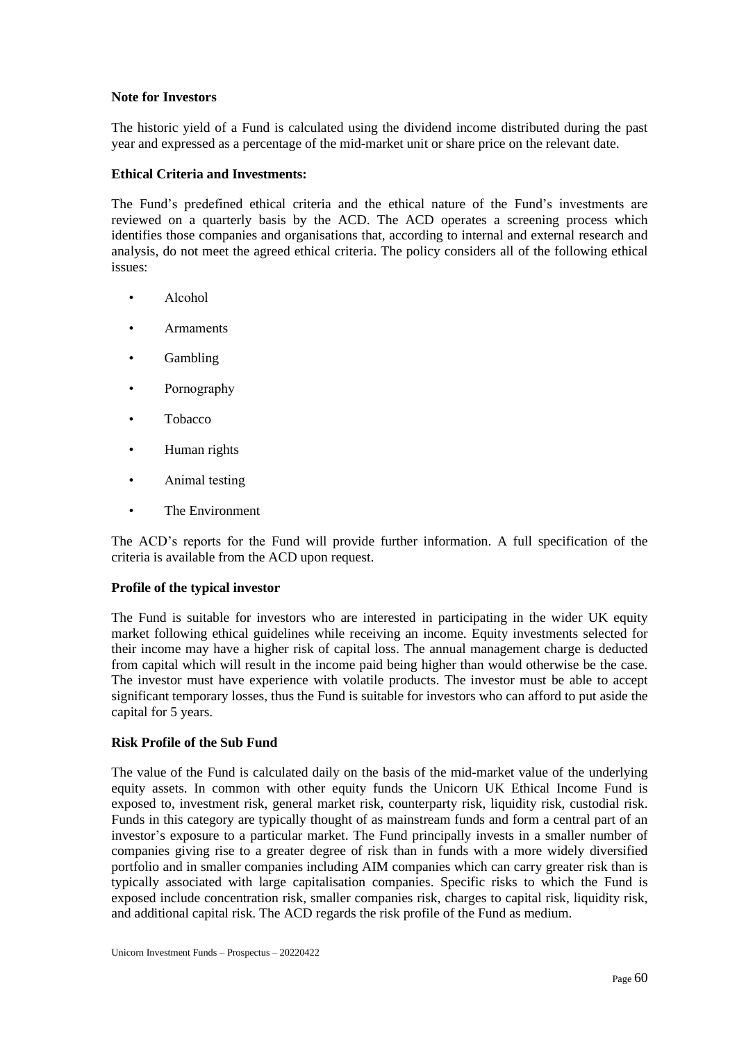## **Note for Investors**

The historic yield of a Fund is calculated using the dividend income distributed during the past year and expressed as a percentage of the mid-market unit or share price on the relevant date.

## **Ethical Criteria and Investments:**

The Fund's predefined ethical criteria and the ethical nature of the Fund's investments are reviewed on a quarterly basis by the ACD. The ACD operates a screening process which identifies those companies and organisations that, according to internal and external research and analysis, do not meet the agreed ethical criteria. The policy considers all of the following ethical issues:

- Alcohol
- **Armaments**
- **Gambling**
- Pornography
- Tobacco
- Human rights
- Animal testing
- The Environment

The ACD's reports for the Fund will provide further information. A full specification of the criteria is available from the ACD upon request.

## **Profile of the typical investor**

The Fund is suitable for investors who are interested in participating in the wider UK equity market following ethical guidelines while receiving an income. Equity investments selected for their income may have a higher risk of capital loss. The annual management charge is deducted from capital which will result in the income paid being higher than would otherwise be the case. The investor must have experience with volatile products. The investor must be able to accept significant temporary losses, thus the Fund is suitable for investors who can afford to put aside the capital for 5 years.

## **Risk Profile of the Sub Fund**

The value of the Fund is calculated daily on the basis of the mid-market value of the underlying equity assets. In common with other equity funds the Unicorn UK Ethical Income Fund is exposed to, investment risk, general market risk, counterparty risk, liquidity risk, custodial risk. Funds in this category are typically thought of as mainstream funds and form a central part of an investor's exposure to a particular market. The Fund principally invests in a smaller number of companies giving rise to a greater degree of risk than in funds with a more widely diversified portfolio and in smaller companies including AIM companies which can carry greater risk than is typically associated with large capitalisation companies. Specific risks to which the Fund is exposed include concentration risk, smaller companies risk, charges to capital risk, liquidity risk, and additional capital risk. The ACD regards the risk profile of the Fund as medium.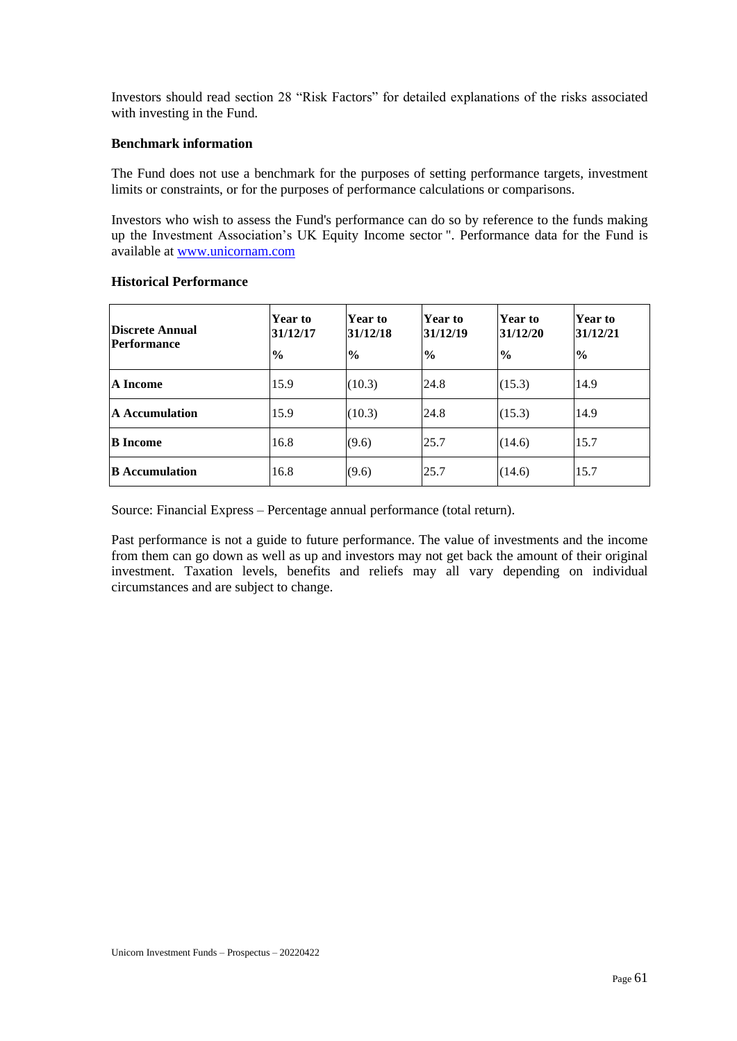Investors should read section 28 "Risk Factors" for detailed explanations of the risks associated with investing in the Fund.

# **Benchmark information**

The Fund does not use a benchmark for the purposes of setting performance targets, investment limits or constraints, or for the purposes of performance calculations or comparisons.

Investors who wish to assess the Fund's performance can do so by reference to the funds making up the Investment Association's UK Equity Income sector ". Performance data for the Fund is available at [www.unicornam.com](http://www.unicornam.com/)

| Discrete Annual<br>Performance | <b>Year to</b><br>31/12/17<br>$\frac{6}{9}$ | Year to<br>31/12/18<br>$\frac{0}{0}$ | <b>Year to</b><br>31/12/19<br>$\frac{0}{0}$ | Year to<br>31/12/20<br>$\frac{1}{2}$ | <b>Year to</b><br>31/12/21<br>$\frac{6}{9}$ |
|--------------------------------|---------------------------------------------|--------------------------------------|---------------------------------------------|--------------------------------------|---------------------------------------------|
| A Income                       | 15.9                                        | (10.3)                               | 24.8                                        | (15.3)                               | 14.9                                        |
| <b>A</b> Accumulation          | 15.9                                        | (10.3)                               | 24.8                                        | (15.3)                               | 14.9                                        |
| <b>B</b> Income                | 16.8                                        | (9.6)                                | 25.7                                        | (14.6)                               | 15.7                                        |
| <b>B</b> Accumulation          | 16.8                                        | (9.6)                                | 25.7                                        | (14.6)                               | 15.7                                        |

## **Historical Performance**

Source: Financial Express – Percentage annual performance (total return).

Past performance is not a guide to future performance. The value of investments and the income from them can go down as well as up and investors may not get back the amount of their original investment. Taxation levels, benefits and reliefs may all vary depending on individual circumstances and are subject to change.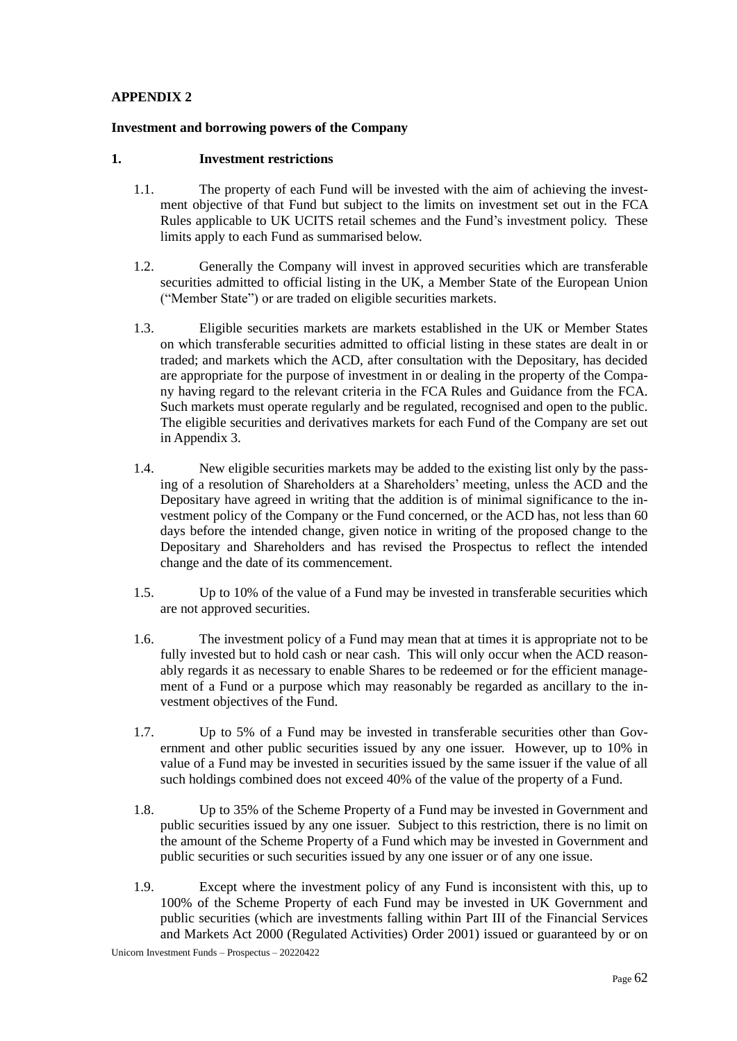# **APPENDIX 2**

## **Investment and borrowing powers of the Company**

#### **1. Investment restrictions**

- 1.1. The property of each Fund will be invested with the aim of achieving the investment objective of that Fund but subject to the limits on investment set out in the FCA Rules applicable to UK UCITS retail schemes and the Fund's investment policy. These limits apply to each Fund as summarised below.
- 1.2. Generally the Company will invest in approved securities which are transferable securities admitted to official listing in the UK, a Member State of the European Union ("Member State") or are traded on eligible securities markets.
- 1.3. Eligible securities markets are markets established in the UK or Member States on which transferable securities admitted to official listing in these states are dealt in or traded; and markets which the ACD, after consultation with the Depositary, has decided are appropriate for the purpose of investment in or dealing in the property of the Company having regard to the relevant criteria in the FCA Rules and Guidance from the FCA. Such markets must operate regularly and be regulated, recognised and open to the public. The eligible securities and derivatives markets for each Fund of the Company are set out in Appendix 3.
- 1.4. New eligible securities markets may be added to the existing list only by the passing of a resolution of Shareholders at a Shareholders' meeting, unless the ACD and the Depositary have agreed in writing that the addition is of minimal significance to the investment policy of the Company or the Fund concerned, or the ACD has, not less than 60 days before the intended change, given notice in writing of the proposed change to the Depositary and Shareholders and has revised the Prospectus to reflect the intended change and the date of its commencement.
- 1.5. Up to 10% of the value of a Fund may be invested in transferable securities which are not approved securities.
- 1.6. The investment policy of a Fund may mean that at times it is appropriate not to be fully invested but to hold cash or near cash. This will only occur when the ACD reasonably regards it as necessary to enable Shares to be redeemed or for the efficient management of a Fund or a purpose which may reasonably be regarded as ancillary to the investment objectives of the Fund.
- 1.7. Up to 5% of a Fund may be invested in transferable securities other than Government and other public securities issued by any one issuer. However, up to 10% in value of a Fund may be invested in securities issued by the same issuer if the value of all such holdings combined does not exceed 40% of the value of the property of a Fund.
- 1.8. Up to 35% of the Scheme Property of a Fund may be invested in Government and public securities issued by any one issuer. Subject to this restriction, there is no limit on the amount of the Scheme Property of a Fund which may be invested in Government and public securities or such securities issued by any one issuer or of any one issue.
- 1.9. Except where the investment policy of any Fund is inconsistent with this, up to 100% of the Scheme Property of each Fund may be invested in UK Government and public securities (which are investments falling within Part III of the Financial Services and Markets Act 2000 (Regulated Activities) Order 2001) issued or guaranteed by or on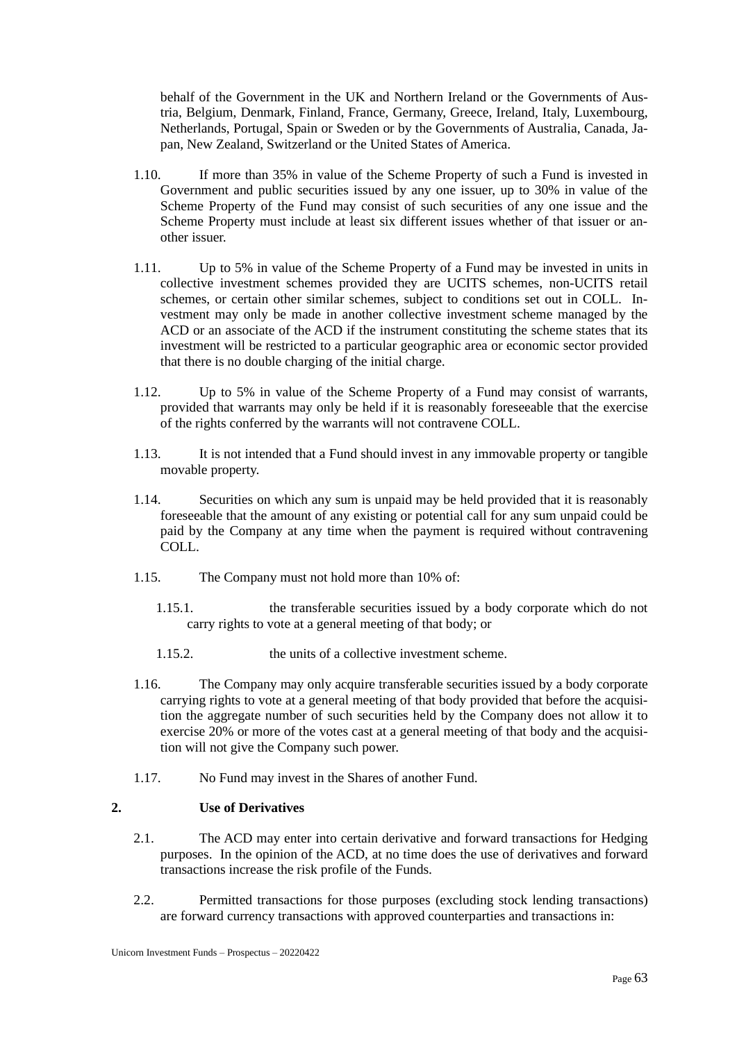behalf of the Government in the UK and Northern Ireland or the Governments of Austria, Belgium, Denmark, Finland, France, Germany, Greece, Ireland, Italy, Luxembourg, Netherlands, Portugal, Spain or Sweden or by the Governments of Australia, Canada, Japan, New Zealand, Switzerland or the United States of America.

- 1.10. If more than 35% in value of the Scheme Property of such a Fund is invested in Government and public securities issued by any one issuer, up to 30% in value of the Scheme Property of the Fund may consist of such securities of any one issue and the Scheme Property must include at least six different issues whether of that issuer or another issuer.
- 1.11. Up to 5% in value of the Scheme Property of a Fund may be invested in units in collective investment schemes provided they are UCITS schemes, non-UCITS retail schemes, or certain other similar schemes, subject to conditions set out in COLL. Investment may only be made in another collective investment scheme managed by the ACD or an associate of the ACD if the instrument constituting the scheme states that its investment will be restricted to a particular geographic area or economic sector provided that there is no double charging of the initial charge.
- 1.12. Up to 5% in value of the Scheme Property of a Fund may consist of warrants, provided that warrants may only be held if it is reasonably foreseeable that the exercise of the rights conferred by the warrants will not contravene COLL.
- 1.13. It is not intended that a Fund should invest in any immovable property or tangible movable property.
- 1.14. Securities on which any sum is unpaid may be held provided that it is reasonably foreseeable that the amount of any existing or potential call for any sum unpaid could be paid by the Company at any time when the payment is required without contravening COLL.
- 1.15. The Company must not hold more than 10% of:
	- 1.15.1. the transferable securities issued by a body corporate which do not carry rights to vote at a general meeting of that body; or
	- 1.15.2. the units of a collective investment scheme.
- 1.16. The Company may only acquire transferable securities issued by a body corporate carrying rights to vote at a general meeting of that body provided that before the acquisition the aggregate number of such securities held by the Company does not allow it to exercise 20% or more of the votes cast at a general meeting of that body and the acquisition will not give the Company such power.
- 1.17. No Fund may invest in the Shares of another Fund.

## **2. Use of Derivatives**

- 2.1. The ACD may enter into certain derivative and forward transactions for Hedging purposes. In the opinion of the ACD, at no time does the use of derivatives and forward transactions increase the risk profile of the Funds.
- 2.2. Permitted transactions for those purposes (excluding stock lending transactions) are forward currency transactions with approved counterparties and transactions in: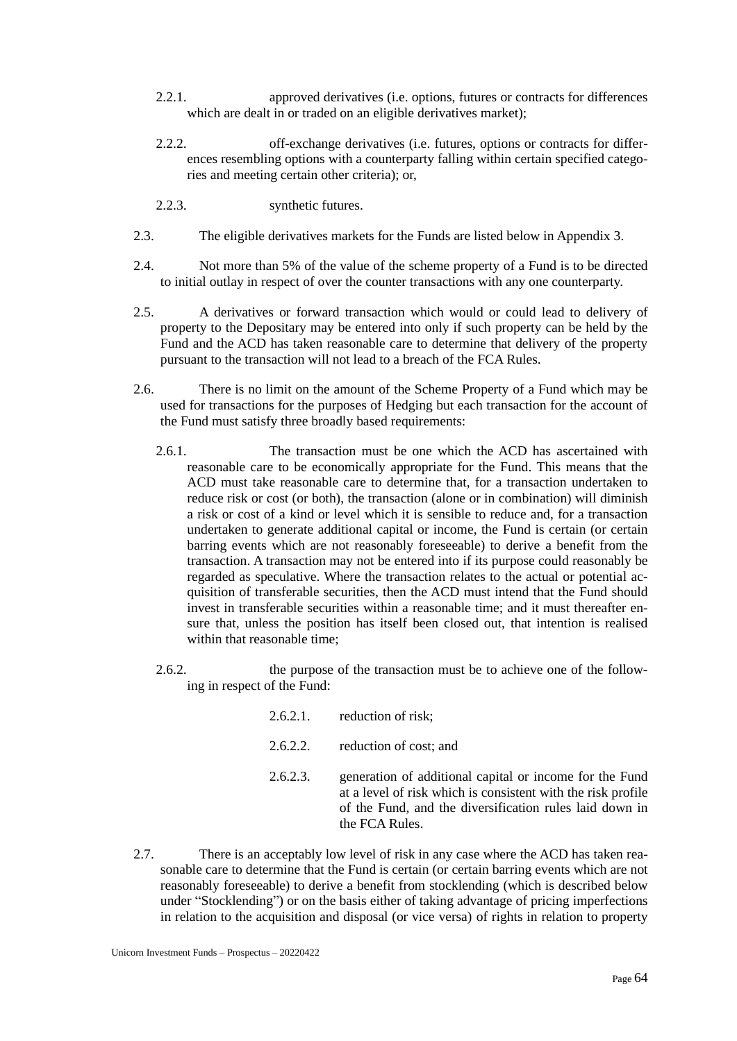- 2.2.1. approved derivatives (i.e. options, futures or contracts for differences which are dealt in or traded on an eligible derivatives market);
- 2.2.2. off-exchange derivatives (i.e. futures, options or contracts for differences resembling options with a counterparty falling within certain specified categories and meeting certain other criteria); or,
- 2.2.3. synthetic futures.
- 2.3. The eligible derivatives markets for the Funds are listed below in Appendix 3.
- 2.4. Not more than 5% of the value of the scheme property of a Fund is to be directed to initial outlay in respect of over the counter transactions with any one counterparty.
- 2.5. A derivatives or forward transaction which would or could lead to delivery of property to the Depositary may be entered into only if such property can be held by the Fund and the ACD has taken reasonable care to determine that delivery of the property pursuant to the transaction will not lead to a breach of the FCA Rules.
- 2.6. There is no limit on the amount of the Scheme Property of a Fund which may be used for transactions for the purposes of Hedging but each transaction for the account of the Fund must satisfy three broadly based requirements:
	- 2.6.1. The transaction must be one which the ACD has ascertained with reasonable care to be economically appropriate for the Fund. This means that the ACD must take reasonable care to determine that, for a transaction undertaken to reduce risk or cost (or both), the transaction (alone or in combination) will diminish a risk or cost of a kind or level which it is sensible to reduce and, for a transaction undertaken to generate additional capital or income, the Fund is certain (or certain barring events which are not reasonably foreseeable) to derive a benefit from the transaction. A transaction may not be entered into if its purpose could reasonably be regarded as speculative. Where the transaction relates to the actual or potential acquisition of transferable securities, then the ACD must intend that the Fund should invest in transferable securities within a reasonable time; and it must thereafter ensure that, unless the position has itself been closed out, that intention is realised within that reasonable time;
	- 2.6.2. the purpose of the transaction must be to achieve one of the following in respect of the Fund:
		- 2.6.2.1. reduction of risk;
		- 2.6.2.2. reduction of cost; and
		- 2.6.2.3. generation of additional capital or income for the Fund at a level of risk which is consistent with the risk profile of the Fund, and the diversification rules laid down in the FCA Rules.
- 2.7. There is an acceptably low level of risk in any case where the ACD has taken reasonable care to determine that the Fund is certain (or certain barring events which are not reasonably foreseeable) to derive a benefit from stocklending (which is described below under "Stocklending") or on the basis either of taking advantage of pricing imperfections in relation to the acquisition and disposal (or vice versa) of rights in relation to property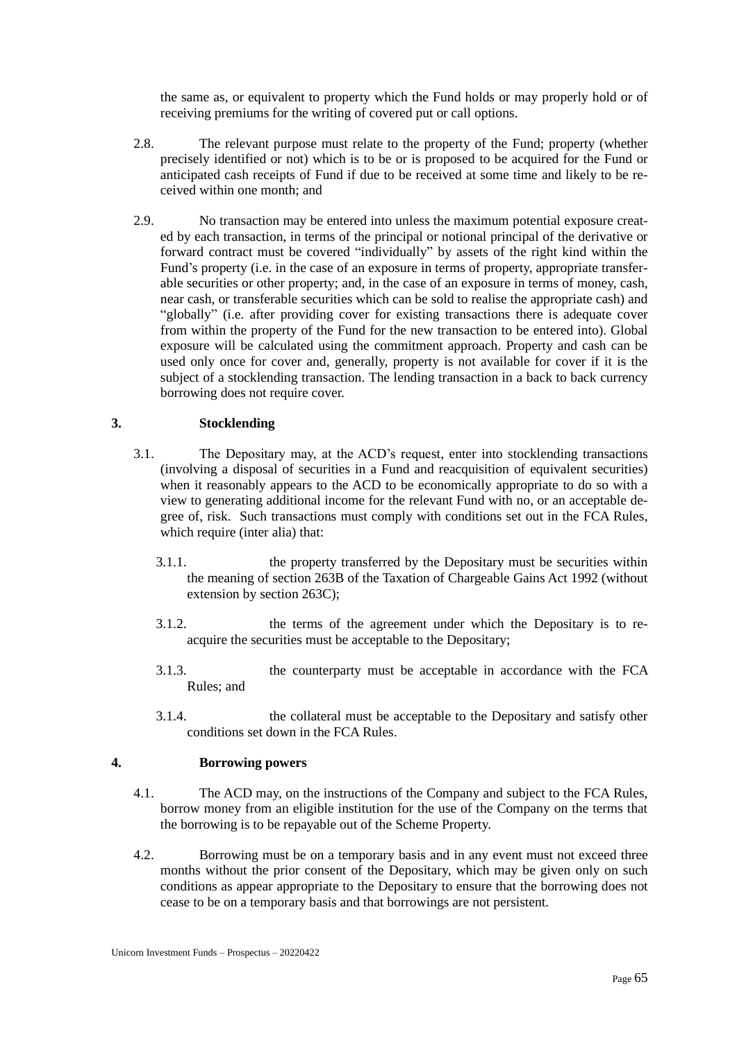the same as, or equivalent to property which the Fund holds or may properly hold or of receiving premiums for the writing of covered put or call options.

- 2.8. The relevant purpose must relate to the property of the Fund; property (whether precisely identified or not) which is to be or is proposed to be acquired for the Fund or anticipated cash receipts of Fund if due to be received at some time and likely to be received within one month; and
- 2.9. No transaction may be entered into unless the maximum potential exposure created by each transaction, in terms of the principal or notional principal of the derivative or forward contract must be covered "individually" by assets of the right kind within the Fund's property (i.e. in the case of an exposure in terms of property, appropriate transferable securities or other property; and, in the case of an exposure in terms of money, cash, near cash, or transferable securities which can be sold to realise the appropriate cash) and "globally" (i.e. after providing cover for existing transactions there is adequate cover from within the property of the Fund for the new transaction to be entered into). Global exposure will be calculated using the commitment approach. Property and cash can be used only once for cover and, generally, property is not available for cover if it is the subject of a stocklending transaction. The lending transaction in a back to back currency borrowing does not require cover.

## **3. Stocklending**

- 3.1. The Depositary may, at the ACD's request, enter into stocklending transactions (involving a disposal of securities in a Fund and reacquisition of equivalent securities) when it reasonably appears to the ACD to be economically appropriate to do so with a view to generating additional income for the relevant Fund with no, or an acceptable degree of, risk. Such transactions must comply with conditions set out in the FCA Rules, which require (inter alia) that:
	- 3.1.1. the property transferred by the Depositary must be securities within the meaning of section 263B of the Taxation of Chargeable Gains Act 1992 (without extension by section 263C);
	- 3.1.2. the terms of the agreement under which the Depositary is to reacquire the securities must be acceptable to the Depositary;
	- 3.1.3. the counterparty must be acceptable in accordance with the FCA Rules; and
	- 3.1.4. the collateral must be acceptable to the Depositary and satisfy other conditions set down in the FCA Rules.

## **4. Borrowing powers**

- 4.1. The ACD may, on the instructions of the Company and subject to the FCA Rules, borrow money from an eligible institution for the use of the Company on the terms that the borrowing is to be repayable out of the Scheme Property.
- 4.2. Borrowing must be on a temporary basis and in any event must not exceed three months without the prior consent of the Depositary, which may be given only on such conditions as appear appropriate to the Depositary to ensure that the borrowing does not cease to be on a temporary basis and that borrowings are not persistent.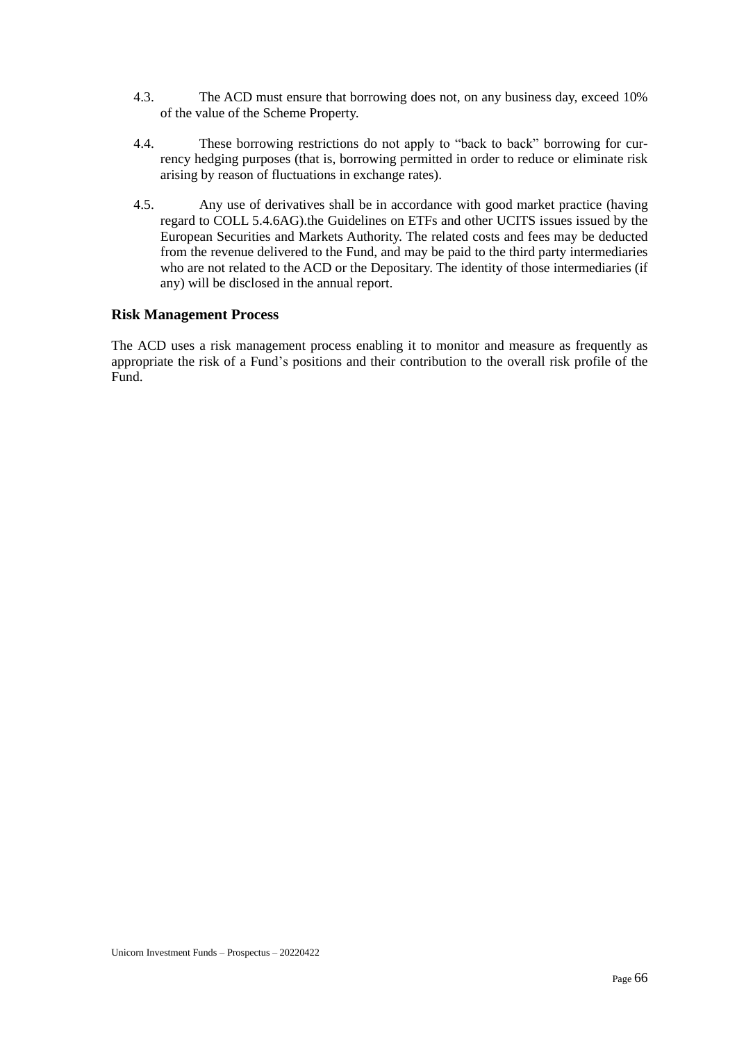- 4.3. The ACD must ensure that borrowing does not, on any business day, exceed 10% of the value of the Scheme Property.
- 4.4. These borrowing restrictions do not apply to "back to back" borrowing for currency hedging purposes (that is, borrowing permitted in order to reduce or eliminate risk arising by reason of fluctuations in exchange rates).
- 4.5. Any use of derivatives shall be in accordance with good market practice (having regard to COLL 5.4.6AG).the Guidelines on ETFs and other UCITS issues issued by the European Securities and Markets Authority. The related costs and fees may be deducted from the revenue delivered to the Fund, and may be paid to the third party intermediaries who are not related to the ACD or the Depositary. The identity of those intermediaries (if any) will be disclosed in the annual report.

# **Risk Management Process**

The ACD uses a risk management process enabling it to monitor and measure as frequently as appropriate the risk of a Fund's positions and their contribution to the overall risk profile of the Fund.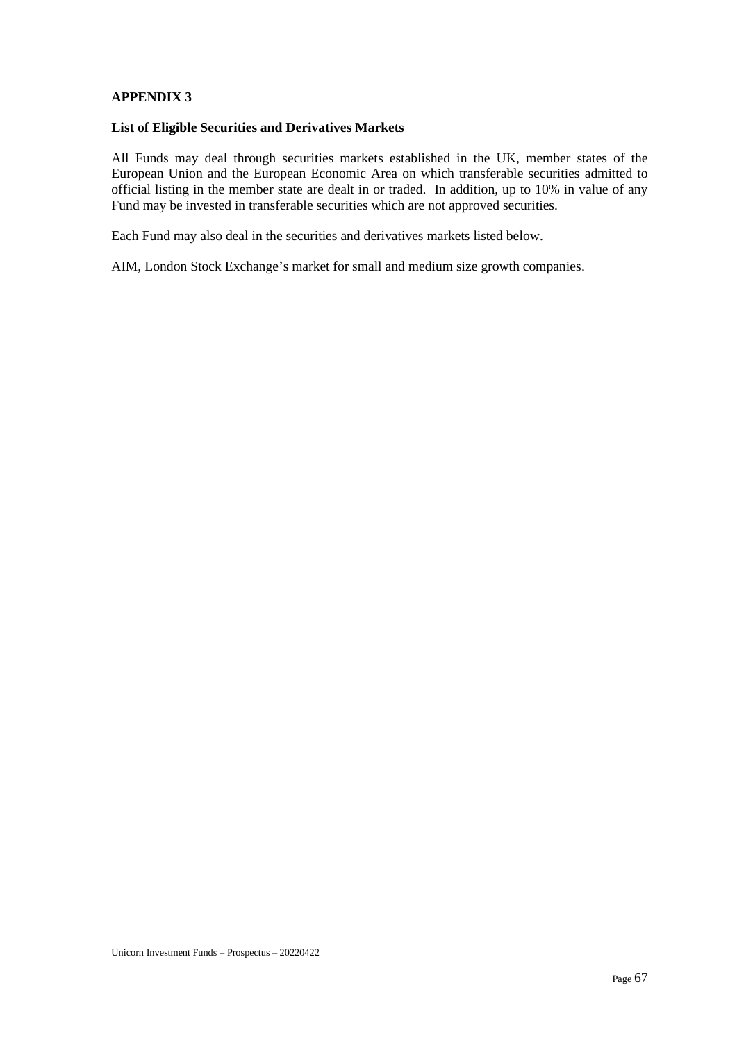## **APPENDIX 3**

#### **List of Eligible Securities and Derivatives Markets**

All Funds may deal through securities markets established in the UK, member states of the European Union and the European Economic Area on which transferable securities admitted to official listing in the member state are dealt in or traded. In addition, up to 10% in value of any Fund may be invested in transferable securities which are not approved securities.

Each Fund may also deal in the securities and derivatives markets listed below.

AIM, London Stock Exchange's market for small and medium size growth companies.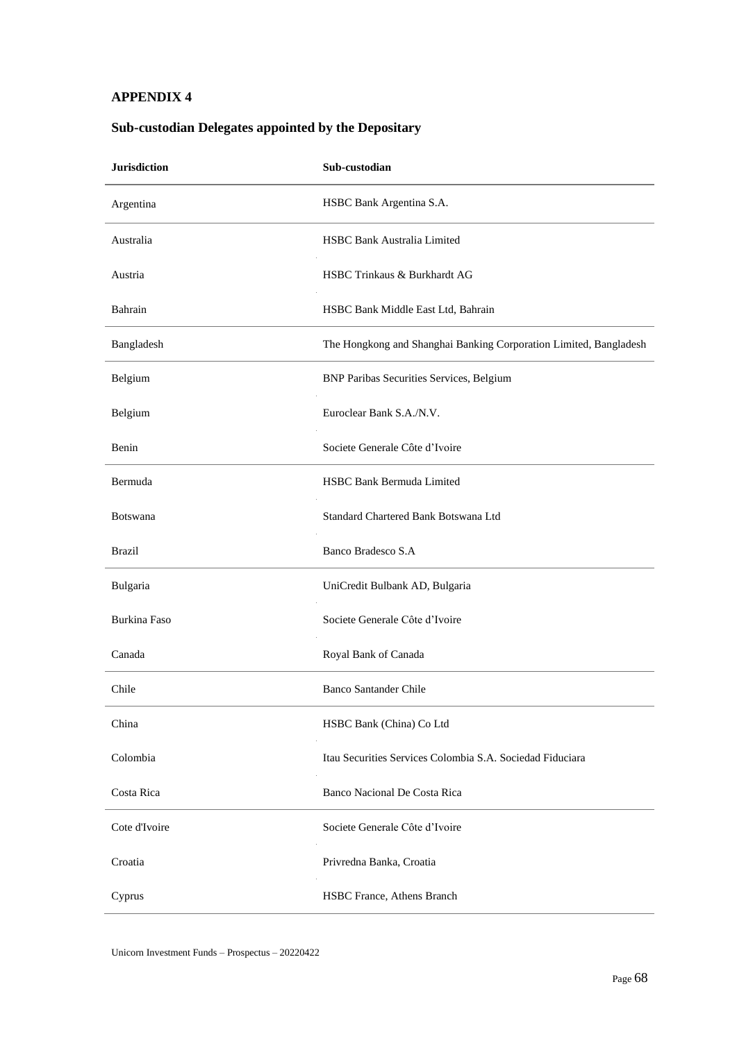## **APPENDIX 4**

# **Jurisdiction Sub-custodian** Argentina HSBC Bank Argentina S.A. Australia HSBC Bank Australia Limited Austria HSBC Trinkaus & Burkhardt AG Bahrain HSBC Bank Middle East Ltd, Bahrain Bangladesh The Hongkong and Shanghai Banking Corporation Limited, Bangladesh Belgium BNP Paribas Securities Services, Belgium Belgium Euroclear Bank S.A./N.V. Benin Societe Generale Côte d'Ivoire Bermuda HSBC Bank Bermuda Limited Botswana **Standard Chartered Bank Botswana Ltd** Brazil Banco Bradesco S.A Bulgaria UniCredit Bulbank AD, Bulgaria Burkina Faso Societe Generale Côte d'Ivoire Canada Royal Bank of Canada Chile Banco Santander Chile China HSBC Bank (China) Co Ltd

Colombia Itau Securities Services Colombia S.A. Sociedad Fiduciara

Costa Rica Banco Nacional De Costa Rica

Cote d'Ivoire Societe Generale Côte d'Ivoire

Cyprus HSBC France, Athens Branch

Croatia Privredna Banka, Croatia

## **Sub-custodian Delegates appointed by the Depositary**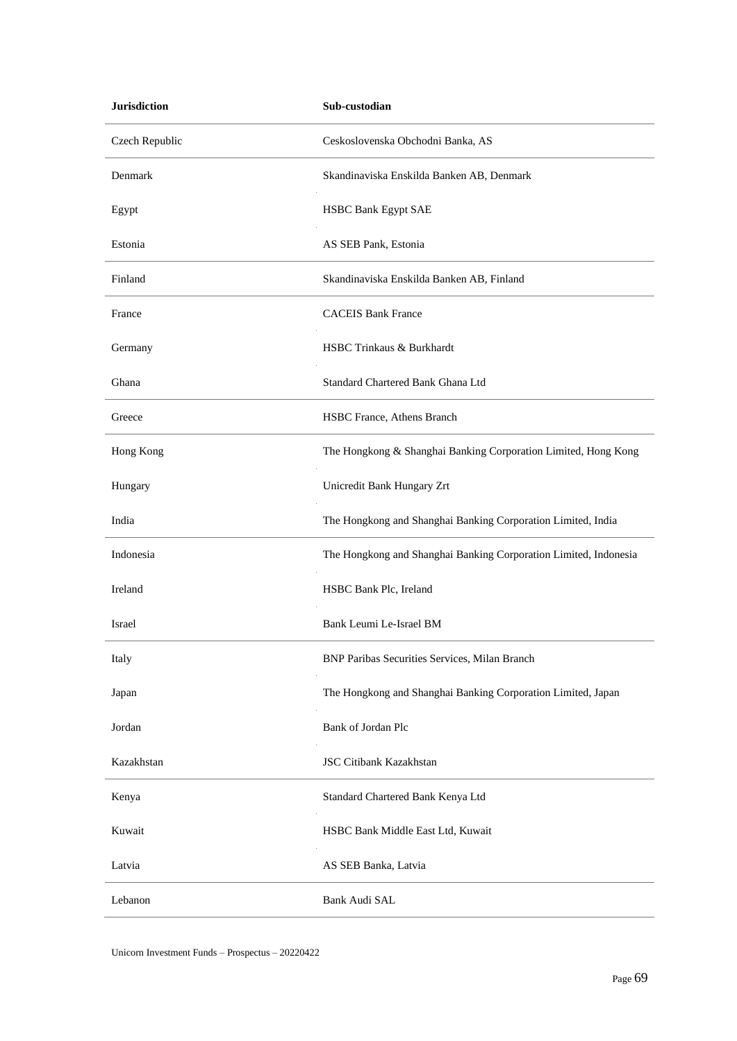| <b>Jurisdiction</b> | Sub-custodian                                                    |
|---------------------|------------------------------------------------------------------|
| Czech Republic      | Ceskoslovenska Obchodni Banka, AS                                |
| Denmark             | Skandinaviska Enskilda Banken AB, Denmark                        |
| Egypt               | <b>HSBC Bank Egypt SAE</b>                                       |
| Estonia             | AS SEB Pank, Estonia                                             |
| Finland             | Skandinaviska Enskilda Banken AB, Finland                        |
| France              | <b>CACEIS Bank France</b>                                        |
| Germany             | HSBC Trinkaus & Burkhardt                                        |
| Ghana               | Standard Chartered Bank Ghana Ltd                                |
| Greece              | HSBC France, Athens Branch                                       |
| Hong Kong           | The Hongkong & Shanghai Banking Corporation Limited, Hong Kong   |
| Hungary             | Unicredit Bank Hungary Zrt                                       |
| India               | The Hongkong and Shanghai Banking Corporation Limited, India     |
| Indonesia           | The Hongkong and Shanghai Banking Corporation Limited, Indonesia |
| Ireland             | HSBC Bank Plc, Ireland                                           |
| Israel              | Bank Leumi Le-Israel BM                                          |
| Italy               | BNP Paribas Securities Services, Milan Branch                    |
| Japan               | The Hongkong and Shanghai Banking Corporation Limited, Japan     |
| Jordan              | Bank of Jordan Plc                                               |
| Kazakhstan          | <b>JSC Citibank Kazakhstan</b>                                   |
| Kenya               | Standard Chartered Bank Kenya Ltd                                |
| Kuwait              | HSBC Bank Middle East Ltd, Kuwait                                |
| Latvia              | AS SEB Banka, Latvia                                             |
| Lebanon             | Bank Audi SAL                                                    |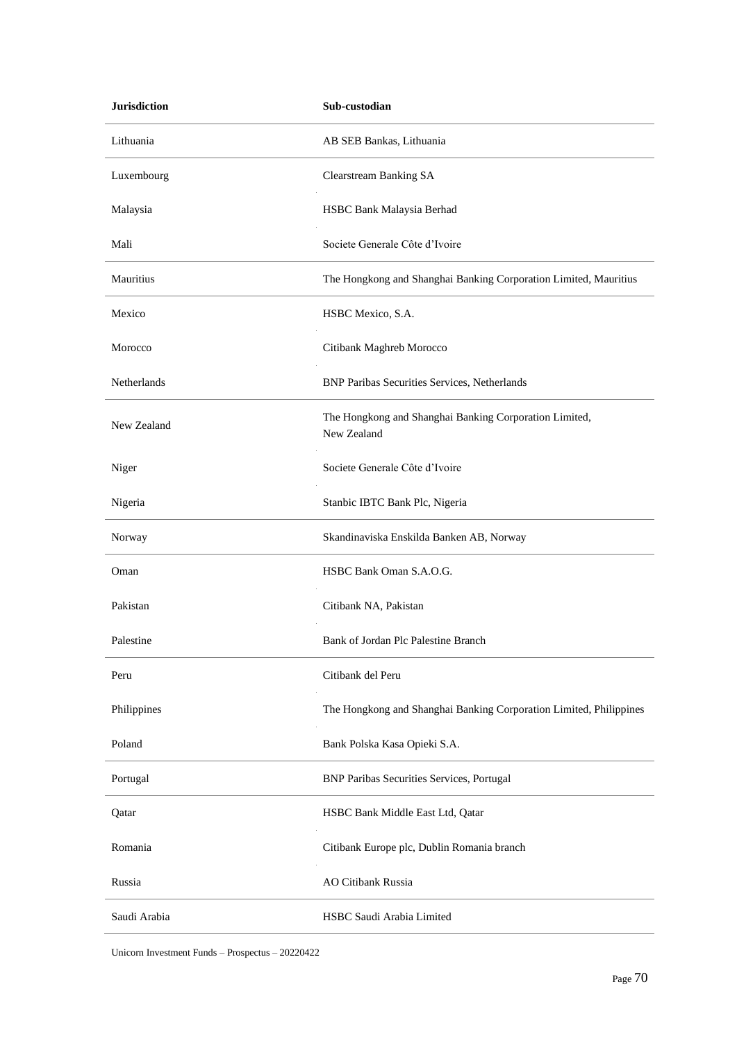| <b>Jurisdiction</b> | Sub-custodian                                                         |
|---------------------|-----------------------------------------------------------------------|
| Lithuania           | AB SEB Bankas, Lithuania                                              |
| Luxembourg          | Clearstream Banking SA                                                |
| Malaysia            | HSBC Bank Malaysia Berhad                                             |
| Mali                | Societe Generale Côte d'Ivoire                                        |
| Mauritius           | The Hongkong and Shanghai Banking Corporation Limited, Mauritius      |
| Mexico              | HSBC Mexico, S.A.                                                     |
| Morocco             | Citibank Maghreb Morocco                                              |
| Netherlands         | <b>BNP Paribas Securities Services, Netherlands</b>                   |
| New Zealand         | The Hongkong and Shanghai Banking Corporation Limited,<br>New Zealand |
| Niger               | Societe Generale Côte d'Ivoire                                        |
| Nigeria             | Stanbic IBTC Bank Plc, Nigeria                                        |
| Norway              | Skandinaviska Enskilda Banken AB, Norway                              |
| Oman                | HSBC Bank Oman S.A.O.G.                                               |
| Pakistan            | Citibank NA, Pakistan                                                 |
| Palestine           | Bank of Jordan Plc Palestine Branch                                   |
| Peru                | Citibank del Peru                                                     |
| Philippines         | The Hongkong and Shanghai Banking Corporation Limited, Philippines    |
| Poland              | Bank Polska Kasa Opieki S.A.                                          |
| Portugal            | <b>BNP Paribas Securities Services, Portugal</b>                      |
| Qatar               | HSBC Bank Middle East Ltd, Qatar                                      |
| Romania             | Citibank Europe plc, Dublin Romania branch                            |
| Russia              | AO Citibank Russia                                                    |
| Saudi Arabia        | HSBC Saudi Arabia Limited                                             |

Unicorn Investment Funds – Prospectus – 20220422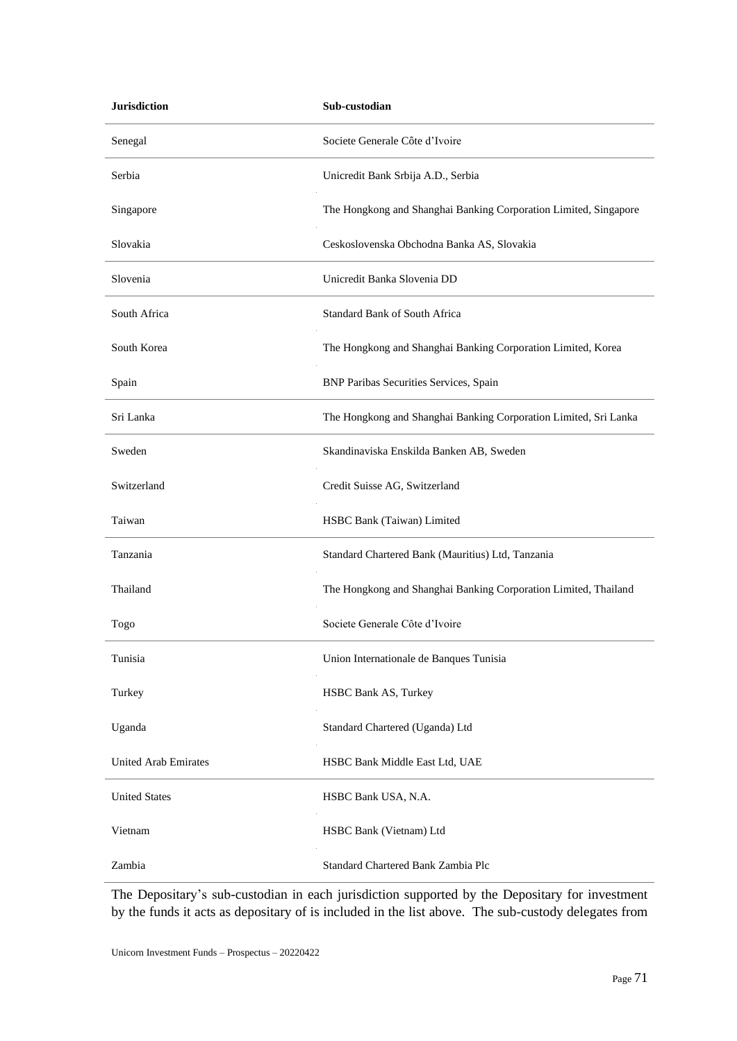| <b>Jurisdiction</b>         | Sub-custodian                                                    |
|-----------------------------|------------------------------------------------------------------|
| Senegal                     | Societe Generale Côte d'Ivoire                                   |
| Serbia                      | Unicredit Bank Srbija A.D., Serbia                               |
| Singapore                   | The Hongkong and Shanghai Banking Corporation Limited, Singapore |
| Slovakia                    | Ceskoslovenska Obchodna Banka AS, Slovakia                       |
| Slovenia                    | Unicredit Banka Slovenia DD                                      |
| South Africa                | <b>Standard Bank of South Africa</b>                             |
| South Korea                 | The Hongkong and Shanghai Banking Corporation Limited, Korea     |
| Spain                       | BNP Paribas Securities Services, Spain                           |
| Sri Lanka                   | The Hongkong and Shanghai Banking Corporation Limited, Sri Lanka |
| Sweden                      | Skandinaviska Enskilda Banken AB, Sweden                         |
| Switzerland                 | Credit Suisse AG, Switzerland                                    |
| Taiwan                      | HSBC Bank (Taiwan) Limited                                       |
| Tanzania                    | Standard Chartered Bank (Mauritius) Ltd, Tanzania                |
| Thailand                    | The Hongkong and Shanghai Banking Corporation Limited, Thailand  |
| Togo                        | Societe Generale Côte d'Ivoire                                   |
| Tunisia                     | Union Internationale de Banques Tunisia                          |
| Turkey                      | HSBC Bank AS, Turkey                                             |
| Uganda                      | Standard Chartered (Uganda) Ltd                                  |
| <b>United Arab Emirates</b> | HSBC Bank Middle East Ltd, UAE                                   |
| <b>United States</b>        | HSBC Bank USA, N.A.                                              |
| Vietnam                     | HSBC Bank (Vietnam) Ltd                                          |
| Zambia                      | Standard Chartered Bank Zambia Plc                               |

The Depositary's sub-custodian in each jurisdiction supported by the Depositary for investment by the funds it acts as depositary of is included in the list above. The sub-custody delegates from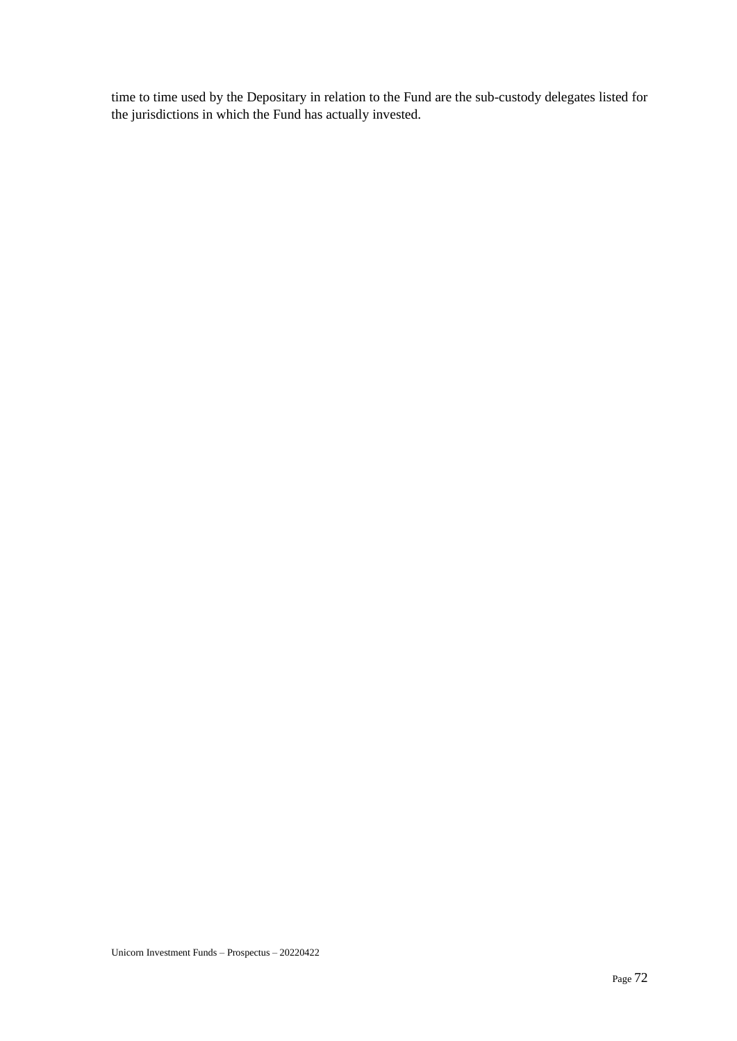time to time used by the Depositary in relation to the Fund are the sub-custody delegates listed for the jurisdictions in which the Fund has actually invested.